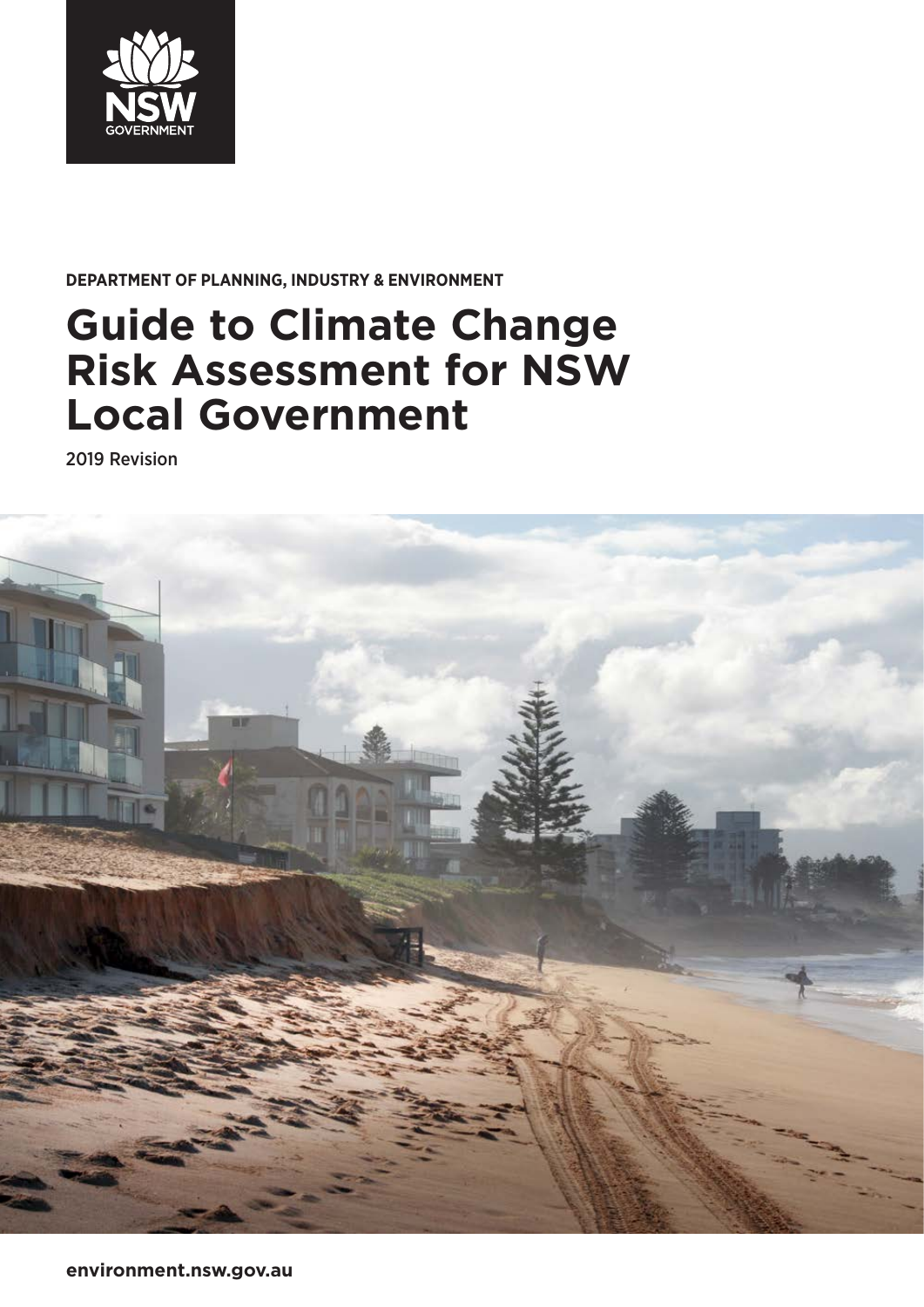

### **DEPARTMENT OF PLANNING, INDUSTRY & ENVIRONMENT**

# **Guide to Climate Change Risk Assessment for NSW Local Government**

2019 Revision

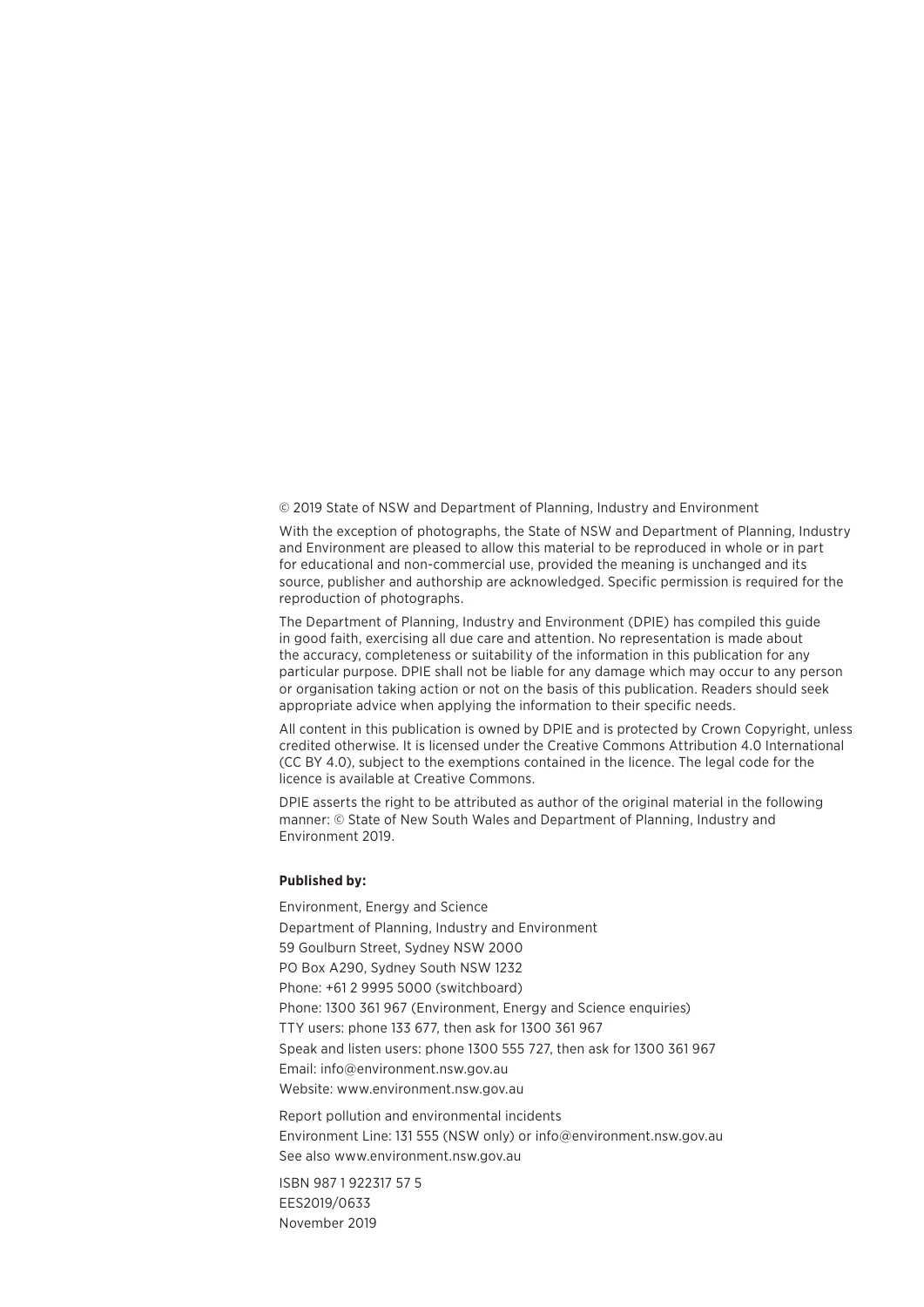© 2019 State of NSW and Department of Planning, Industry and Environment

With the exception of photographs, the State of NSW and Department of Planning, Industry and Environment are pleased to allow this material to be reproduced in whole or in part for educational and non-commercial use, provided the meaning is unchanged and its source, publisher and authorship are acknowledged. Specific permission is required for the reproduction of photographs.

The Department of Planning, Industry and Environment (DPIE) has compiled this guide in good faith, exercising all due care and attention. No representation is made about the accuracy, completeness or suitability of the information in this publication for any particular purpose. DPIE shall not be liable for any damage which may occur to any person or organisation taking action or not on the basis of this publication. Readers should seek appropriate advice when applying the information to their specific needs.

All content in this publication is owned by DPIE and is protected by Crown Copyright, unless credited otherwise. It is licensed under the Creative Commons Attribution 4.0 International (CC BY 4.0), subject to the exemptions contained in the licence. The legal code for the licence is available at Creative Commons.

DPIE asserts the right to be attributed as author of the original material in the following manner: © State of New South Wales and Department of Planning, Industry and Environment 2019.

#### **Published by:**

Environment, Energy and Science Department of Planning, Industry and Environment 59 Goulburn Street, Sydney NSW 2000 PO Box A290, Sydney South NSW 1232 Phone: +61 2 9995 5000 (switchboard) Phone: 1300 361 967 (Environment, Energy and Science enquiries) TTY users: phone 133 677, then ask for 1300 361 967 Speak and listen users: phone 1300 555 727, then ask for 1300 361 967 Email: [info@environment.nsw.gov.au](mailto:info@environment.nsw.gov.au) Website: [www.environment.nsw.gov.au](http://www.environment.nsw.gov.au)

Report pollution and environmental incidents Environment Line: 131 555 (NSW only) or [info@environment.nsw.gov.au](mailto:info@environment.nsw.gov.au) See also [www.environment.nsw.gov.au](http://www.environment.nsw.gov.au)

ISBN 987 1 922317 57 5 EES2019/0633 November 2019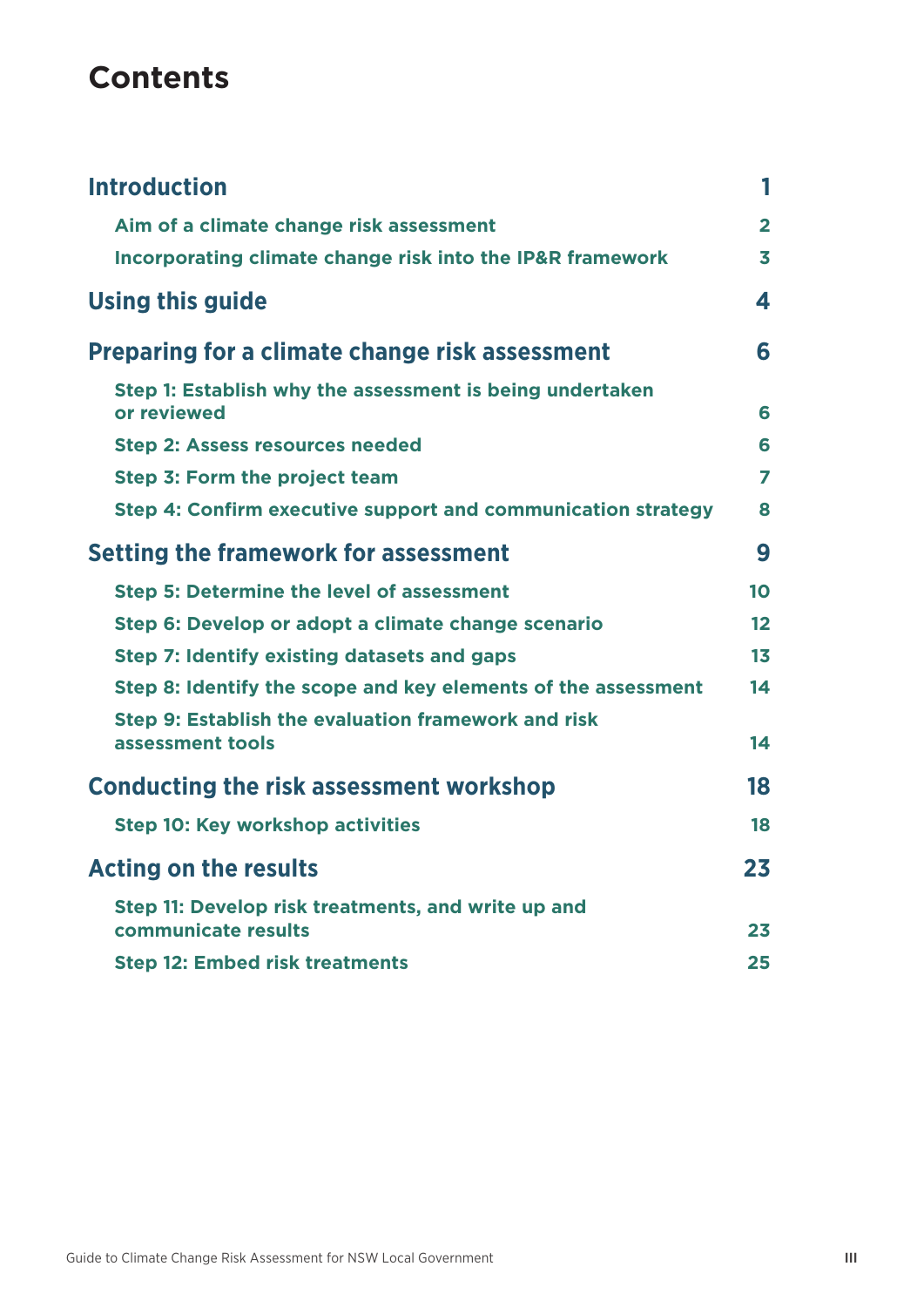## **Contents**

| <b>Introduction</b>                                                       | 1                       |
|---------------------------------------------------------------------------|-------------------------|
| Aim of a climate change risk assessment                                   | $\overline{2}$          |
| Incorporating climate change risk into the IP&R framework                 | $\overline{\mathbf{3}}$ |
| <b>Using this guide</b>                                                   | 4                       |
| <b>Preparing for a climate change risk assessment</b>                     | 6                       |
| Step 1: Establish why the assessment is being undertaken<br>or reviewed   | 6                       |
| <b>Step 2: Assess resources needed</b>                                    | 6                       |
| Step 3: Form the project team                                             | 7                       |
| Step 4: Confirm executive support and communication strategy              | 8                       |
| <b>Setting the framework for assessment</b>                               | 9                       |
| <b>Step 5: Determine the level of assessment</b>                          | 10                      |
| Step 6: Develop or adopt a climate change scenario                        | 12                      |
| Step 7: Identify existing datasets and gaps                               | 1 <sub>3</sub>          |
| Step 8: Identify the scope and key elements of the assessment             | 14                      |
| Step 9: Establish the evaluation framework and risk<br>assessment tools   | 14                      |
| <b>Conducting the risk assessment workshop</b>                            | 18                      |
| <b>Step 10: Key workshop activities</b>                                   | 18                      |
| <b>Acting on the results</b>                                              | 23                      |
| Step 11: Develop risk treatments, and write up and<br>communicate results | 23                      |
| <b>Step 12: Embed risk treatments</b>                                     | 25                      |
|                                                                           |                         |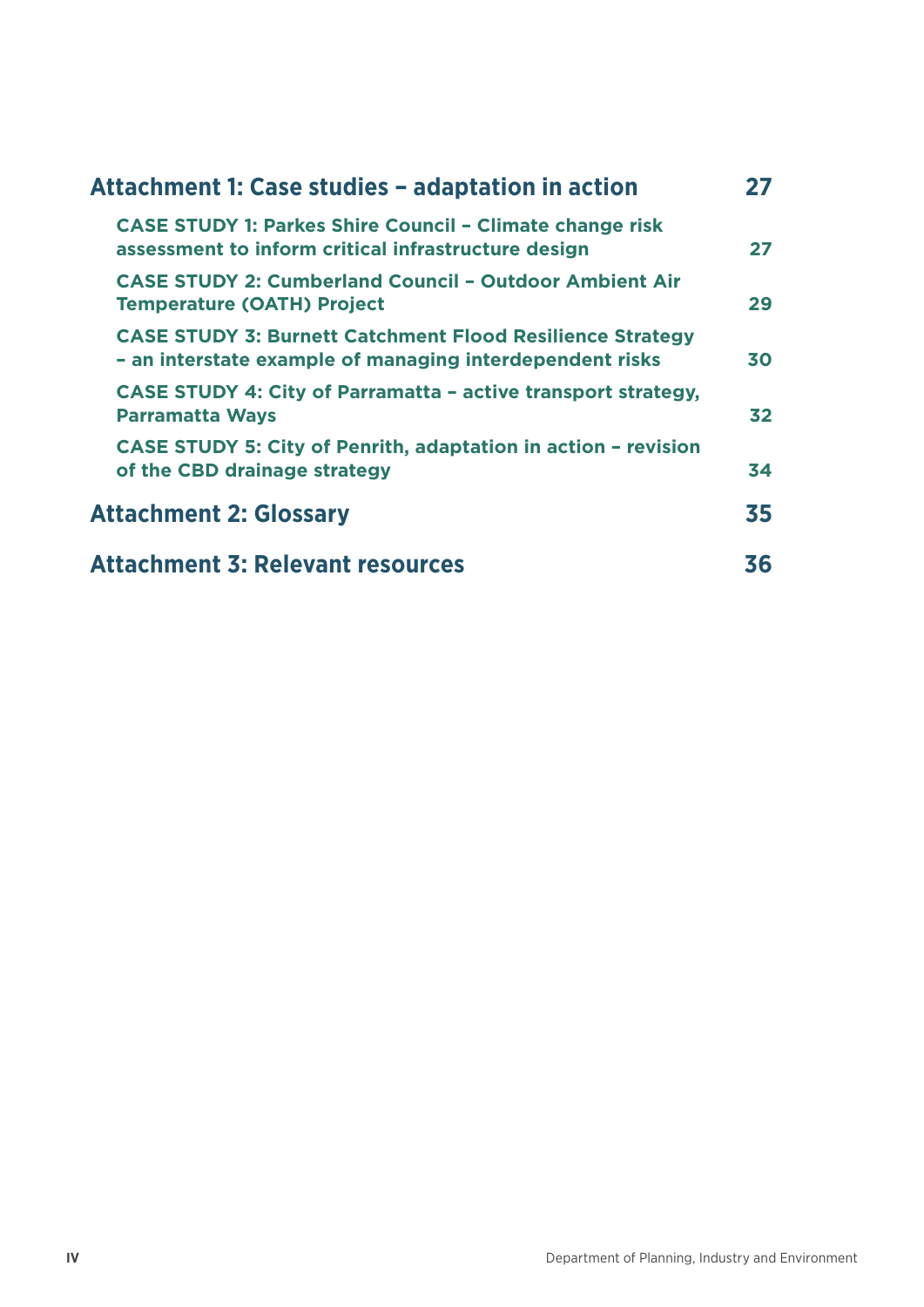| Attachment 1: Case studies - adaptation in action                                                                            |    |
|------------------------------------------------------------------------------------------------------------------------------|----|
| <b>CASE STUDY 1: Parkes Shire Council - Climate change risk</b><br>assessment to inform critical infrastructure design       | 27 |
| <b>CASE STUDY 2: Cumberland Council - Outdoor Ambient Air</b><br><b>Temperature (OATH) Project</b>                           | 29 |
| <b>CASE STUDY 3: Burnett Catchment Flood Resilience Strategy</b><br>- an interstate example of managing interdependent risks | 30 |
| <b>CASE STUDY 4: City of Parramatta - active transport strategy,</b><br><b>Parramatta Ways</b>                               | 32 |
| <b>CASE STUDY 5: City of Penrith, adaptation in action - revision</b><br>of the CBD drainage strategy                        | 34 |
| <b>Attachment 2: Glossary</b>                                                                                                | 35 |
| <b>Attachment 3: Relevant resources</b>                                                                                      | 36 |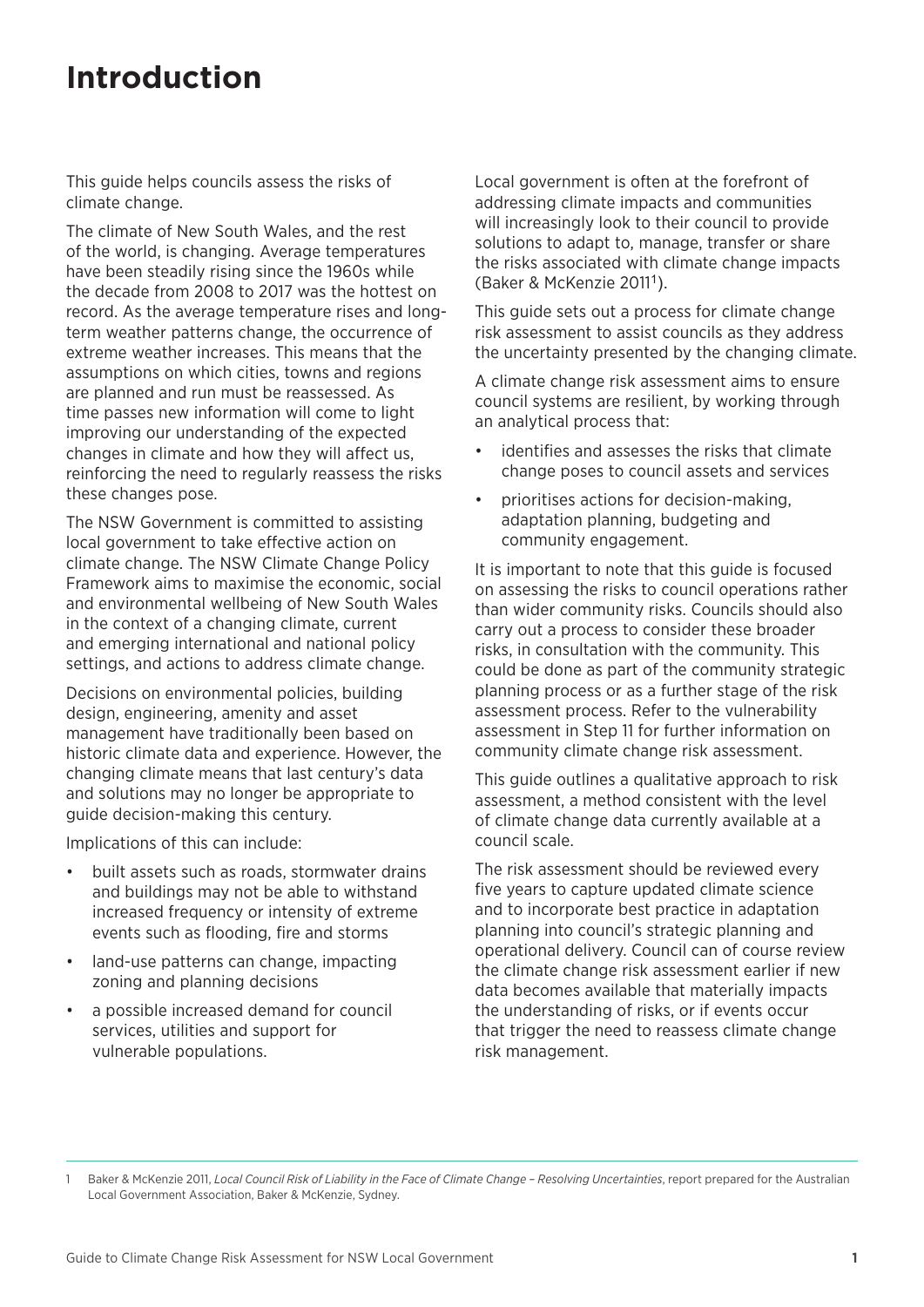## <span id="page-4-0"></span>**Introduction**

This guide helps councils assess the risks of climate change.

The climate of New South Wales, and the rest of the world, is changing. Average temperatures have been steadily rising since the 1960s while the decade from 2008 to 2017 was the hottest on record. As the average temperature rises and longterm weather patterns change, the occurrence of extreme weather increases. This means that the assumptions on which cities, towns and regions are planned and run must be reassessed. As time passes new information will come to light improving our understanding of the expected changes in climate and how they will affect us, reinforcing the need to regularly reassess the risks these changes pose.

The NSW Government is committed to assisting local government to take effective action on climate change. The NSW Climate Change Policy Framework aims to maximise the economic, social and environmental wellbeing of New South Wales in the context of a changing climate, current and emerging international and national policy settings, and actions to address climate change.

Decisions on environmental policies, building design, engineering, amenity and asset management have traditionally been based on historic climate data and experience. However, the changing climate means that last century's data and solutions may no longer be appropriate to guide decision-making this century.

Implications of this can include:

- built assets such as roads, stormwater drains and buildings may not be able to withstand increased frequency or intensity of extreme events such as flooding, fire and storms
- land-use patterns can change, impacting zoning and planning decisions
- a possible increased demand for council services, utilities and support for vulnerable populations.

Local government is often at the forefront of addressing climate impacts and communities will increasingly look to their council to provide solutions to adapt to, manage, transfer or share the risks associated with climate change impacts (Baker & McKenzie 20111).

This guide sets out a process for climate change risk assessment to assist councils as they address the uncertainty presented by the changing climate.

A climate change risk assessment aims to ensure council systems are resilient, by working through an analytical process that:

- identifies and assesses the risks that climate change poses to council assets and services
- prioritises actions for decision-making, adaptation planning, budgeting and community engagement.

It is important to note that this guide is focused on assessing the risks to council operations rather than wider community risks. Councils should also carry out a process to consider these broader risks, in consultation with the community. This could be done as part of the community strategic planning process or as a further stage of the risk assessment process. Refer to the vulnerability assessment in Step 11 for further information on community climate change risk assessment.

This guide outlines a qualitative approach to risk assessment, a method consistent with the level of climate change data currently available at a council scale.

The risk assessment should be reviewed every five years to capture updated climate science and to incorporate best practice in adaptation planning into council's strategic planning and operational delivery. Council can of course review the climate change risk assessment earlier if new data becomes available that materially impacts the understanding of risks, or if events occur that trigger the need to reassess climate change risk management.

1 Baker & McKenzie 2011, *Local Council Risk of Liability in the Face of Climate Change – Resolving Uncertainties*, report prepared for the Australian Local Government Association, Baker & McKenzie, Sydney.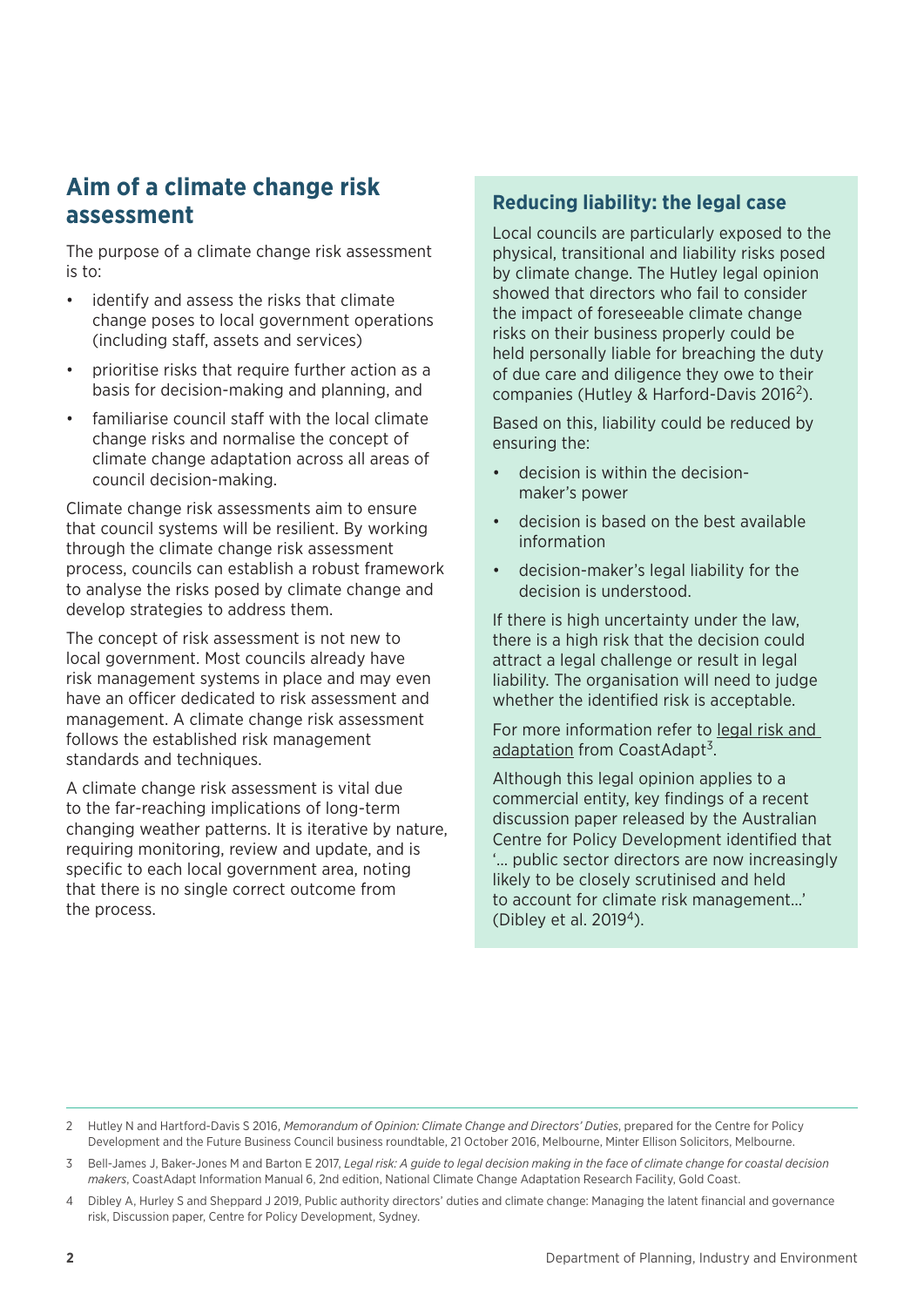### <span id="page-5-0"></span>**Aim of a climate change risk assessment**

The purpose of a climate change risk assessment is to:

- identify and assess the risks that climate change poses to local government operations (including staff, assets and services)
- prioritise risks that require further action as a basis for decision-making and planning, and
- familiarise council staff with the local climate change risks and normalise the concept of climate change adaptation across all areas of council decision-making.

Climate change risk assessments aim to ensure that council systems will be resilient. By working through the climate change risk assessment process, councils can establish a robust framework to analyse the risks posed by climate change and develop strategies to address them.

The concept of risk assessment is not new to local government. Most councils already have risk management systems in place and may even have an officer dedicated to risk assessment and management. A climate change risk assessment follows the established risk management standards and techniques.

A climate change risk assessment is vital due to the far-reaching implications of long-term changing weather patterns. It is iterative by nature, requiring monitoring, review and update, and is specific to each local government area, noting that there is no single correct outcome from the process.

#### **Reducing liability: the legal case**

Local councils are particularly exposed to the physical, transitional and liability risks posed by climate change. The Hutley legal opinion showed that directors who fail to consider the impact of foreseeable climate change risks on their business properly could be held personally liable for breaching the duty of due care and diligence they owe to their companies (Hutley & Harford-Davis 2016<sup>2</sup>).

Based on this, liability could be reduced by ensuring the:

- decision is within the decisionmaker's power
- decision is based on the best available information
- decision-maker's legal liability for the decision is understood.

If there is high uncertainty under the law, there is a high risk that the decision could attract a legal challenge or result in legal liability. The organisation will need to judge whether the identified risk is acceptable.

For more information refer to [legal risk and](https://coastadapt.com.au/sites/default/files/information-manual/IM06_Legal_Risk.pdf)  [adaptation](https://coastadapt.com.au/sites/default/files/information-manual/IM06_Legal_Risk.pdf) from CoastAdapt<sup>3</sup>.

Although this legal opinion applies to a commercial entity, key findings of a recent discussion paper released by the Australian Centre for Policy Development identified that '… public sector directors are now increasingly likely to be closely scrutinised and held to account for climate risk management…' (Dibley et al. 20194).

<sup>2</sup> Hutley N and Hartford-Davis S 2016, *Memorandum of Opinion: Climate Change and Directors' Duties*, prepared for the Centre for Policy Development and the Future Business Council business roundtable, 21 October 2016, Melbourne, Minter Ellison Solicitors, Melbourne.

<sup>3</sup> Bell-James J, Baker-Jones M and Barton E 2017, *Legal risk: A guide to legal decision making in the face of climate change for coastal decision makers*, CoastAdapt Information Manual 6, 2nd edition, National Climate Change Adaptation Research Facility, Gold Coast.

<sup>4</sup> Dibley A, Hurley S and Sheppard J 2019, Public authority directors' duties and climate change: Managing the latent financial and governance risk, Discussion paper, Centre for Policy Development, Sydney.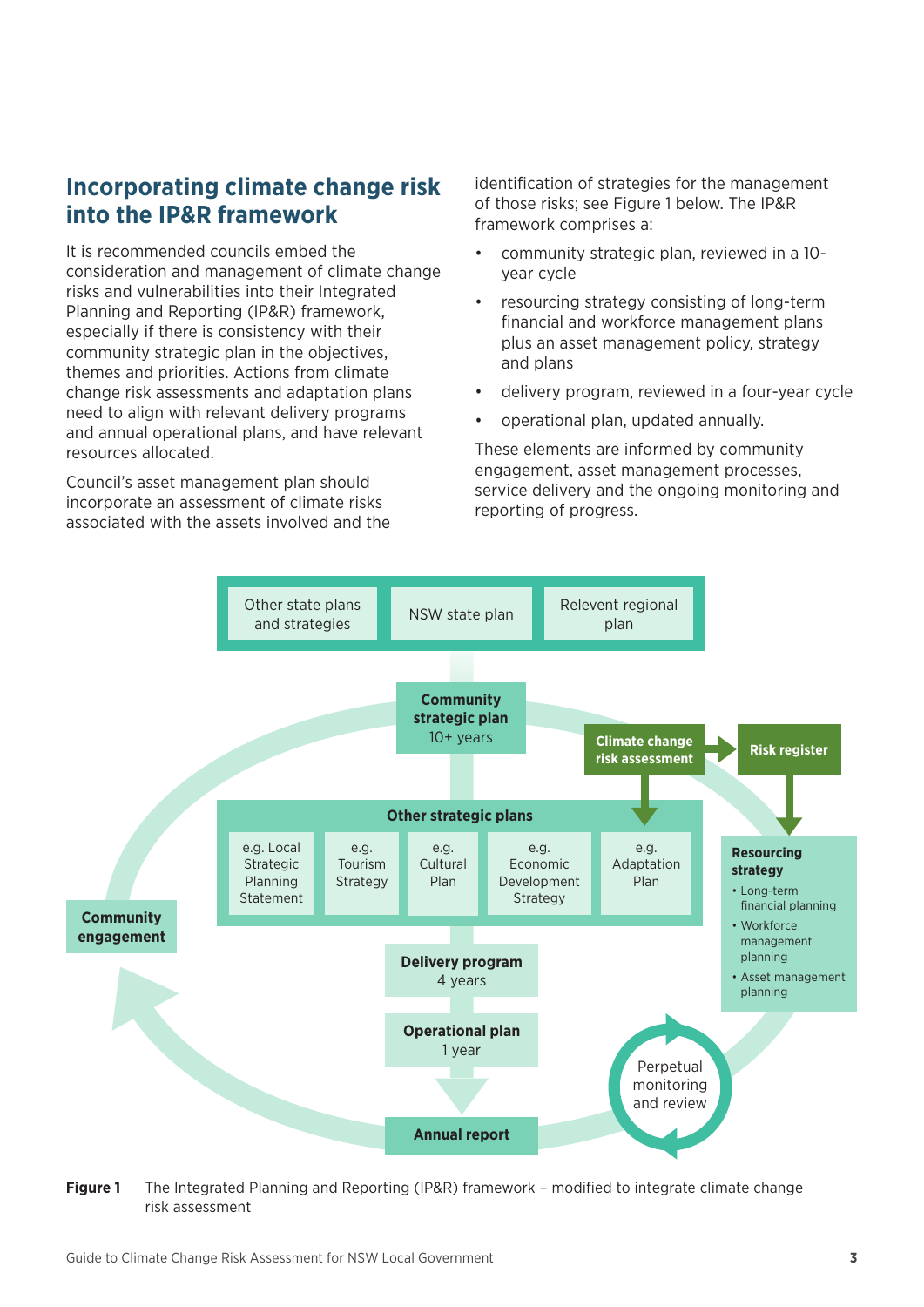### <span id="page-6-0"></span>**Incorporating climate change risk into the IP&R framework**

It is recommended councils embed the consideration and management of climate change risks and vulnerabilities into their Integrated Planning and Reporting (IP&R) framework, especially if there is consistency with their community strategic plan in the objectives, themes and priorities. Actions from climate change risk assessments and adaptation plans need to align with relevant delivery programs and annual operational plans, and have relevant resources allocated.

Council's asset management plan should incorporate an assessment of climate risks associated with the assets involved and the identification of strategies for the management of those risks; see Figure 1 below. The IP&R framework comprises a:

- community strategic plan, reviewed in a 10 year cycle
- resourcing strategy consisting of long-term financial and workforce management plans plus an asset management policy, strategy and plans
- delivery program, reviewed in a four-year cycle
- operational plan, updated annually.

These elements are informed by community engagement, asset management processes, service delivery and the ongoing monitoring and reporting of progress.



**Figure 1** The Integrated Planning and Reporting (IP&R) framework – modified to integrate climate change risk assessment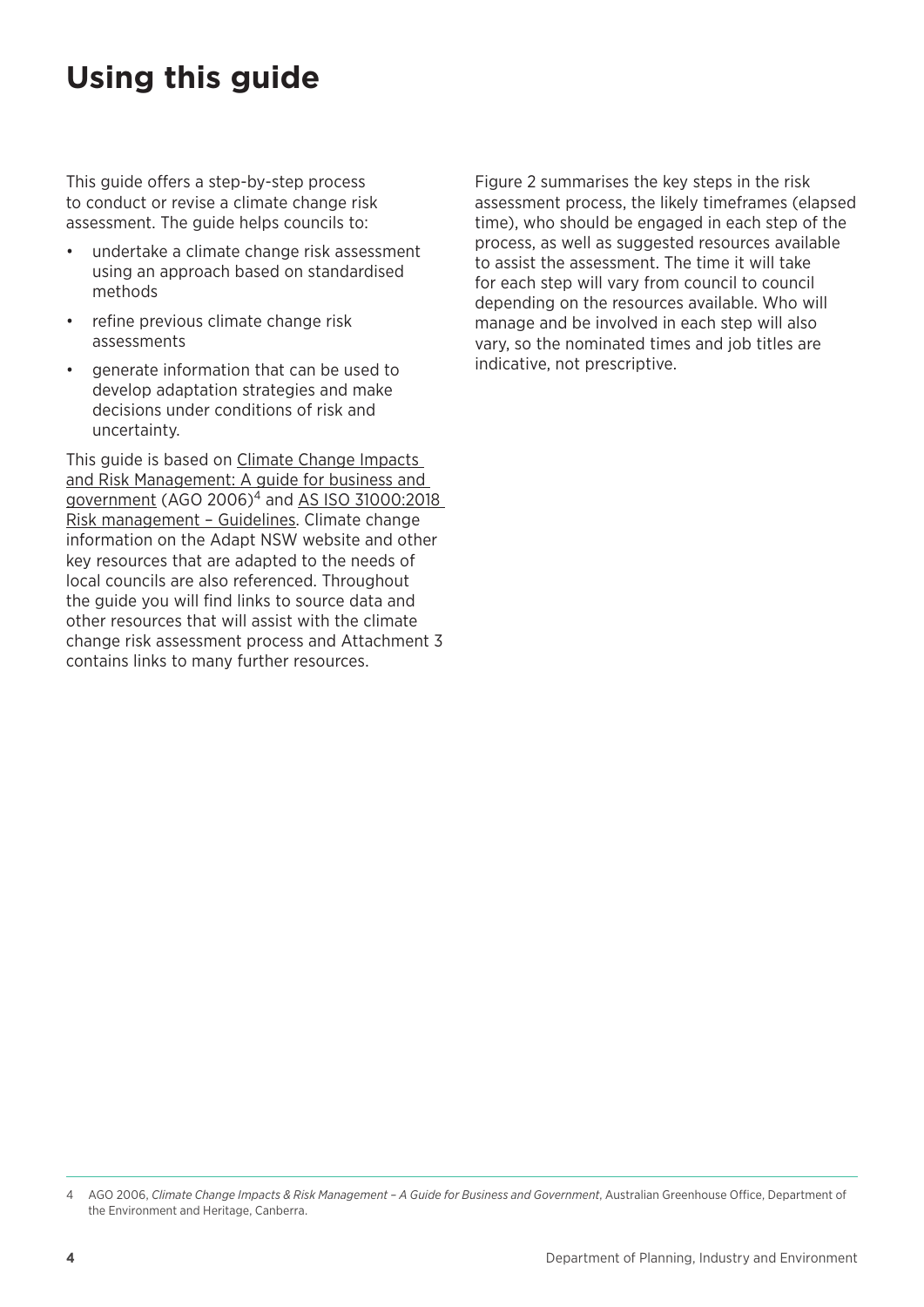## <span id="page-7-0"></span>**Using this guide**

This guide offers a step-by-step process to conduct or revise a climate change risk assessment. The guide helps councils to:

- undertake a climate change risk assessment using an approach based on standardised methods
- refine previous climate change risk assessments
- generate information that can be used to develop adaptation strategies and make decisions under conditions of risk and uncertainty.

This guide is based on [Climate Change Impacts](https://www.environment.gov.au/climate-change/adaptation/publications/climate-change-impact-risk-management)  [and Risk Management: A guide for business and](https://www.environment.gov.au/climate-change/adaptation/publications/climate-change-impact-risk-management)  [government](https://www.environment.gov.au/climate-change/adaptation/publications/climate-change-impact-risk-management) (AGO 2006)<sup>4</sup> and AS ISO 31000:2018 [Risk management – Guidelines.](https://infostore.saiglobal.com/en-au/Standards/AS-ISO-31000-2018-1134720_SAIG_AS_AS_2680492/) Climate change information on th[e](https://climatechange.environment.nsw.gov.au/) [Adapt NSW](https://climatechange.environment.nsw.gov.au/) website and other key resources that are adapted to the needs of local councils are also referenced. Throughout the guide you will find links to source data and other resources that will assist with the climate change risk assessment process and Attachment 3 contains links to many further resources.

Figure 2 summarises the key steps in the risk assessment process, the likely timeframes (elapsed time), who should be engaged in each step of the process, as well as suggested resources available to assist the assessment. The time it will take for each step will vary from council to council depending on the resources available. Who will manage and be involved in each step will also vary, so the nominated times and job titles are indicative, not prescriptive.

<sup>4</sup> AGO 2006, *Climate Change Impacts & Risk Management - A Guide for Business and Government*, Australian Greenhouse Office, Department of the Environment and Heritage, Canberra.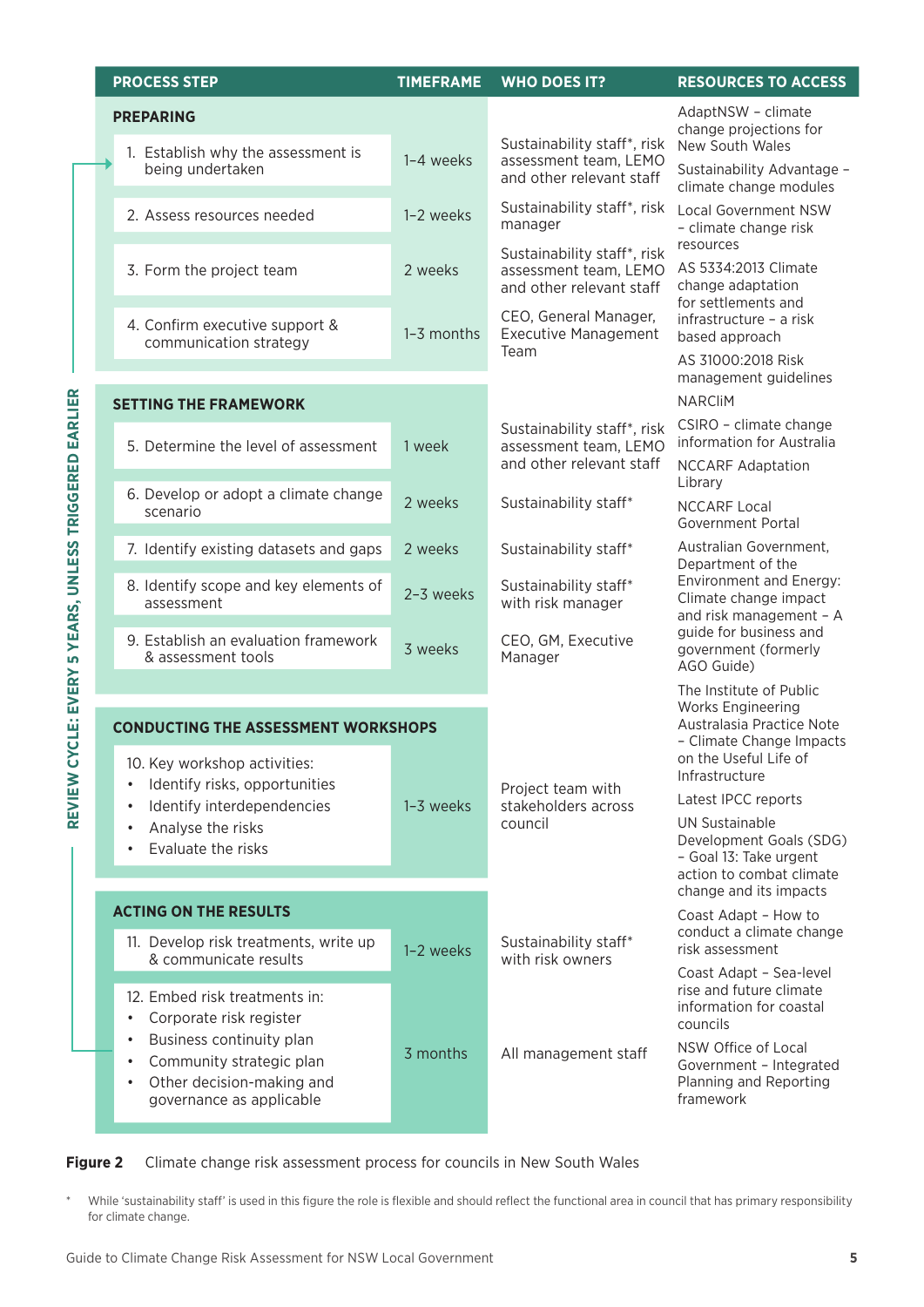| <b>PROCESS STEP</b> |                                                                                                                                                      | <b>TIMEFRAME</b> | <b>WHO DOES IT?</b>                                                              | <b>RESOURCES TO ACCESS</b>                                                                      |
|---------------------|------------------------------------------------------------------------------------------------------------------------------------------------------|------------------|----------------------------------------------------------------------------------|-------------------------------------------------------------------------------------------------|
|                     | <b>PREPARING</b>                                                                                                                                     |                  | Sustainability staff*, risk                                                      | AdaptNSW - climate<br>change projections for<br>New South Wales                                 |
|                     | 1. Establish why the assessment is<br>being undertaken                                                                                               | 1-4 weeks        | assessment team, LEMO<br>and other relevant staff                                | Sustainability Advantage -<br>climate change modules                                            |
|                     | 2. Assess resources needed                                                                                                                           | 1-2 weeks        | Sustainability staff*, risk<br>manager                                           | <b>Local Government NSW</b><br>- climate change risk                                            |
|                     | 3. Form the project team                                                                                                                             | 2 weeks          | Sustainability staff*, risk<br>assessment team, LEMO<br>and other relevant staff | resources<br>AS 5334:2013 Climate<br>change adaptation<br>for settlements and                   |
|                     | 4. Confirm executive support &<br>communication strategy                                                                                             | 1-3 months       | CEO, General Manager,<br><b>Executive Management</b><br>Team                     | infrastructure - a risk<br>based approach                                                       |
|                     |                                                                                                                                                      |                  |                                                                                  | AS 31000:2018 Risk<br>management guidelines<br><b>NARCliM</b>                                   |
|                     | <b>SETTING THE FRAMEWORK</b><br>5. Determine the level of assessment                                                                                 | 1 week           | Sustainability staff*, risk<br>assessment team, LEMO                             | CSIRO - climate change<br>information for Australia                                             |
|                     |                                                                                                                                                      |                  | and other relevant staff                                                         | <b>NCCARF Adaptation</b><br>Library                                                             |
|                     | 6. Develop or adopt a climate change<br>scenario                                                                                                     | 2 weeks          | Sustainability staff*                                                            | <b>NCCARF Local</b><br>Government Portal                                                        |
|                     | 7. Identify existing datasets and gaps                                                                                                               | 2 weeks          | Sustainability staff*                                                            | Australian Government,<br>Department of the                                                     |
|                     | 8. Identify scope and key elements of<br>assessment                                                                                                  | 2-3 weeks        | Sustainability staff*<br>with risk manager                                       | Environment and Energy:<br>Climate change impact<br>and risk management - A                     |
|                     | 9. Establish an evaluation framework<br>& assessment tools                                                                                           | 3 weeks          | CEO, GM, Executive<br>Manager                                                    | guide for business and<br>government (formerly<br>AGO Guide)                                    |
|                     |                                                                                                                                                      |                  |                                                                                  | The Institute of Public<br>Works Engineering                                                    |
|                     | <b>CONDUCTING THE ASSESSMENT WORKSHOPS</b>                                                                                                           |                  |                                                                                  | Australasia Practice Note<br>- Climate Change Impacts                                           |
|                     | 10. Key workshop activities:<br>Identify risks, opportunities<br>$\bullet$                                                                           |                  |                                                                                  | on the Useful Life of<br>Infrastructure                                                         |
|                     | Identify interdependencies<br>$\bullet$                                                                                                              | 1-3 weeks        | Project team with<br>stakeholders across                                         | Latest IPCC reports                                                                             |
|                     | Analyse the risks<br>$\bullet$<br>Evaluate the risks<br>$\bullet$                                                                                    |                  | council                                                                          | UN Sustainable<br>Development Goals (SDG)<br>- Goal 13: Take urgent<br>action to combat climate |
|                     | <b>ACTING ON THE RESULTS</b>                                                                                                                         |                  |                                                                                  | change and its impacts                                                                          |
|                     | 11. Develop risk treatments, write up<br>& communicate results                                                                                       | 1-2 weeks        | Sustainability staff*<br>with risk owners                                        | Coast Adapt - How to<br>conduct a climate change<br>risk assessment                             |
|                     | 12. Embed risk treatments in:<br>Corporate risk register<br>$\bullet$                                                                                |                  |                                                                                  | Coast Adapt - Sea-level<br>rise and future climate<br>information for coastal<br>councils       |
|                     | Business continuity plan<br>$\bullet$<br>Community strategic plan<br>$\bullet$<br>Other decision-making and<br>$\bullet$<br>governance as applicable | 3 months         | All management staff                                                             | NSW Office of Local<br>Government - Integrated<br>Planning and Reporting<br>framework           |

#### **Figure 2** Climate change risk assessment process for councils in New South Wales

\* While 'sustainability staff' is used in this figure the role is flexible and should reflect the functional area in council that has primary responsibility for climate change.

**REVIEW CYCLE: EVERY 5 YEARS, UNLESS TRIGGERED EARLIER**

REVIEW CYCLE: EVERY 5 YEARS, UNLESS TRIGGERED EARLIER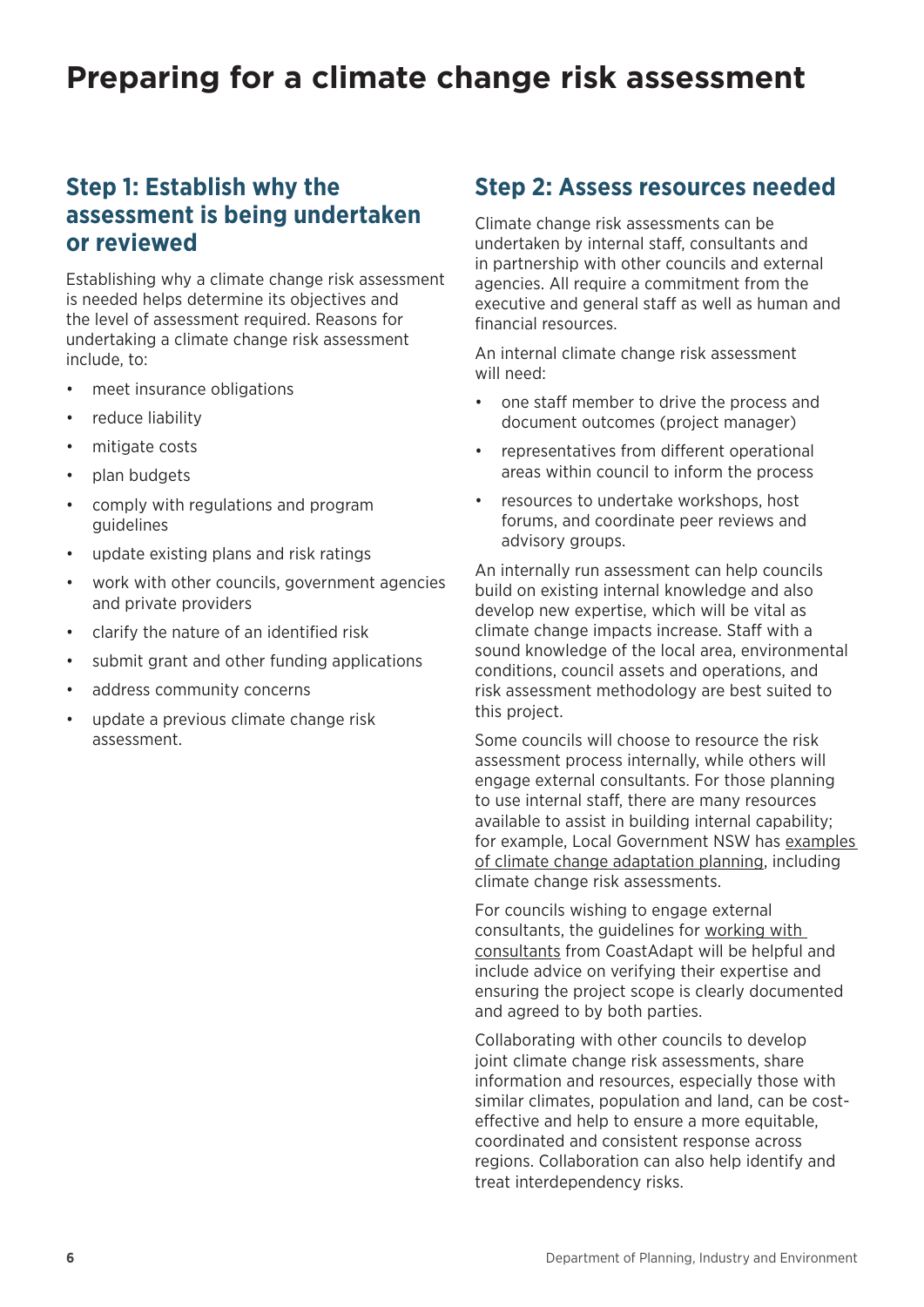## <span id="page-9-0"></span>**Preparing for a climate change risk assessment**

### **Step 1: Establish why the assessment is being undertaken or reviewed**

Establishing why a climate change risk assessment is needed helps determine its objectives and the level of assessment required. Reasons for undertaking a climate change risk assessment include, to:

- meet insurance obligations
- reduce liability
- mitigate costs
- plan budgets
- comply with regulations and program guidelines
- update existing plans and risk ratings
- work with other councils, government agencies and private providers
- clarify the nature of an identified risk
- submit grant and other funding applications
- address community concerns
- update a previous climate change risk assessment.

#### **Step 2: Assess resources needed**

Climate change risk assessments can be undertaken by internal staff, consultants and in partnership with other councils and external agencies. All require a commitment from the executive and general staff as well as human and financial resources.

An internal climate change risk assessment will need:

- one staff member to drive the process and document outcomes (project manager)
- representatives from different operational areas within council to inform the process
- resources to undertake workshops, host forums, and coordinate peer reviews and advisory groups.

An internally run assessment can help councils build on existing internal knowledge and also develop new expertise, which will be vital as climate change impacts increase. Staff with a sound knowledge of the local area, environmental conditions, council assets and operations, and risk assessment methodology are best suited to this project.

Some councils will choose to resource the risk assessment process internally, while others will engage external consultants. For those planning to use internal staff, there are many resources available to assist in building internal capability; for example, Local Government NSW has [examples](https://www.lgnsw.org.au/policy/climate-change)  [of climate change adaptation planning](https://www.lgnsw.org.au/policy/climate-change), including climate change risk assessments.

For councils wishing to engage external consultants, the guidelines for [working with](https://coastadapt.com.au/how-to-pages/working-with-consultants)  [consultants](https://coastadapt.com.au/how-to-pages/working-with-consultants) from CoastAdapt will be helpful and include advice on verifying their expertise and ensuring the project scope is clearly documented and agreed to by both parties.

Collaborating with other councils to develop joint climate change risk assessments, share information and resources, especially those with similar climates, population and land, can be costeffective and help to ensure a more equitable, coordinated and consistent response across regions. Collaboration can also help identify and treat interdependency risks.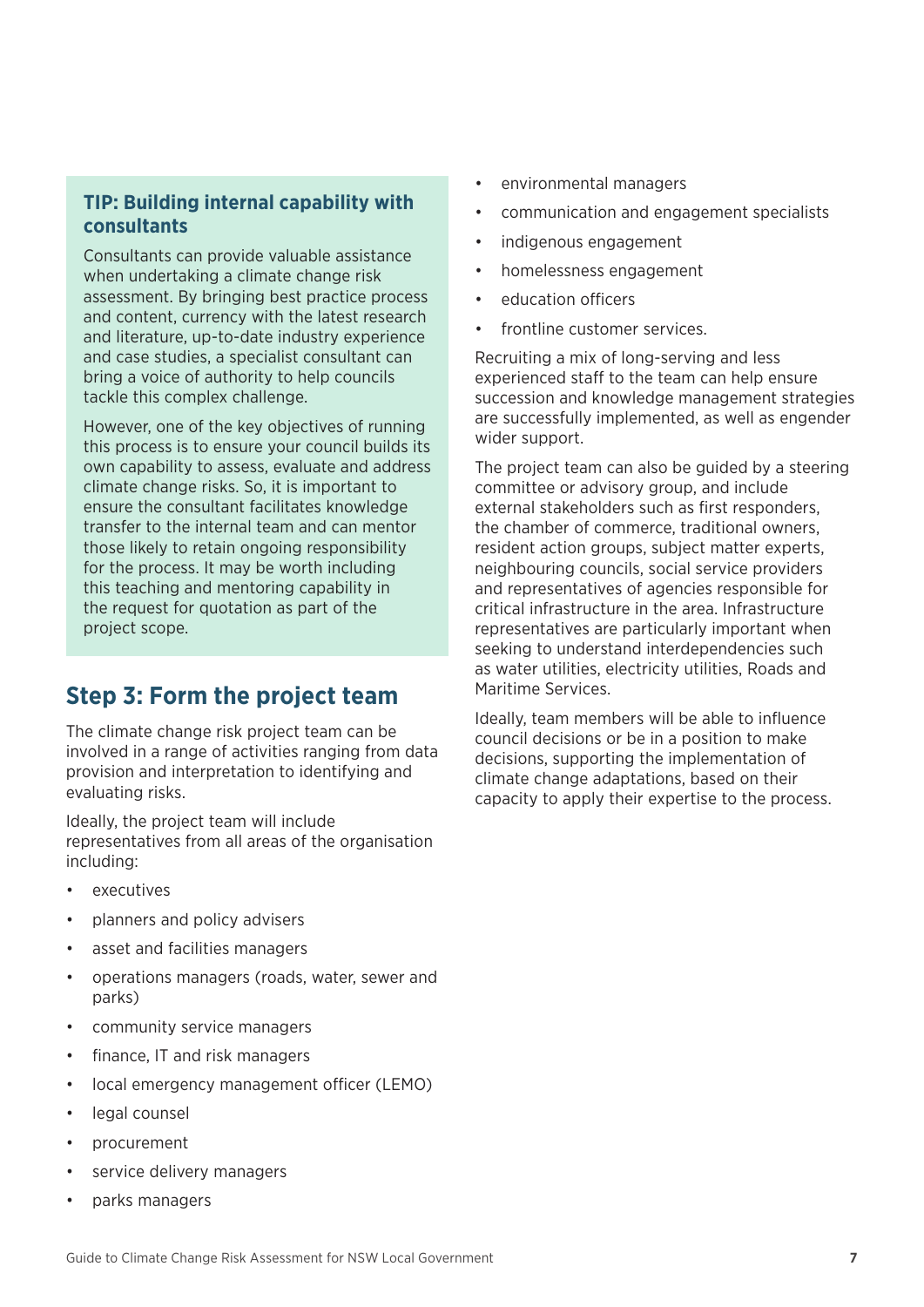#### <span id="page-10-0"></span>**TIP: Building internal capability with consultants**

Consultants can provide valuable assistance when undertaking a climate change risk assessment. By bringing best practice process and content, currency with the latest research and literature, up-to-date industry experience and case studies, a specialist consultant can bring a voice of authority to help councils tackle this complex challenge.

However, one of the key objectives of running this process is to ensure your council builds its own capability to assess, evaluate and address climate change risks. So, it is important to ensure the consultant facilitates knowledge transfer to the internal team and can mentor those likely to retain ongoing responsibility for the process. It may be worth including this teaching and mentoring capability in the request for quotation as part of the project scope.

### **Step 3: Form the project team**

The climate change risk project team can be involved in a range of activities ranging from data provision and interpretation to identifying and evaluating risks.

Ideally, the project team will include representatives from all areas of the organisation including:

- executives
- planners and policy advisers
- asset and facilities managers
- operations managers (roads, water, sewer and parks)
- community service managers
- finance, IT and risk managers
- local emergency management officer (LEMO)
- legal counsel
- procurement
- service delivery managers
- parks managers
- environmental managers
- communication and engagement specialists
- indigenous engagement
- homelessness engagement
- education officers
- frontline customer services

Recruiting a mix of long-serving and less experienced staff to the team can help ensure succession and knowledge management strategies are successfully implemented, as well as engender wider support.

The project team can also be guided by a steering committee or advisory group, and include external stakeholders such as first responders, the chamber of commerce, traditional owners, resident action groups, subject matter experts, neighbouring councils, social service providers and representatives of agencies responsible for critical infrastructure in the area. Infrastructure representatives are particularly important when seeking to understand interdependencies such as water utilities, electricity utilities, Roads and Maritime Services.

Ideally, team members will be able to influence council decisions or be in a position to make decisions, supporting the implementation of climate change adaptations, based on their capacity to apply their expertise to the process.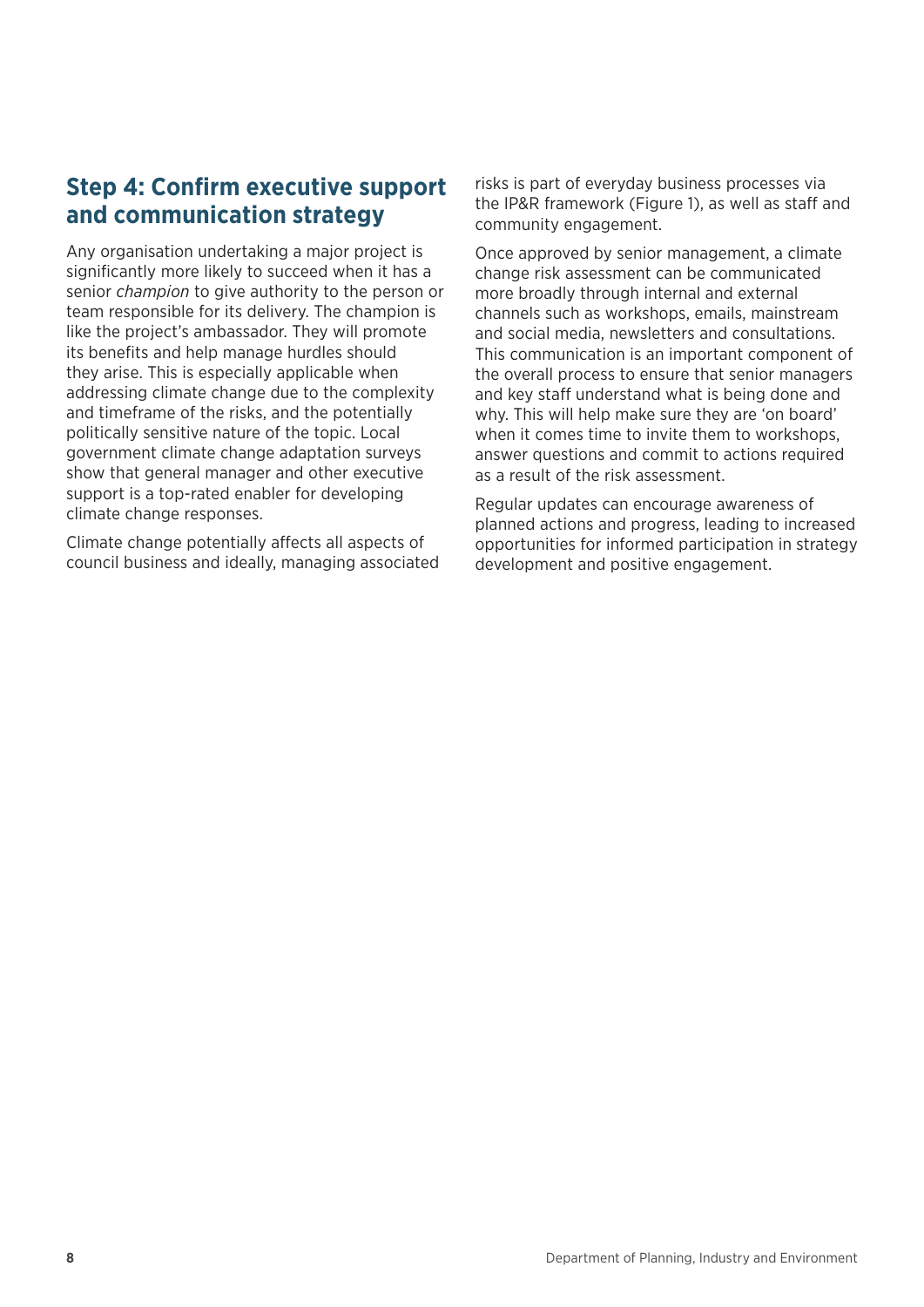### <span id="page-11-0"></span>**Step 4: Confirm executive support and communication strategy**

Any organisation undertaking a major project is significantly more likely to succeed when it has a senior *champion* to give authority to the person or team responsible for its delivery. The champion is like the project's ambassador. They will promote its benefits and help manage hurdles should they arise. This is especially applicable when addressing climate change due to the complexity and timeframe of the risks, and the potentially politically sensitive nature of the topic. Local government climate change adaptation surveys show that general manager and other executive support is a top-rated enabler for developing climate change responses.

Climate change potentially affects all aspects of council business and ideally, managing associated risks is part of everyday business processes via the IP&R framework (Figure 1), as well as staff and community engagement.

Once approved by senior management, a climate change risk assessment can be communicated more broadly through internal and external channels such as workshops, emails, mainstream and social media, newsletters and consultations. This communication is an important component of the overall process to ensure that senior managers and key staff understand what is being done and why. This will help make sure they are 'on board' when it comes time to invite them to workshops, answer questions and commit to actions required as a result of the risk assessment.

Regular updates can encourage awareness of planned actions and progress, leading to increased opportunities for informed participation in strategy development and positive engagement.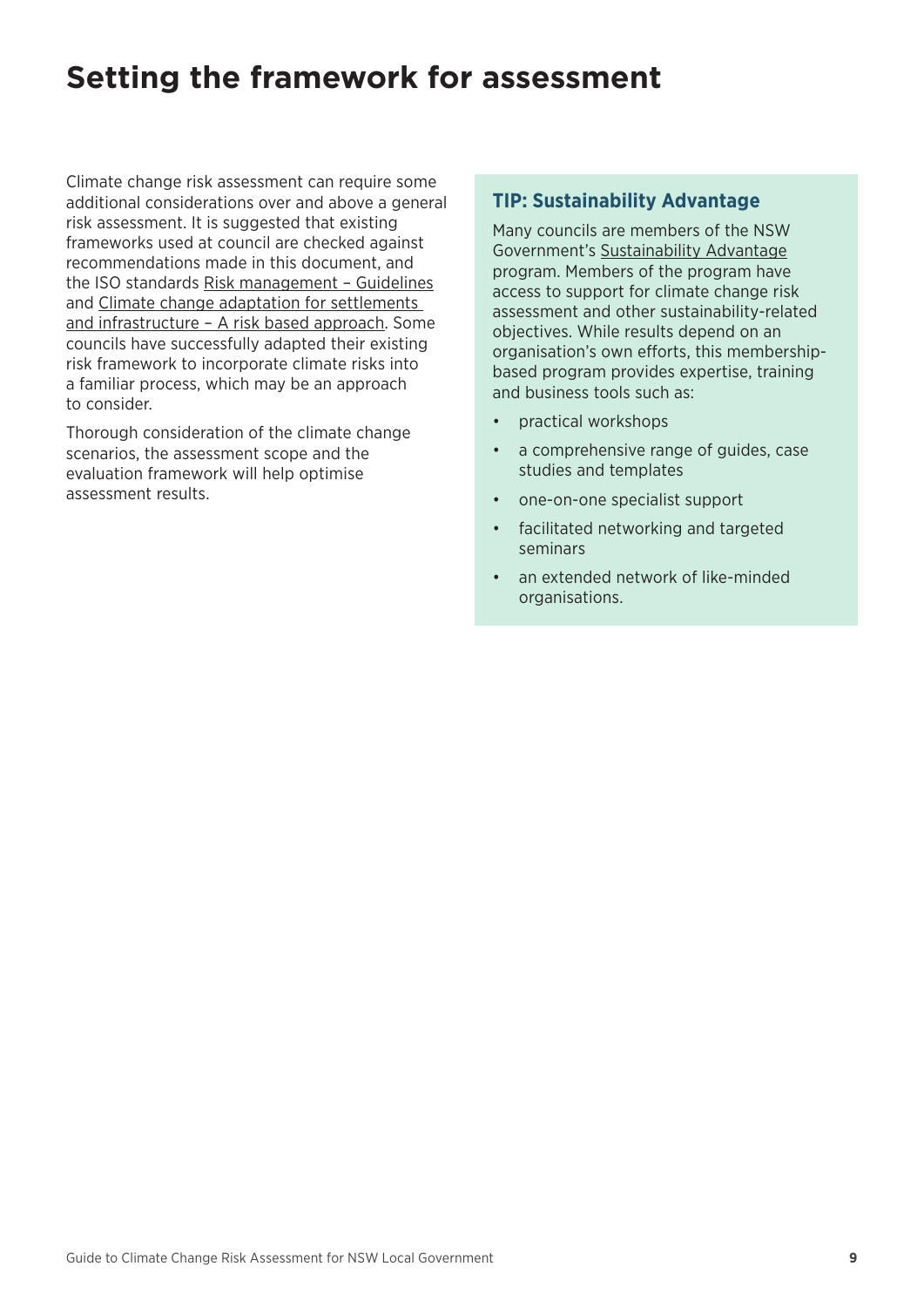## <span id="page-12-0"></span>**Setting the framework for assessment**

Climate change risk assessment can require some additional considerations over and above a general risk assessment. It is suggested that existing frameworks used at council are checked against recommendations made in this document, and the ISO standards [Risk management – Guidelines](https://infostore.saiglobal.com/en-au/Standards/AS-ISO-31000-2018-1134720_SAIG_AS_AS_2680492/) and [Climate change adaptation for settlements](https://infostore.saiglobal.com/en-au/Standards/AS-5334-2013-119943_SAIG_AS_AS_251367/)  [and infrastructure – A risk based approach.](https://infostore.saiglobal.com/en-au/Standards/AS-5334-2013-119943_SAIG_AS_AS_251367/) Some councils have successfully adapted their existing risk framework to incorporate climate risks into a familiar process, which may be an approach to consider.

Thorough consideration of the climate change scenarios, the assessment scope and the evaluation framework will help optimise assessment results.

#### **TIP: Sustainability Advantage**

Many councils are members of the NSW Government's [Sustainability Advantage](https://www.environment.nsw.gov.au/sustainabilityadvantage/) program. Members of the program have access to support for climate change risk assessment and other sustainability-related objectives. While results depend on an organisation's own efforts, this membershipbased program provides expertise, training and business tools such as:

- practical workshops
- a comprehensive range of guides, case studies and templates
- one-on-one specialist support
- facilitated networking and targeted seminars
- an extended network of like-minded organisations.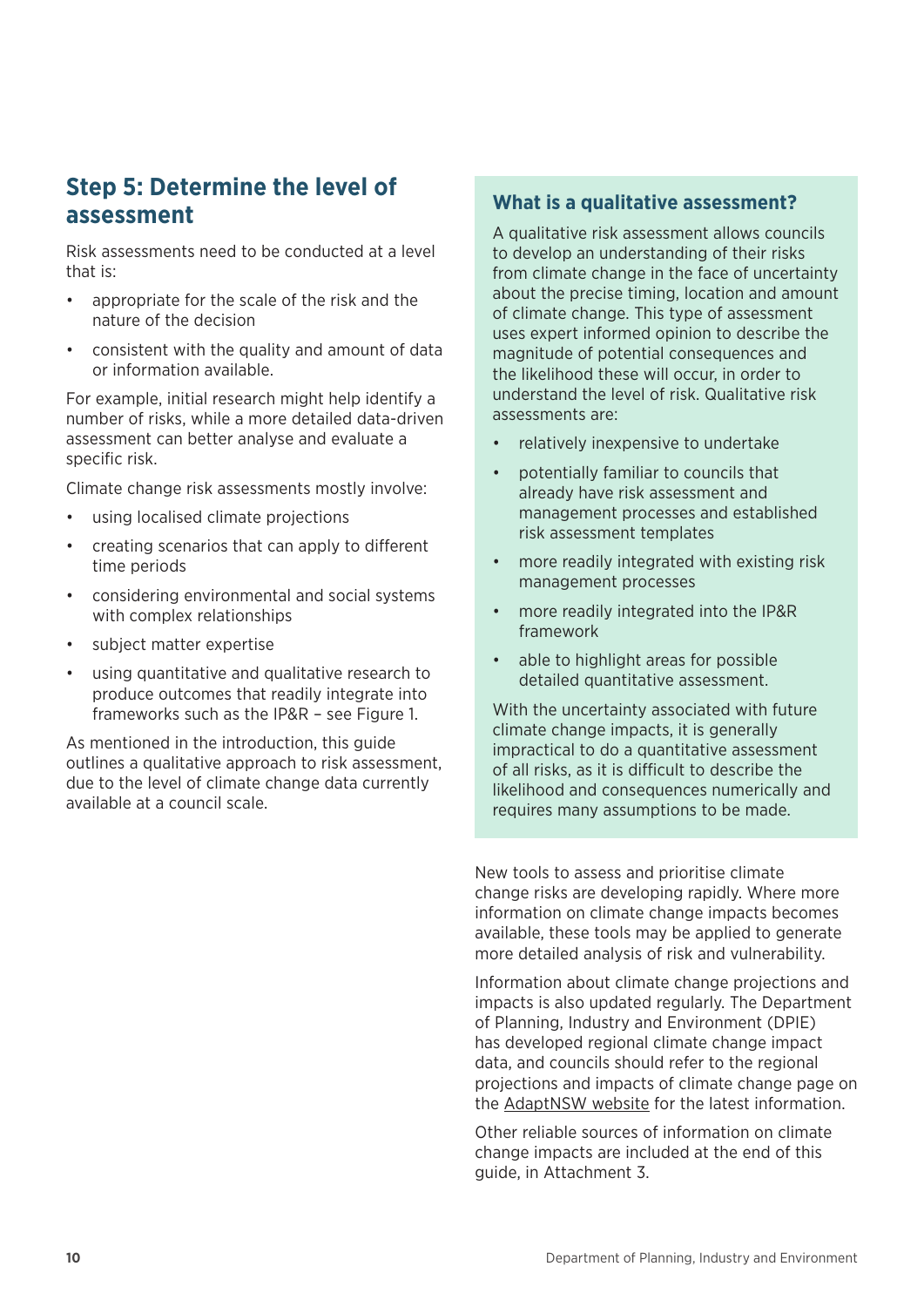### <span id="page-13-0"></span>**Step 5: Determine the level of assessment**

Risk assessments need to be conducted at a level that is:

- appropriate for the scale of the risk and the nature of the decision
- consistent with the quality and amount of data or information available.

For example, initial research might help identify a number of risks, while a more detailed data-driven assessment can better analyse and evaluate a specific risk.

Climate change risk assessments mostly involve:

- using localised climate projections
- creating scenarios that can apply to different time periods
- considering environmental and social systems with complex relationships
- subject matter expertise
- using quantitative and qualitative research to produce outcomes that readily integrate into frameworks such as the IP&R – see Figure 1.

As mentioned in the introduction, this guide outlines a qualitative approach to risk assessment, due to the level of climate change data currently available at a council scale.

#### **What is a qualitative assessment?**

A qualitative risk assessment allows councils to develop an understanding of their risks from climate change in the face of uncertainty about the precise timing, location and amount of climate change. This type of assessment uses expert informed opinion to describe the magnitude of potential consequences and the likelihood these will occur, in order to understand the level of risk. Qualitative risk assessments are:

- relatively inexpensive to undertake
- potentially familiar to councils that already have risk assessment and management processes and established risk assessment templates
- more readily integrated with existing risk management processes
- more readily integrated into the IP&R framework
- able to highlight areas for possible detailed quantitative assessment.

With the uncertainty associated with future climate change impacts, it is generally impractical to do a quantitative assessment of all risks, as it is difficult to describe the likelihood and consequences numerically and requires many assumptions to be made.

New tools to assess and prioritise climate change risks are developing rapidly. Where more information on climate change impacts becomes available, these tools may be applied to generate more detailed analysis of risk and vulnerability.

Information about climate change projections and impacts is also updated regularly. The Department of Planning, Industry and Environment (DPIE) has developed regional climate change impact data, and councils should refer to the regional projections and impacts of climate change page on the [AdaptNSW website](http://climatechange.environment.nsw.gov.au/) for the latest information.

Other reliable sources of information on climate change impacts are included at the end of this guide, in Attachment 3.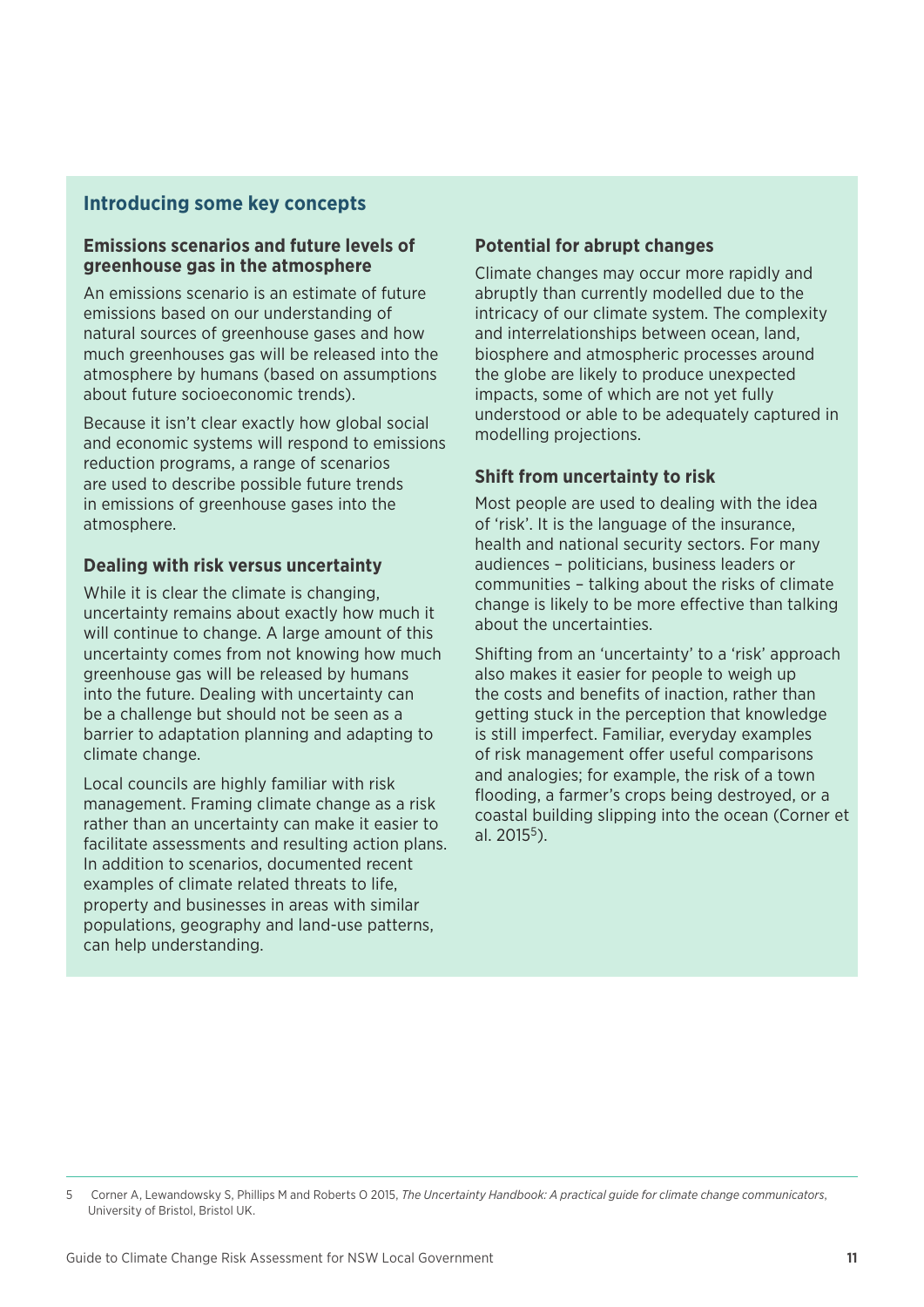#### **Introducing some key concepts**

#### **Emissions scenarios and future levels of greenhouse gas in the atmosphere**

An emissions scenario is an estimate of future emissions based on our understanding of natural sources of greenhouse gases and how much greenhouses gas will be released into the atmosphere by humans (based on assumptions about future socioeconomic trends).

Because it isn't clear exactly how global social and economic systems will respond to emissions reduction programs, a range of scenarios are used to describe possible future trends in emissions of greenhouse gases into the atmosphere.

#### **Dealing with risk versus uncertainty**

While it is clear the climate is changing, uncertainty remains about exactly how much it will continue to change. A large amount of this uncertainty comes from not knowing how much greenhouse gas will be released by humans into the future. Dealing with uncertainty can be a challenge but should not be seen as a barrier to adaptation planning and adapting to climate change.

Local councils are highly familiar with risk management. Framing climate change as a risk rather than an uncertainty can make it easier to facilitate assessments and resulting action plans. In addition to scenarios, documented recent examples of climate related threats to life, property and businesses in areas with similar populations, geography and land-use patterns, can help understanding.

#### **Potential for abrupt changes**

Climate changes may occur more rapidly and abruptly than currently modelled due to the intricacy of our climate system. The complexity and interrelationships between ocean, land, biosphere and atmospheric processes around the globe are likely to produce unexpected impacts, some of which are not yet fully understood or able to be adequately captured in modelling projections.

#### **Shift from uncertainty to risk**

Most people are used to dealing with the idea of 'risk'. It is the language of the insurance, health and national security sectors. For many audiences – politicians, business leaders or communities – talking about the risks of climate change is likely to be more effective than talking about the uncertainties.

Shifting from an 'uncertainty' to a 'risk' approach also makes it easier for people to weigh up the costs and benefits of inaction, rather than getting stuck in the perception that knowledge is still imperfect. Familiar, everyday examples of risk management offer useful comparisons and analogies; for example, the risk of a town flooding, a farmer's crops being destroyed, or a coastal building slipping into the ocean (Corner et al.  $2015^5$ ).

<sup>5</sup> Corner A, Lewandowsky S, Phillips M and Roberts O 2015, *The Uncertainty Handbook: A practical guide for climate change communicators*, University of Bristol, Bristol UK.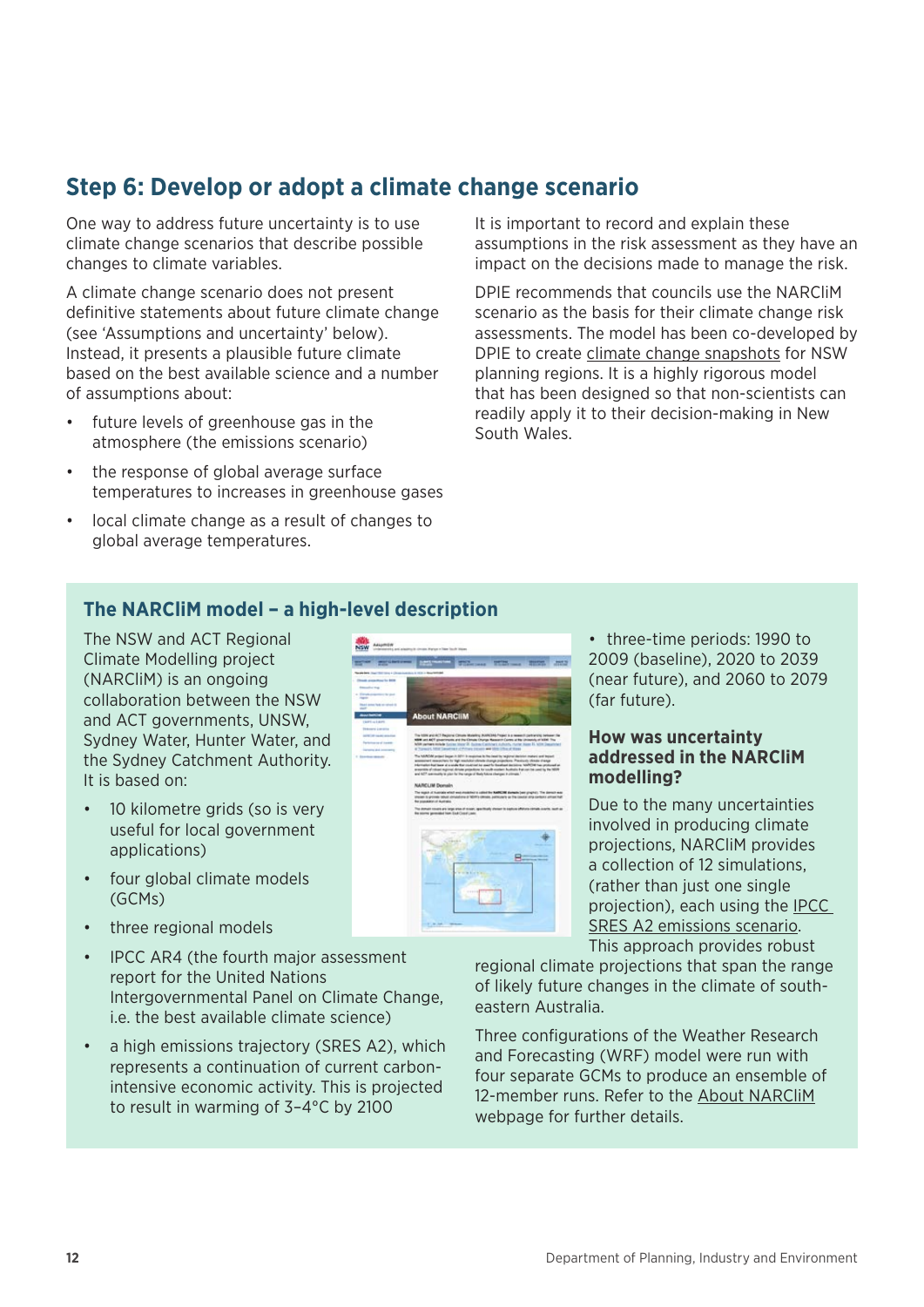### <span id="page-15-0"></span>**Step 6: Develop or adopt a climate change scenario**

One way to address future uncertainty is to use climate change scenarios that describe possible changes to climate variables.

A climate change scenario does not present definitive statements about future climate change (see 'Assumptions and uncertainty' below). Instead, it presents a plausible future climate based on the best available science and a number of assumptions about:

- future levels of greenhouse gas in the atmosphere (the emissions scenario)
- the response of global average surface temperatures to increases in greenhouse gases
- local climate change as a result of changes to global average temperatures.

It is important to record and explain these assumptions in the risk assessment as they have an impact on the decisions made to manage the risk.

DPIE recommends that councils use the NARCliM scenario as the basis for their climate change risk assessments. The model has been co-developed by DPIE to create [climate change snapshots](https://climatechange.environment.nsw.gov.au/Climate-projections-for-NSW/Climate-projections-for-your-region) for NSW planning regions. It is a highly rigorous model that has been designed so that non-scientists can readily apply it to their decision-making in New South Wales.

#### **The NARCliM model – a high-level description**

The NSW and ACT Regional Climate Modelling project (NARCliM) is an ongoing collaboration between the NSW and ACT governments, UNSW, Sydney Water, Hunter Water, and the Sydney Catchment Authority. It is based on:

- 10 kilometre grids (so is very useful for local government applications)
- four global climate models (GCMs)
- three regional models
- IPCC AR4 (the fourth major assessment report for the United Nations Intergovernmental Panel on Climate Change, i.e. the best available climate science)
- a high emissions trajectory (SRES A2), which represents a continuation of current carbonintensive economic activity. This is projected to result in warming of 3–4°C by 2100



• three-time periods: 1990 to 2009 (baseline), 2020 to 2039 (near future), and 2060 to 2079 (far future).

#### **How was uncertainty addressed in the NARCliM modelling?**

Due to the many uncertainties involved in producing climate projections, NARCliM provides a collection of 12 simulations, (rather than just one single projection), each using the [IPCC](http://www.ipcc.ch/ipccreports/sres/emission/index.php?idp=98)  [SRES A2 emissions scenario](http://www.ipcc.ch/ipccreports/sres/emission/index.php?idp=98). This approach provides robust

regional climate projections that span the range of likely future changes in the climate of southeastern Australia.

Three configurations of the Weather Research and Forecasting (WRF) model were run with four separate GCMs to produce an ensemble of 12-member runs. Refer to the [About NARCliM](https://climatechange.environment.nsw.gov.au/Climate-projections-for-NSW/About-NARCliM) webpage for further details.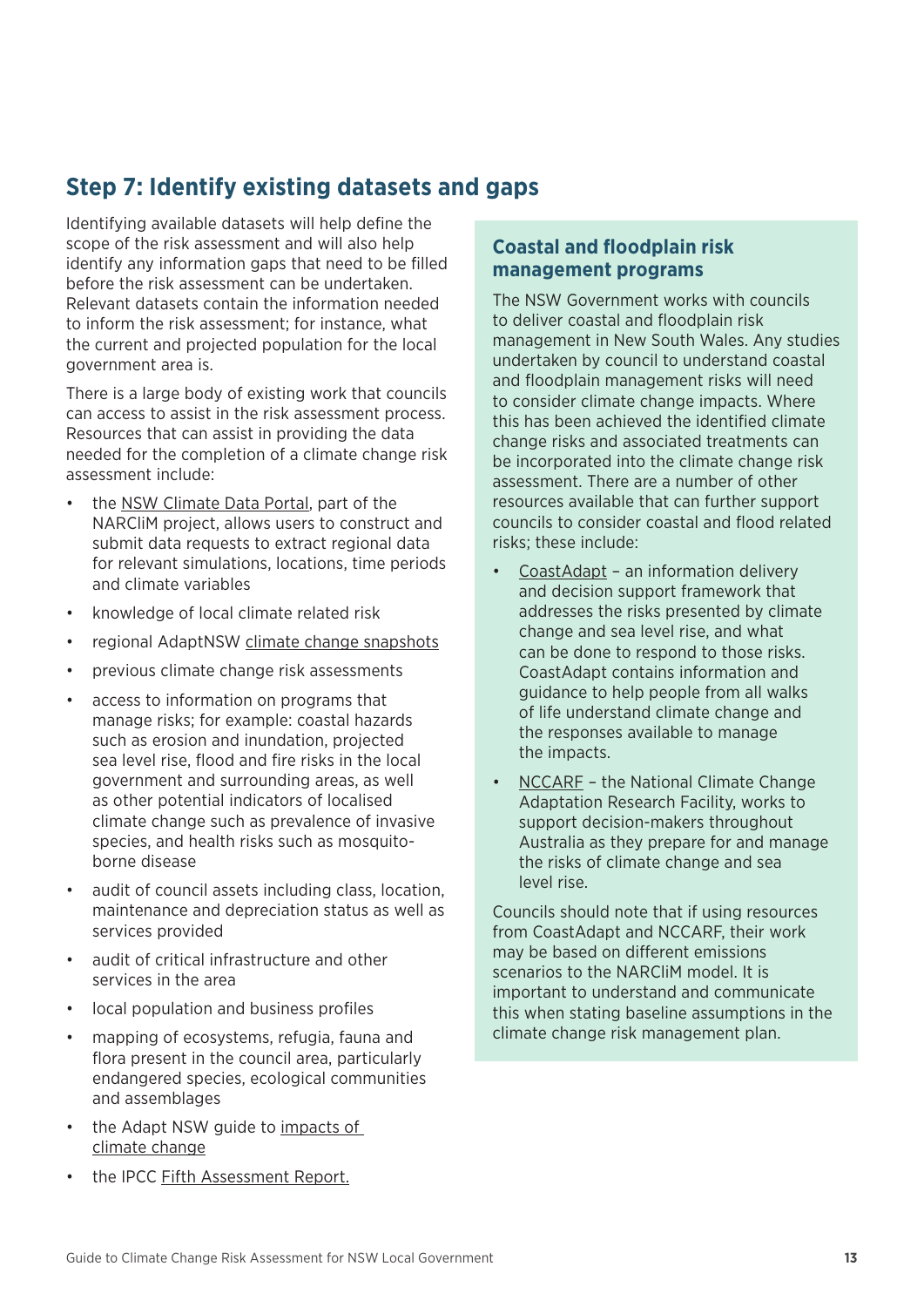### <span id="page-16-0"></span>**Step 7: Identify existing datasets and gaps**

Identifying available datasets will help define the scope of the risk assessment and will also help identify any information gaps that need to be filled before the risk assessment can be undertaken. Relevant datasets contain the information needed to inform the risk assessment; for instance, what the current and projected population for the local government area is.

There is a large body of existing work that councils can access to assist in the risk assessment process. Resources that can assist in providing the data needed for the completion of a climate change risk assessment include:

- the [NSW Climate Data Portal](https://climatedata.environment.nsw.gov.au/), part of the NARCliM project, allows users to construct and submit data requests to extract regional data for relevant simulations, locations, time periods and climate variables
- knowledge of local climate related risk
- regional AdaptNSW [climate change snapshots](http://climatechange.environment.nsw.gov.au/Climate-projections-for-NSW/Climate-projections-for-your-region)
- previous climate change risk assessments
- access to information on programs that manage risks; for example: coastal hazards such as erosion and inundation, projected sea level rise, flood and fire risks in the local government and surrounding areas, as well as other potential indicators of localised climate change such as prevalence of invasive species, and health risks such as mosquitoborne disease
- audit of council assets including class, location, maintenance and depreciation status as well as services provided
- audit of critical infrastructure and other services in the area
- local population and business profiles
- mapping of ecosystems, refugia, fauna and flora present in the council area, particularly endangered species, ecological communities and assemblages
- the Adapt NSW guide to impacts of [climate change](http://climatechange.environment.nsw.gov.au/Impacts-of-climate-change)
- the IPCC [Fifth Assessment Report.](https://www.ipcc.ch/report/ar5/)

#### **Coastal and floodplain risk management programs**

The NSW Government works with councils to deliver coastal and floodplain risk management in New South Wales. Any studies undertaken by council to understand coastal and floodplain management risks will need to consider climate change impacts. Where this has been achieved the identified climate change risks and associated treatments can be incorporated into the climate change risk assessment. There are a number of other resources available that can further support councils to consider coastal and flood related risks; these include:

- [CoastAdapt](https://coastadapt.com.au/about-coastadapt) an information delivery and decision support framework that addresses the risks presented by climate change and sea level rise, and what can be done to respond to those risks. CoastAdapt contains information and guidance to help people from all walks of life understand climate change and the responses available to manage the impacts.
- [NCCARF](https://www.nccarf.edu.au/) the National Climate Change Adaptation Research Facility, works to support decision-makers throughout Australia as they prepare for and manage the risks of climate change and sea level rise.

Councils should note that if using resources from CoastAdapt and NCCARF, their work may be based on different emissions scenarios to the NARCliM model. It is important to understand and communicate this when stating baseline assumptions in the climate change risk management plan.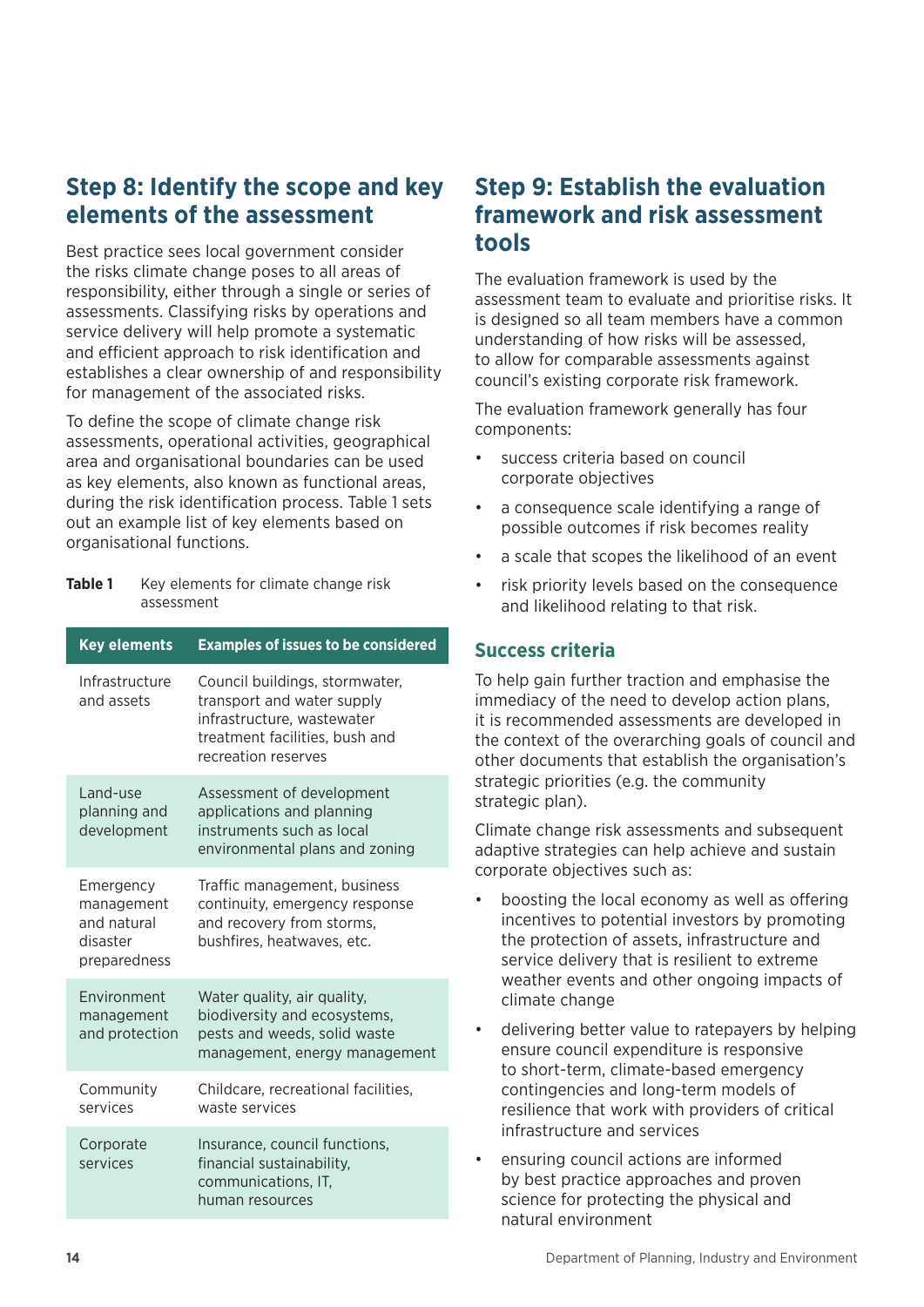### <span id="page-17-0"></span>**Step 8: Identify the scope and key elements of the assessment**

Best practice sees local government consider the risks climate change poses to all areas of responsibility, either through a single or series of assessments. Classifying risks by operations and service delivery will help promote a systematic and efficient approach to risk identification and establishes a clear ownership of and responsibility for management of the associated risks.

To define the scope of climate change risk assessments, operational activities, geographical area and organisational boundaries can be used as key elements, also known as functional areas, during the risk identification process. Table 1 sets out an example list of key elements based on organisational functions.

**Table 1** Key elements for climate change risk assessment

| <b>Key elements</b>                                                | <b>Examples of issues to be considered</b>                                                                                                          |
|--------------------------------------------------------------------|-----------------------------------------------------------------------------------------------------------------------------------------------------|
| Infrastructure<br>and assets                                       | Council buildings, stormwater,<br>transport and water supply<br>infrastructure, wastewater<br>treatment facilities, bush and<br>recreation reserves |
| Land-use<br>planning and<br>development                            | Assessment of development<br>applications and planning<br>instruments such as local<br>environmental plans and zoning                               |
| Emergency<br>management<br>and natural<br>disaster<br>preparedness | Traffic management, business<br>continuity, emergency response<br>and recovery from storms,<br>bushfires, heatwaves, etc.                           |
| Fnvironment<br>management<br>and protection                        | Water quality, air quality,<br>biodiversity and ecosystems,<br>pests and weeds, solid waste<br>management, energy management                        |
| Community<br>services                                              | Childcare, recreational facilities,<br>waste services                                                                                               |
| Corporate<br>services                                              | Insurance, council functions,<br>financial sustainability,<br>communications, IT,<br>human resources                                                |

### **Step 9: Establish the evaluation framework and risk assessment tools**

The evaluation framework is used by the assessment team to evaluate and prioritise risks. It is designed so all team members have a common understanding of how risks will be assessed, to allow for comparable assessments against council's existing corporate risk framework.

The evaluation framework generally has four components:

- success criteria based on council corporate objectives
- a consequence scale identifying a range of possible outcomes if risk becomes reality
- a scale that scopes the likelihood of an event
- risk priority levels based on the consequence and likelihood relating to that risk.

#### **Success criteria**

To help gain further traction and emphasise the immediacy of the need to develop action plans, it is recommended assessments are developed in the context of the overarching goals of council and other documents that establish the organisation's strategic priorities (e.g. the community strategic plan).

Climate change risk assessments and subsequent adaptive strategies can help achieve and sustain corporate objectives such as:

- boosting the local economy as well as offering incentives to potential investors by promoting the protection of assets, infrastructure and service delivery that is resilient to extreme weather events and other ongoing impacts of climate change
- delivering better value to ratepayers by helping ensure council expenditure is responsive to short-term, climate-based emergency contingencies and long-term models of resilience that work with providers of critical infrastructure and services
- ensuring council actions are informed by best practice approaches and proven science for protecting the physical and natural environment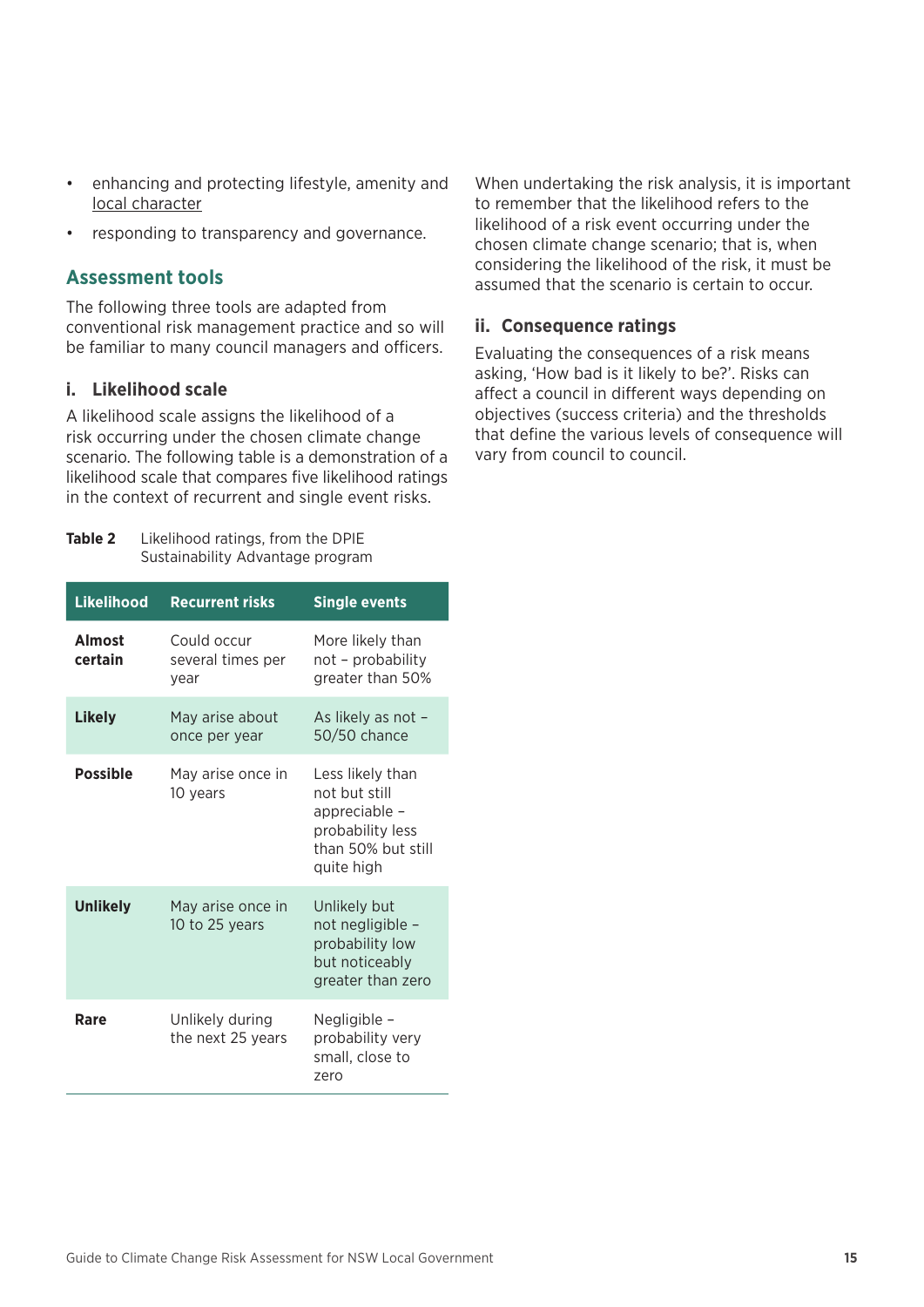- enhancing and protecting lifestyle, amenity and [local character](https://www.planning.nsw.gov.au/policy-and-legislation/local-character)
- responding to transparency and governance.

#### **Assessment tools**

The following three tools are adapted from conventional risk management practice and so will be familiar to many council managers and officers.

#### **i. Likelihood scale**

A likelihood scale assigns the likelihood of a risk occurring under the chosen climate change scenario. The following table is a demonstration of a likelihood scale that compares five likelihood ratings in the context of recurrent and single event risks.

**Table 2** Likelihood ratings, from the DPIE Sustainability Advantage program

| <b>Likelihood</b>        | <b>Recurrent risks</b>                   | <b>Single events</b>                                                                                       |
|--------------------------|------------------------------------------|------------------------------------------------------------------------------------------------------------|
| <b>Almost</b><br>certain | Could occur<br>several times per<br>year | More likely than<br>not – probability<br>greater than 50%                                                  |
| <b>Likely</b>            | May arise about<br>once per year         | As likely as not -<br>50/50 chance                                                                         |
| <b>Possible</b>          | May arise once in<br>10 years            | Less likely than<br>not but still<br>appreciable -<br>probability less<br>than 50% but still<br>quite high |
| <b>Unlikely</b>          | May arise once in<br>10 to 25 years      | Unlikely but<br>not negligible -<br>probability low<br>but noticeably<br>greater than zero                 |
| Rare                     | Unlikely during<br>the next 25 years     | Negligible -<br>probability very<br>small, close to<br>zero                                                |

When undertaking the risk analysis, it is important to remember that the likelihood refers to the likelihood of a risk event occurring under the chosen climate change scenario; that is, when considering the likelihood of the risk, it must be assumed that the scenario is certain to occur.

#### **ii. Consequence ratings**

Evaluating the consequences of a risk means asking, 'How bad is it likely to be?'. Risks can affect a council in different ways depending on objectives (success criteria) and the thresholds that define the various levels of consequence will vary from council to council.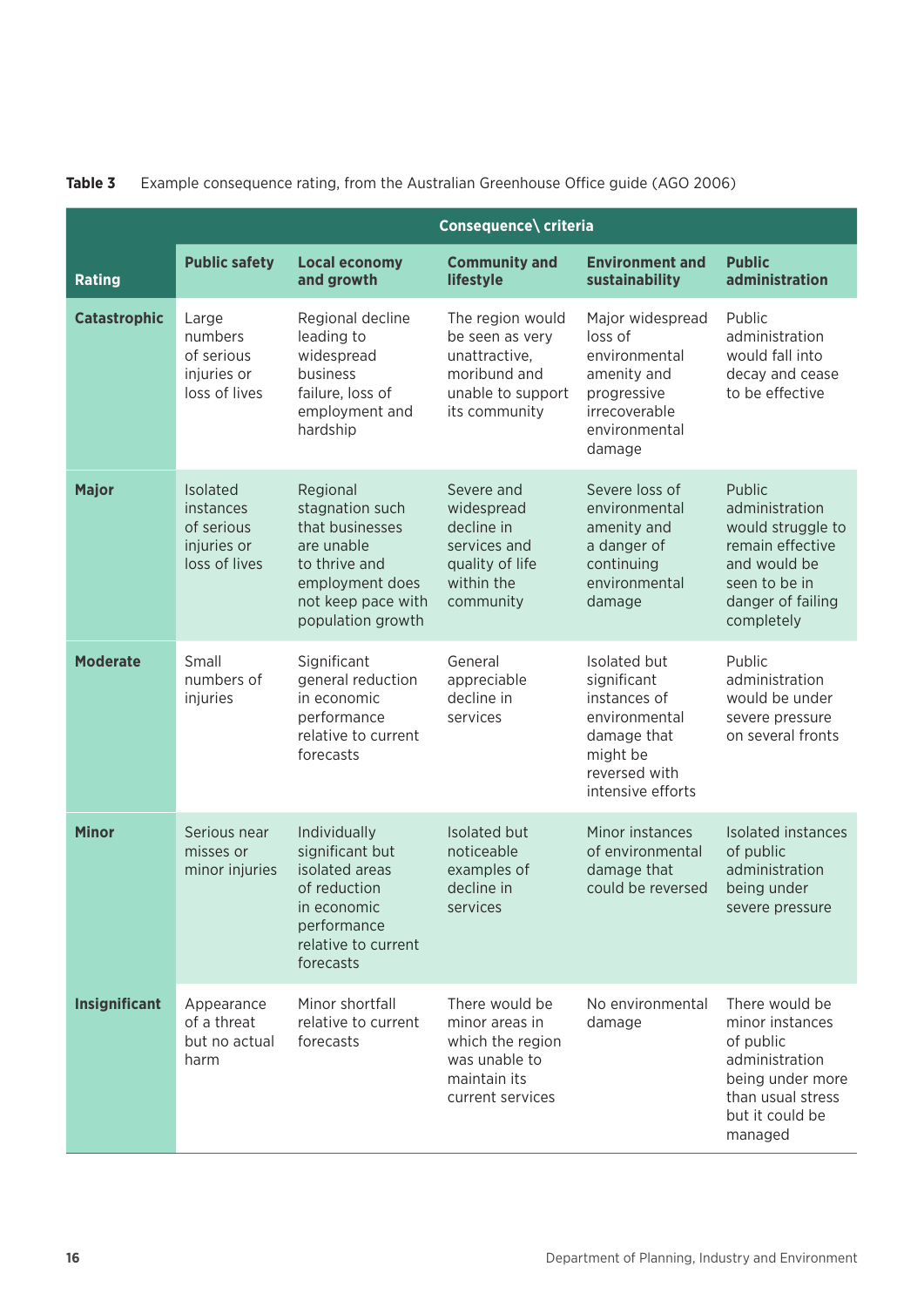|                     | Consequence\ criteria                                               |                                                                                                                                             |                                                                                                            |                                                                                                                               |                                                                                                                                         |  |  |  |
|---------------------|---------------------------------------------------------------------|---------------------------------------------------------------------------------------------------------------------------------------------|------------------------------------------------------------------------------------------------------------|-------------------------------------------------------------------------------------------------------------------------------|-----------------------------------------------------------------------------------------------------------------------------------------|--|--|--|
| <b>Rating</b>       | <b>Public safety</b>                                                | <b>Local economy</b><br>and growth                                                                                                          | <b>Community and</b><br>lifestyle                                                                          | <b>Environment and</b><br>sustainability                                                                                      | <b>Public</b><br>administration                                                                                                         |  |  |  |
| <b>Catastrophic</b> | Large<br>numbers<br>of serious<br>injuries or<br>loss of lives      | Regional decline<br>leading to<br>widespread<br>business<br>failure, loss of<br>employment and<br>hardship                                  | The region would<br>be seen as very<br>unattractive,<br>moribund and<br>unable to support<br>its community | Major widespread<br>loss of<br>environmental<br>amenity and<br>progressive<br>irrecoverable<br>environmental<br>damage        | Public<br>administration<br>would fall into<br>decay and cease<br>to be effective                                                       |  |  |  |
| <b>Major</b>        | Isolated<br>instances<br>of serious<br>injuries or<br>loss of lives | Regional<br>stagnation such<br>that businesses<br>are unable<br>to thrive and<br>employment does<br>not keep pace with<br>population growth | Severe and<br>widespread<br>decline in<br>services and<br>quality of life<br>within the<br>community       | Severe loss of<br>environmental<br>amenity and<br>a danger of<br>continuing<br>environmental<br>damage                        | Public<br>administration<br>would struggle to<br>remain effective<br>and would be<br>seen to be in<br>danger of failing<br>completely   |  |  |  |
| <b>Moderate</b>     | Small<br>numbers of<br>injuries                                     | Significant<br>general reduction<br>in economic<br>performance<br>relative to current<br>forecasts                                          | General<br>appreciable<br>decline in<br>services                                                           | Isolated but<br>significant<br>instances of<br>environmental<br>damage that<br>might be<br>reversed with<br>intensive efforts | Public<br>administration<br>would be under<br>severe pressure<br>on several fronts                                                      |  |  |  |
| <b>Minor</b>        | Serious near<br>misses or<br>minor injuries                         | Individually<br>significant but<br>isolated areas<br>of reduction<br>in economic<br>performance<br>relative to current<br>forecasts         | Isolated but<br>noticeable<br>examples of<br>decline in<br>services                                        | Minor instances<br>of environmental<br>damage that<br>could be reversed                                                       | Isolated instances<br>of public<br>administration<br>being under<br>severe pressure                                                     |  |  |  |
| Insignificant       | Appearance<br>of a threat<br>but no actual<br>harm                  | Minor shortfall<br>relative to current<br>forecasts                                                                                         | There would be<br>minor areas in<br>which the region<br>was unable to<br>maintain its<br>current services  | No environmental<br>damage                                                                                                    | There would be<br>minor instances<br>of public<br>administration<br>being under more<br>than usual stress<br>but it could be<br>managed |  |  |  |

#### **Table 3** Example consequence rating, from the Australian Greenhouse Office guide (AGO 2006)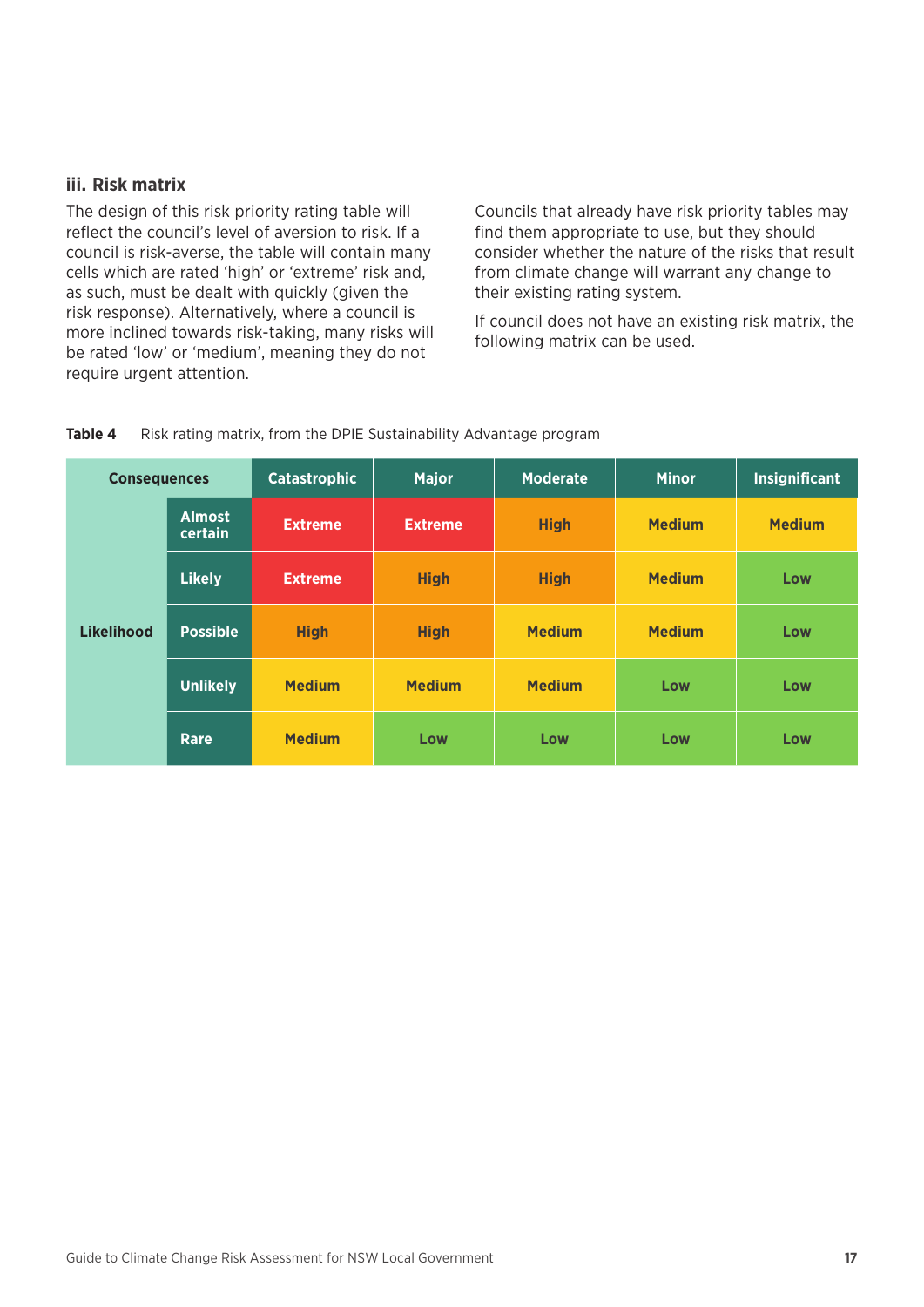#### **iii. Risk matrix**

The design of this risk priority rating table will reflect the council's level of aversion to risk. If a council is risk-averse, the table will contain many cells which are rated 'high' or 'extreme' risk and, as such, must be dealt with quickly (given the risk response). Alternatively, where a council is more inclined towards risk-taking, many risks will be rated 'low' or 'medium', meaning they do not require urgent attention.

Councils that already have risk priority tables may find them appropriate to use, but they should consider whether the nature of the risks that result from climate change will warrant any change to their existing rating system.

If council does not have an existing risk matrix, the following matrix can be used.

| Table 4 |  | Risk rating matrix, from the DPIE Sustainability Advantage program |  |
|---------|--|--------------------------------------------------------------------|--|
|         |  |                                                                    |  |

| <b>Consequences</b> |                          | <b>Catastrophic</b> | <b>Major</b>   | <b>Moderate</b> | <b>Minor</b>  | <b>Insignificant</b> |
|---------------------|--------------------------|---------------------|----------------|-----------------|---------------|----------------------|
|                     | <b>Almost</b><br>certain | <b>Extreme</b>      | <b>Extreme</b> | <b>High</b>     | <b>Medium</b> | <b>Medium</b>        |
|                     | <b>Likely</b>            | <b>Extreme</b>      | <b>High</b>    | <b>High</b>     | <b>Medium</b> | Low                  |
| <b>Likelihood</b>   | <b>Possible</b>          | <b>High</b>         | <b>High</b>    | <b>Medium</b>   | <b>Medium</b> | Low                  |
|                     | <b>Unlikely</b>          | <b>Medium</b>       | <b>Medium</b>  | <b>Medium</b>   | Low           | Low                  |
|                     | <b>Rare</b>              | <b>Medium</b>       | Low            | Low             | Low           | Low                  |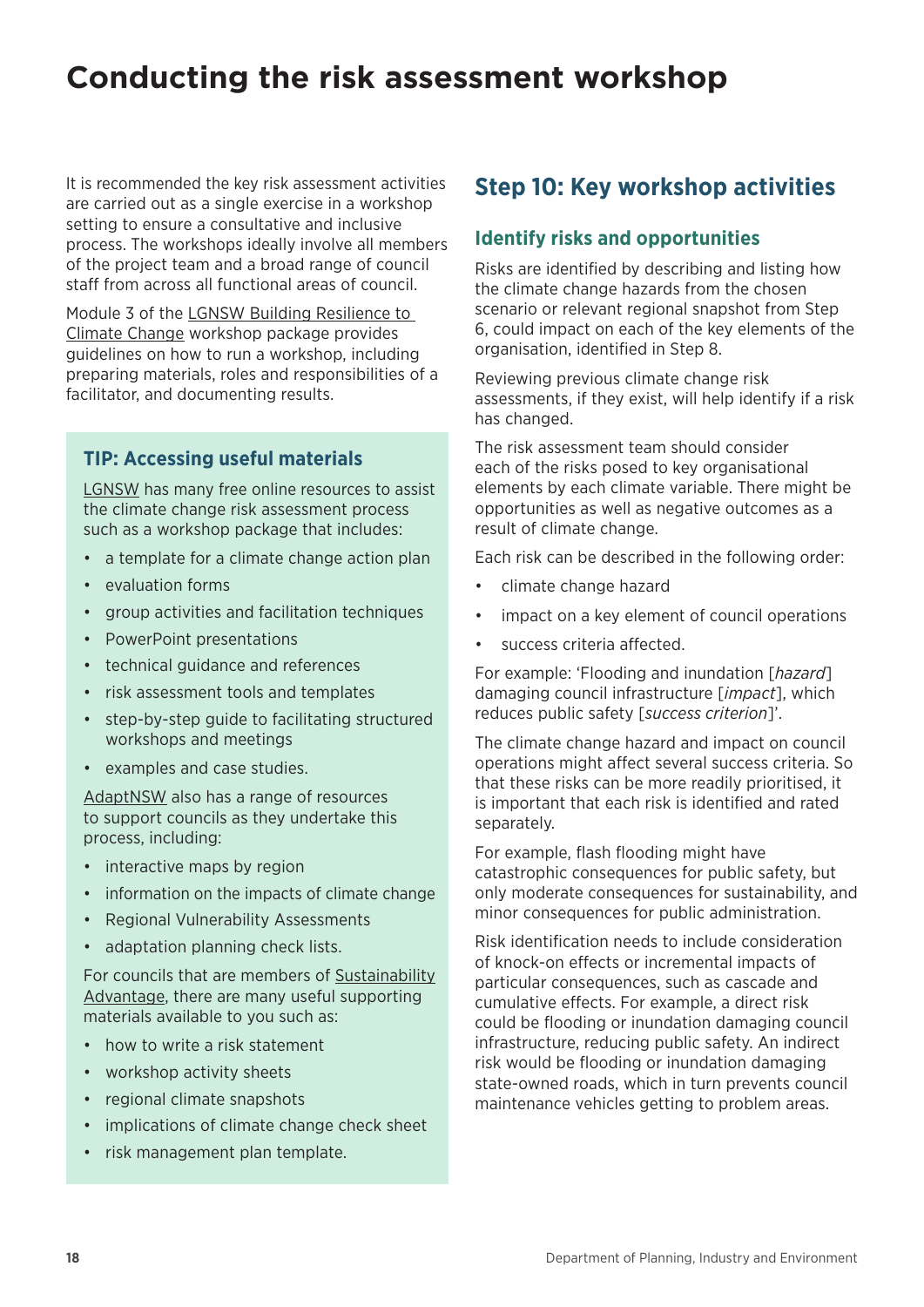## <span id="page-21-0"></span>**Conducting the risk assessment workshop**

It is recommended the key risk assessment activities are carried out as a single exercise in a workshop setting to ensure a consultative and inclusive process. The workshops ideally involve all members of the project team and a broad range of council staff from across all functional areas of council.

Module 3 of the [LGNSW Building Resilience to](https://www.lgnsw.org.au/policy/climate-change/building-resilience)  [Climate Change](https://www.lgnsw.org.au/policy/climate-change/building-resilience) workshop package provides guidelines on how to run a workshop, including preparing materials, roles and responsibilities of a facilitator, and documenting results.

#### **TIP: Accessing useful materials**

[LGNSW](https://www.lgnsw.org.au/policy/cc_resources) has many free online resources to assist the climate change risk assessment process such as a workshop package that includes:

- a template for a climate change action plan
- evaluation forms
- group activities and facilitation techniques
- PowerPoint presentations
- technical guidance and references
- risk assessment tools and templates
- step-by-step guide to facilitating structured workshops and meetings
- examples and case studies.

[AdaptNSW](https://climatechange.environment.nsw.gov.au/) also has a range of resources to support councils as they undertake this process, including:

- interactive maps by region
- information on the impacts of climate change
- Regional Vulnerability Assessments
- adaptation planning check lists.

For councils that are members of [Sustainability](https://www.environment.nsw.gov.au/sustainabilityadvantage/)  [Advantage](https://www.environment.nsw.gov.au/sustainabilityadvantage/), there are many useful supporting materials available to you such as:

- how to write a risk statement
- workshop activity sheets
- regional climate snapshots
- implications of climate change check sheet
- risk management plan template.

### **Step 10: Key workshop activities**

#### **Identify risks and opportunities**

Risks are identified by describing and listing how the climate change hazards from the chosen scenario or relevant regional snapshot from Step 6, could impact on each of the key elements of the organisation, identified in Step 8.

Reviewing previous climate change risk assessments, if they exist, will help identify if a risk has changed.

The risk assessment team should consider each of the risks posed to key organisational elements by each climate variable. There might be opportunities as well as negative outcomes as a result of climate change.

Each risk can be described in the following order:

- climate change hazard
- impact on a key element of council operations
- success criteria affected.

For example: 'Flooding and inundation [*hazard*] damaging council infrastructure [*impact*], which reduces public safety [*success criterion*]'.

The climate change hazard and impact on council operations might affect several success criteria. So that these risks can be more readily prioritised, it is important that each risk is identified and rated separately.

For example, flash flooding might have catastrophic consequences for public safety, but only moderate consequences for sustainability, and minor consequences for public administration.

Risk identification needs to include consideration of knock-on effects or incremental impacts of particular consequences, such as cascade and cumulative effects. For example, a direct risk could be flooding or inundation damaging council infrastructure, reducing public safety. An indirect risk would be flooding or inundation damaging state-owned roads, which in turn prevents council maintenance vehicles getting to problem areas.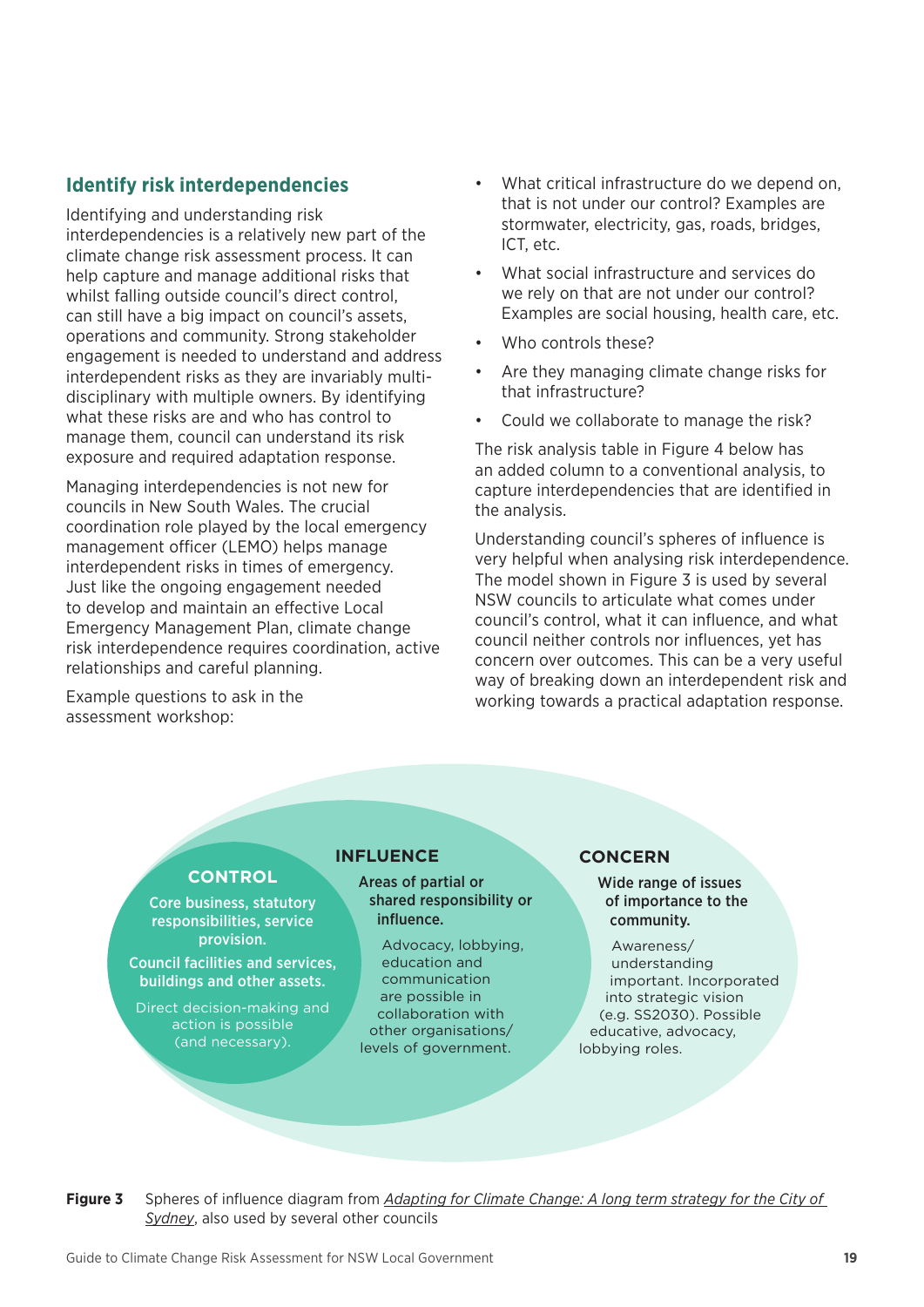#### **Identify risk interdependencies**

Identifying and understanding risk interdependencies is a relatively new part of the climate change risk assessment process. It can help capture and manage additional risks that whilst falling outside council's direct control, can still have a big impact on council's assets, operations and community. Strong stakeholder engagement is needed to understand and address interdependent risks as they are invariably multidisciplinary with multiple owners. By identifying what these risks are and who has control to manage them, council can understand its risk exposure and required adaptation response.

Managing interdependencies is not new for councils in New South Wales. The crucial coordination role played by the local emergency management officer (LEMO) helps manage interdependent risks in times of emergency. Just like the ongoing engagement needed to develop and maintain an effective Local Emergency Management Plan, climate change risk interdependence requires coordination, active relationships and careful planning.

Example questions to ask in the assessment workshop:

- What critical infrastructure do we depend on. that is not under our control? Examples are stormwater, electricity, gas, roads, bridges, ICT, etc.
- What social infrastructure and services do we rely on that are not under our control? Examples are social housing, health care, etc.
- Who controls these?
- Are they managing climate change risks for that infrastructure?
- Could we collaborate to manage the risk?

The risk analysis table in Figure 4 below has an added column to a conventional analysis, to capture interdependencies that are identified in the analysis.

Understanding council's spheres of influence is very helpful when analysing risk interdependence. The model shown in Figure 3 is used by several NSW councils to articulate what comes under council's control, what it can influence, and what council neither controls nor influences, yet has concern over outcomes. This can be a very useful way of breaking down an interdependent risk and working towards a practical adaptation response.

#### **CONTROL**

Core business, statutory responsibilities, service provision.

Council facilities and services, buildings and other assets.

Direct decision-making and action is possible (and necessary).

#### **INFLUENCE**

Areas of partial or shared responsibility or influence.

Advocacy, lobbying, education and communication are possible in collaboration with other organisations/ levels of government.

#### **CONCERN**

Wide range of issues of importance to the community.

Awareness/ understanding important. Incorporated into strategic vision (e.g. SS2030). Possible educative, advocacy, lobbying roles.

**Figure 3** Spheres of influence diagram from *[Adapting for Climate Change: A long term strategy for the City of](https://www.cityofsydney.nsw.gov.au/__data/assets/pdf_file/0013/250123/2016-022571-Adapting-to-Climate-Change_accessible.pdf)  [Sydney](https://www.cityofsydney.nsw.gov.au/__data/assets/pdf_file/0013/250123/2016-022571-Adapting-to-Climate-Change_accessible.pdf)*, also used by several other councils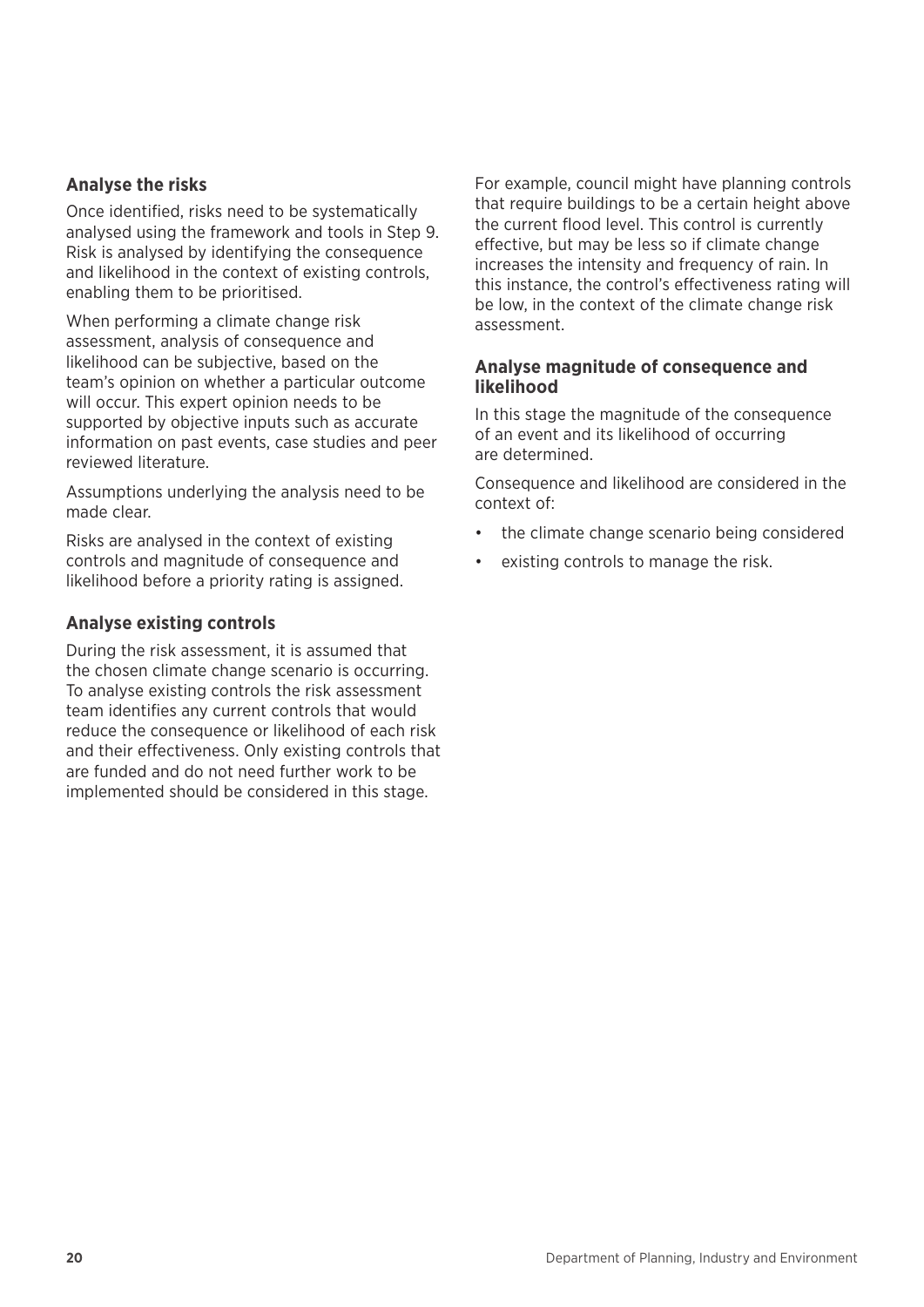#### **Analyse the risks**

Once identified, risks need to be systematically analysed using the framework and tools in Step 9. Risk is analysed by identifying the consequence and likelihood in the context of existing controls, enabling them to be prioritised.

When performing a climate change risk assessment, analysis of consequence and likelihood can be subjective, based on the team's opinion on whether a particular outcome will occur. This expert opinion needs to be supported by objective inputs such as accurate information on past events, case studies and peer reviewed literature.

Assumptions underlying the analysis need to be made clear.

Risks are analysed in the context of existing controls and magnitude of consequence and likelihood before a priority rating is assigned.

#### **Analyse existing controls**

During the risk assessment, it is assumed that the chosen climate change scenario is occurring. To analyse existing controls the risk assessment team identifies any current controls that would reduce the consequence or likelihood of each risk and their effectiveness. Only existing controls that are funded and do not need further work to be implemented should be considered in this stage.

For example, council might have planning controls that require buildings to be a certain height above the current flood level. This control is currently effective, but may be less so if climate change increases the intensity and frequency of rain. In this instance, the control's effectiveness rating will be low, in the context of the climate change risk assessment.

#### **Analyse magnitude of consequence and likelihood**

In this stage the magnitude of the consequence of an event and its likelihood of occurring are determined.

Consequence and likelihood are considered in the context of:

- the climate change scenario being considered
- existing controls to manage the risk.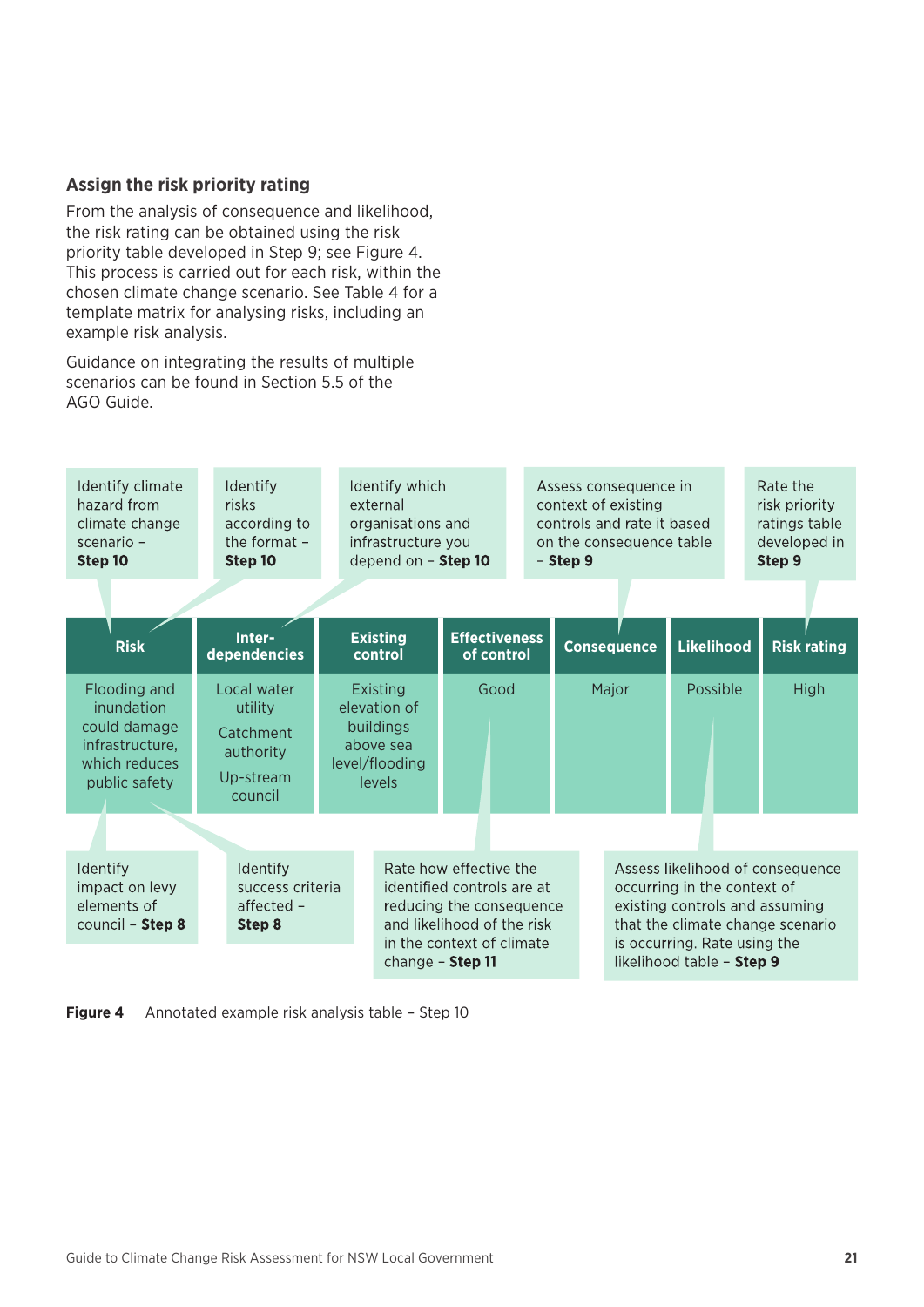#### **Assign the risk priority rating**

From the analysis of consequence and likelihood, the risk rating can be obtained using the risk priority table developed in Step 9; see Figure 4. This process is carried out for each risk, within the chosen climate change scenario. See Table 4 for a template matrix for analysing risks, including an example risk analysis.

Guidance on integrating the results of multiple scenarios can be found in Section 5.5 of the [AGO Guide](https://www.environment.gov.au/system/files/resources/21c04298-db93-47a6-a6b0-eaaaae9ef8e4/files/risk-management.pdf).



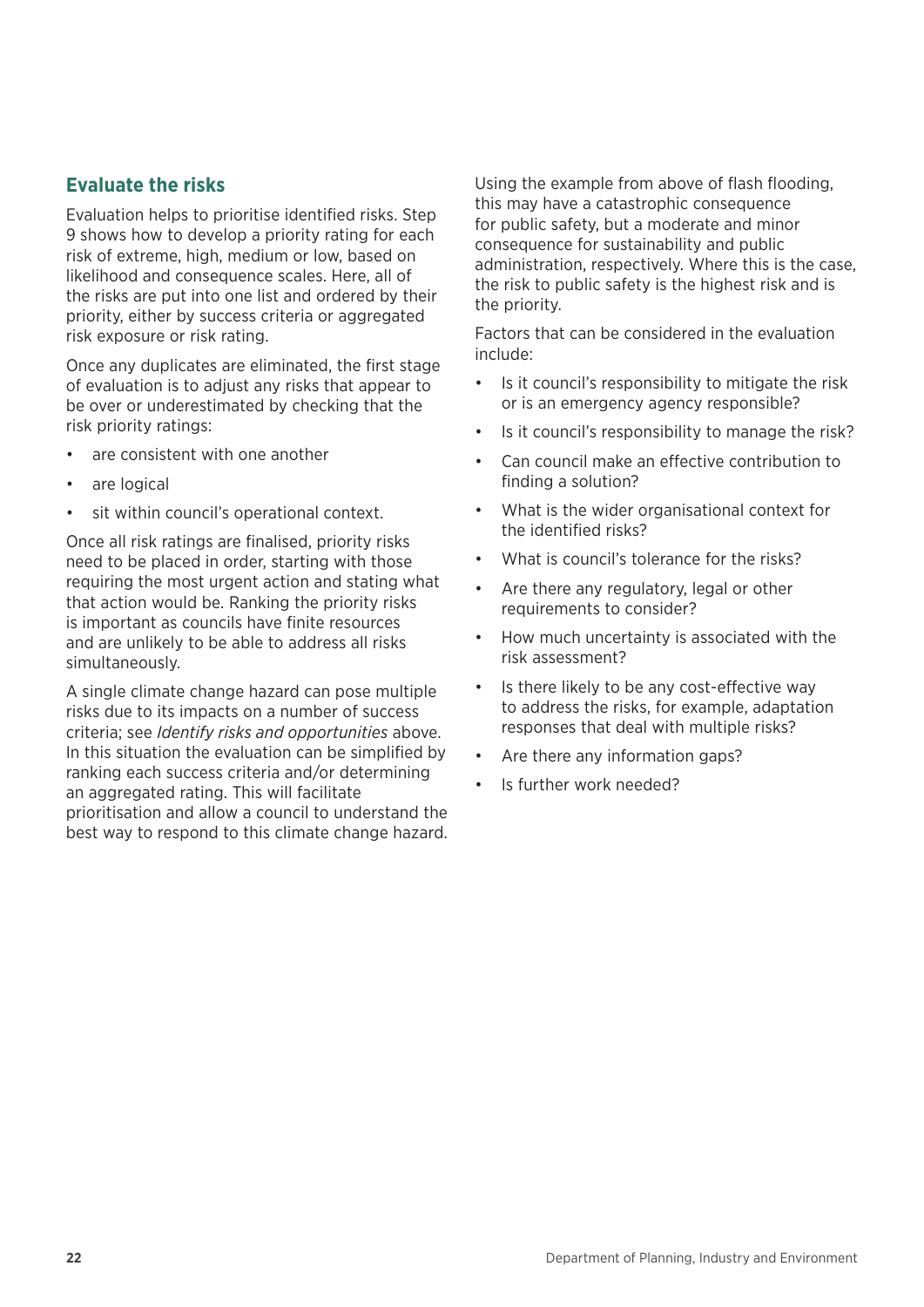#### **Evaluate the risks**

Evaluation helps to prioritise identified risks. Step 9 shows how to develop a priority rating for each risk of extreme, high, medium or low, based on likelihood and consequence scales. Here, all of the risks are put into one list and ordered by their priority, either by success criteria or aggregated risk exposure or risk rating.

Once any duplicates are eliminated, the first stage of evaluation is to adjust any risks that appear to be over or underestimated by checking that the risk priority ratings:

- are consistent with one another
- are logical
- sit within council's operational context.

Once all risk ratings are finalised, priority risks need to be placed in order, starting with those requiring the most urgent action and stating what that action would be. Ranking the priority risks is important as councils have finite resources and are unlikely to be able to address all risks simultaneously.

A single climate change hazard can pose multiple risks due to its impacts on a number of success criteria; see *Identify risks and opportunities* above. In this situation the evaluation can be simplified by ranking each success criteria and/or determining an aggregated rating. This will facilitate prioritisation and allow a council to understand the best way to respond to this climate change hazard. Using the example from above of flash flooding, this may have a catastrophic consequence for public safety, but a moderate and minor consequence for sustainability and public administration, respectively. Where this is the case, the risk to public safety is the highest risk and is the priority.

Factors that can be considered in the evaluation include:

- Is it council's responsibility to mitigate the risk or is an emergency agency responsible?
- Is it council's responsibility to manage the risk?
- Can council make an effective contribution to finding a solution?
- What is the wider organisational context for the identified risks?
- What is council's tolerance for the risks?
- Are there any regulatory, legal or other requirements to consider?
- How much uncertainty is associated with the risk assessment?
- Is there likely to be any cost-effective way to address the risks, for example, adaptation responses that deal with multiple risks?
- Are there any information gaps?
- Is further work needed?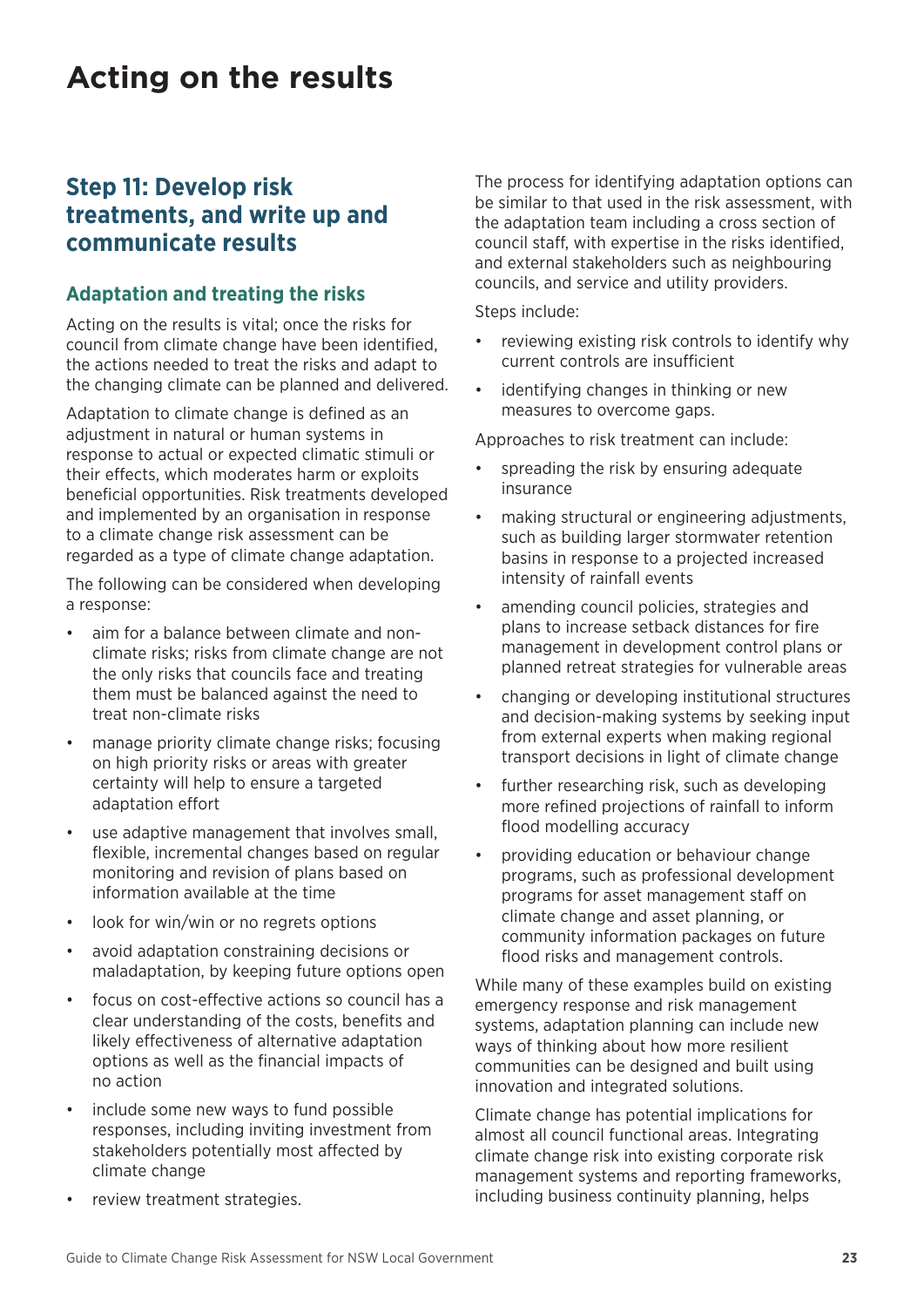## <span id="page-26-0"></span>**Acting on the results**

### **Step 11: Develop risk treatments, and write up and communicate results**

#### **Adaptation and treating the risks**

Acting on the results is vital; once the risks for council from climate change have been identified, the actions needed to treat the risks and adapt to the changing climate can be planned and delivered.

Adaptation to climate change is defined as an adjustment in natural or human systems in response to actual or expected climatic stimuli or their effects, which moderates harm or exploits beneficial opportunities. Risk treatments developed and implemented by an organisation in response to a climate change risk assessment can be regarded as a type of climate change adaptation.

The following can be considered when developing a response:

- aim for a balance between climate and nonclimate risks; risks from climate change are not the only risks that councils face and treating them must be balanced against the need to treat non-climate risks
- manage priority climate change risks; focusing on high priority risks or areas with greater certainty will help to ensure a targeted adaptation effort
- use adaptive management that involves small, flexible, incremental changes based on regular monitoring and revision of plans based on information available at the time
- look for win/win or no regrets options
- avoid adaptation constraining decisions or maladaptation, by keeping future options open
- focus on cost-effective actions so council has a clear understanding of the costs, benefits and likely effectiveness of alternative adaptation options as well as the financial impacts of no action
- include some new ways to fund possible responses, including inviting investment from stakeholders potentially most affected by climate change
- review treatment strategies.

The process for identifying adaptation options can be similar to that used in the risk assessment, with the adaptation team including a cross section of council staff, with expertise in the risks identified, and external stakeholders such as neighbouring councils, and service and utility providers.

Steps include:

- reviewing existing risk controls to identify why current controls are insufficient
- identifying changes in thinking or new measures to overcome gaps.

Approaches to risk treatment can include:

- spreading the risk by ensuring adequate insurance
- making structural or engineering adjustments, such as building larger stormwater retention basins in response to a projected increased intensity of rainfall events
- amending council policies, strategies and plans to increase setback distances for fire management in development control plans or planned retreat strategies for vulnerable areas
- changing or developing institutional structures and decision-making systems by seeking input from external experts when making regional transport decisions in light of climate change
- further researching risk, such as developing more refined projections of rainfall to inform flood modelling accuracy
- providing education or behaviour change programs, such as professional development programs for asset management staff on climate change and asset planning, or community information packages on future flood risks and management controls.

While many of these examples build on existing emergency response and risk management systems, adaptation planning can include new ways of thinking about how more resilient communities can be designed and built using innovation and integrated solutions.

Climate change has potential implications for almost all council functional areas. Integrating climate change risk into existing corporate risk management systems and reporting frameworks, including business continuity planning, helps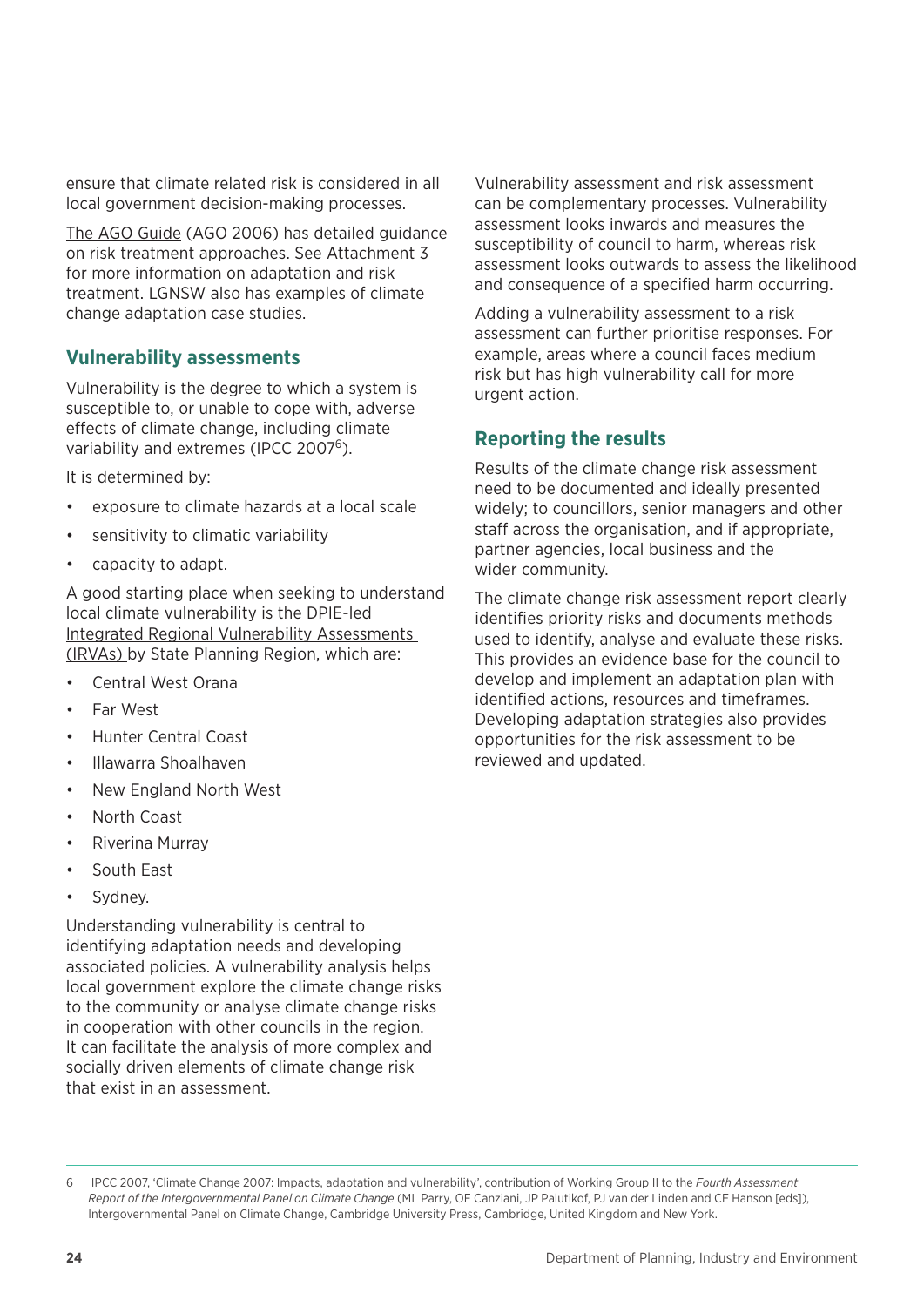ensure that climate related risk is considered in all local government decision-making processes.

[The AGO Guide](https://www.environment.gov.au/system/files/resources/21c04298-db93-47a6-a6b0-eaaaae9ef8e4/files/risk-management.pdf) (AGO 2006) has detailed guidance on risk treatment approaches. See Attachment 3 for more information on adaptation and risk treatment. LGNSW also has examples of climate change adaptation case studies.

#### **Vulnerability assessments**

Vulnerability is the degree to which a system is susceptible to, or unable to cope with, adverse effects of climate change, including climate variability and extremes (IPCC 2007<sup>6</sup>).

It is determined by:

- exposure to climate hazards at a local scale
- sensitivity to climatic variability
- capacity to adapt.

A good starting place when seeking to understand local climate vulnerability is the DPIE-led [Integrated Regional Vulnerability Assessments](https://climatechange.environment.nsw.gov.au/Adapting-to-climate-change/Regional-vulnerability-and-assessment)  [\(IRVAs\)](https://climatechange.environment.nsw.gov.au/Adapting-to-climate-change/Regional-vulnerability-and-assessment) by State Planning Region, which are:

- Central West Orana
- Far West
- Hunter Central Coast
- Illawarra Shoalhaven
- New England North West
- North Coast
- Riverina Murray
- South East
- Sydney.

Understanding vulnerability is central to identifying adaptation needs and developing associated policies. A vulnerability analysis helps local government explore the climate change risks to the community or analyse climate change risks in cooperation with other councils in the region. It can facilitate the analysis of more complex and socially driven elements of climate change risk that exist in an assessment.

Vulnerability assessment and risk assessment can be complementary processes. Vulnerability assessment looks inwards and measures the susceptibility of council to harm, whereas risk assessment looks outwards to assess the likelihood and consequence of a specified harm occurring.

Adding a vulnerability assessment to a risk assessment can further prioritise responses. For example, areas where a council faces medium risk but has high vulnerability call for more urgent action.

#### **Reporting the results**

Results of the climate change risk assessment need to be documented and ideally presented widely; to councillors, senior managers and other staff across the organisation, and if appropriate, partner agencies, local business and the wider community.

The climate change risk assessment report clearly identifies priority risks and documents methods used to identify, analyse and evaluate these risks. This provides an evidence base for the council to develop and implement an adaptation plan with identified actions, resources and timeframes. Developing adaptation strategies also provides opportunities for the risk assessment to be reviewed and updated.

<sup>6</sup> IPCC 2007, 'Climate Change 2007: Impacts, adaptation and vulnerability', contribution of Working Group II to the *Fourth Assessment Report of the Intergovernmental Panel on Climate Change* (ML Parry, OF Canziani, JP Palutikof, PJ van der Linden and CE Hanson [eds]), Intergovernmental Panel on Climate Change, Cambridge University Press, Cambridge, United Kingdom and New York.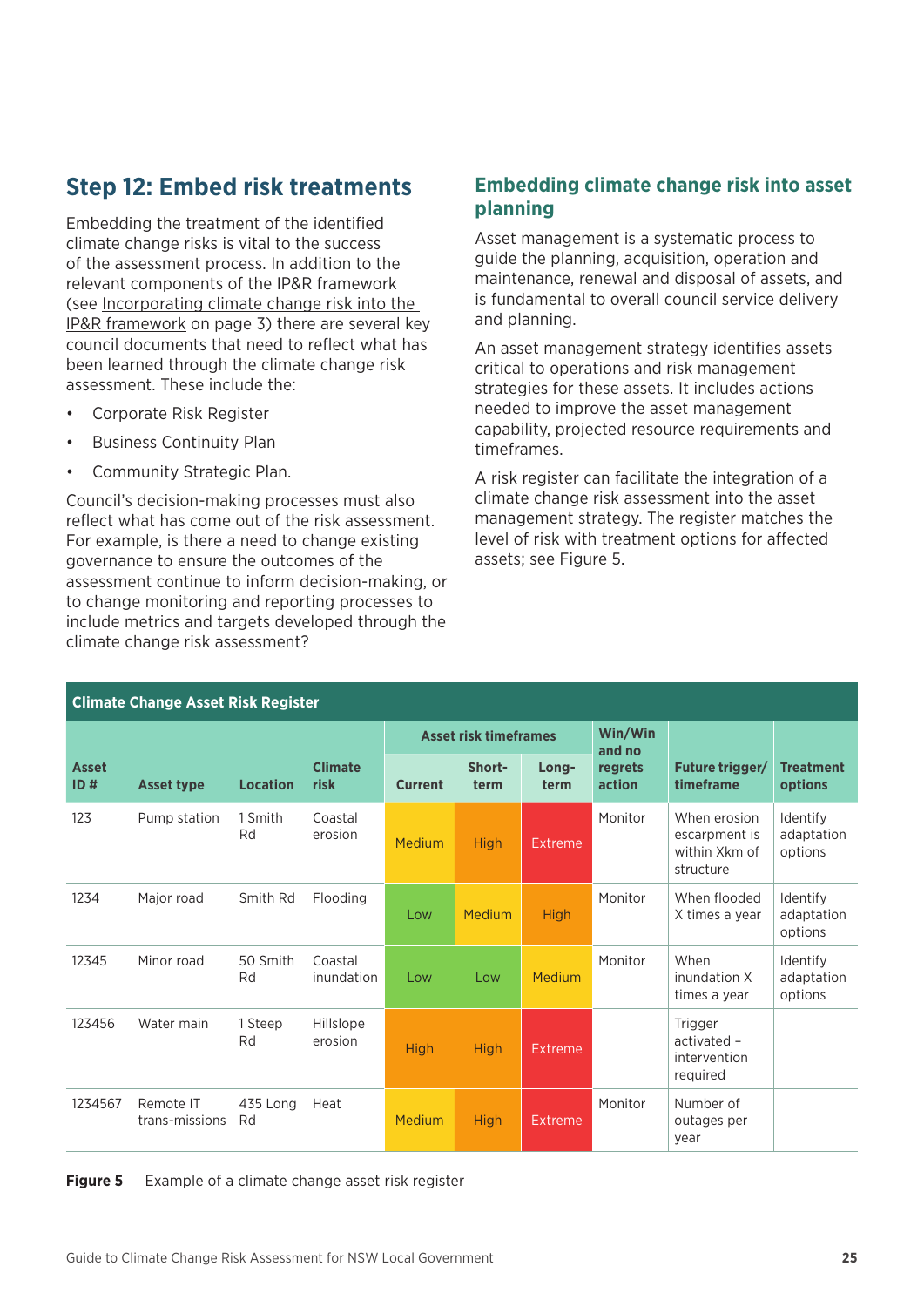### <span id="page-28-0"></span>**Step 12: Embed risk treatments**

Embedding the treatment of the identified climate change risks is vital to the success of the assessment process. In addition to the relevant components of the IP&R framework (see [Incorporating climate change risk into the](#page-6-0)  [IP&R framework](#page-6-0) on page 3) there are several key council documents that need to reflect what has been learned through the climate change risk assessment. These include the:

- Corporate Risk Register
- Business Continuity Plan
- Community Strategic Plan.

Council's decision-making processes must also reflect what has come out of the risk assessment. For example, is there a need to change existing governance to ensure the outcomes of the assessment continue to inform decision-making, or to change monitoring and reporting processes to include metrics and targets developed through the climate change risk assessment?

#### **Embedding climate change risk into asset planning**

Asset management is a systematic process to guide the planning, acquisition, operation and maintenance, renewal and disposal of assets, and is fundamental to overall council service delivery and planning.

An asset management strategy identifies assets critical to operations and risk management strategies for these assets. It includes actions needed to improve the asset management capability, projected resource requirements and timeframes.

A risk register can facilitate the integration of a climate change risk assessment into the asset management strategy. The register matches the level of risk with treatment options for affected assets; see Figure 5.

| <b>Climate Change Asset Risk Register</b> |                             |                 |                        |                              |                |                |                   |                                                             |                                   |
|-------------------------------------------|-----------------------------|-----------------|------------------------|------------------------------|----------------|----------------|-------------------|-------------------------------------------------------------|-----------------------------------|
|                                           |                             |                 |                        | <b>Asset risk timeframes</b> |                |                | Win/Win<br>and no |                                                             |                                   |
| <b>Asset</b><br>ID#                       | <b>Asset type</b>           | <b>Location</b> | <b>Climate</b><br>risk | <b>Current</b>               | Short-<br>term | Long-<br>term  | regrets<br>action | Future trigger/<br>timeframe                                | <b>Treatment</b><br>options       |
| 123                                       | Pump station                | 1 Smith<br>Rd   | Coastal<br>erosion     | Medium                       | <b>High</b>    | Extreme        | Monitor           | When erosion<br>escarpment is<br>within Xkm of<br>structure | Identify<br>adaptation<br>options |
| 1234                                      | Major road                  | Smith Rd        | Flooding               | Low                          | Medium         | <b>High</b>    | Monitor           | When flooded<br>X times a year                              | Identify<br>adaptation<br>options |
| 12345                                     | Minor road                  | 50 Smith<br>Rd  | Coastal<br>inundation  | Low                          | Low            | Medium         | Monitor           | When<br>inundation X<br>times a year                        | Identify<br>adaptation<br>options |
| 123456                                    | Water main                  | 1 Steep<br>Rd   | Hillslope<br>erosion   | <b>High</b>                  | <b>High</b>    | Extreme        |                   | Trigger<br>activated -<br>intervention<br>required          |                                   |
| 1234567                                   | Remote IT<br>trans-missions | 435 Long<br>Rd  | Heat                   | Medium                       | <b>High</b>    | <b>Extreme</b> | Monitor           | Number of<br>outages per<br>year                            |                                   |

|  | Figure 5 |  |  | Example of a climate change asset risk register |
|--|----------|--|--|-------------------------------------------------|
|--|----------|--|--|-------------------------------------------------|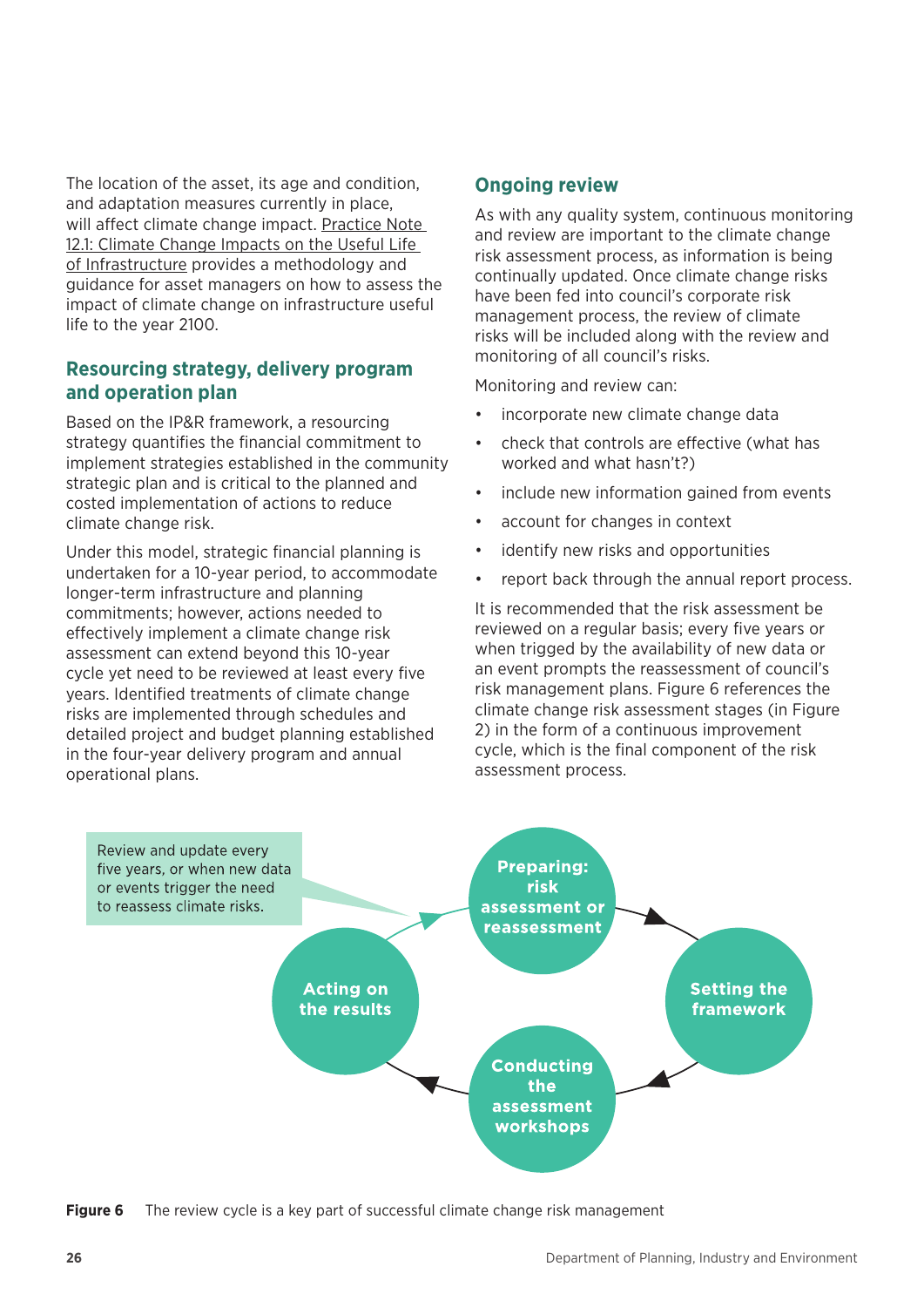The location of the asset, its age and condition, and adaptation measures currently in place, will affect climate change impact. [Practice Note](https://www.ipwea.org/publications/ipweabookshop/pn12-1)  [12.1: Climate Change Impacts on the Useful Life](https://www.ipwea.org/publications/ipweabookshop/pn12-1)  [of Infrastructure](https://www.ipwea.org/publications/ipweabookshop/pn12-1) provides a methodology and guidance for asset managers on how to assess the impact of climate change on infrastructure useful life to the year 2100.

#### **Resourcing strategy, delivery program and operation plan**

Based on the IP&R framework, a resourcing strategy quantifies the financial commitment to implement strategies established in the community strategic plan and is critical to the planned and costed implementation of actions to reduce climate change risk.

Under this model, strategic financial planning is undertaken for a 10-year period, to accommodate longer-term infrastructure and planning commitments; however, actions needed to effectively implement a climate change risk assessment can extend beyond this 10-year cycle yet need to be reviewed at least every five years. Identified treatments of climate change risks are implemented through schedules and detailed project and budget planning established in the four-year delivery program and annual operational plans.

#### **Ongoing review**

As with any quality system, continuous monitoring and review are important to the climate change risk assessment process, as information is being continually updated. Once climate change risks have been fed into council's corporate risk management process, the review of climate risks will be included along with the review and monitoring of all council's risks.

Monitoring and review can:

- incorporate new climate change data
- check that controls are effective (what has worked and what hasn't?)
- include new information gained from events
- account for changes in context
- identify new risks and opportunities
- report back through the annual report process.

It is recommended that the risk assessment be reviewed on a regular basis; every five years or when trigged by the availability of new data or an event prompts the reassessment of council's risk management plans. Figure 6 references the climate change risk assessment stages (in Figure 2) in the form of a continuous improvement cycle, which is the final component of the risk assessment process.



**Figure 6** The review cycle is a key part of successful climate change risk management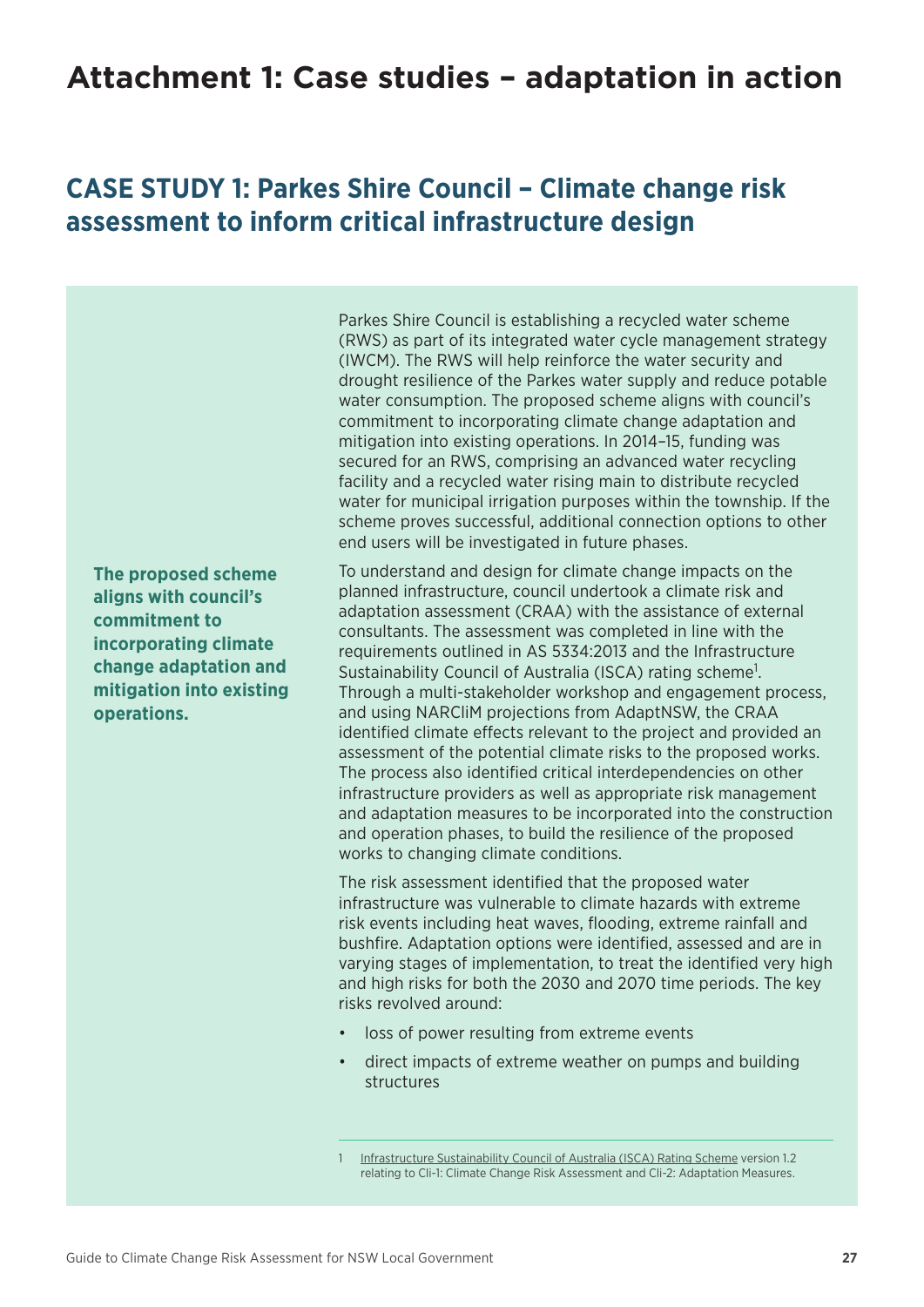## <span id="page-30-0"></span>**Attachment 1: Case studies – adaptation in action**

## **CASE STUDY 1: Parkes Shire Council – Climate change risk assessment to inform critical infrastructure design**

**The proposed scheme aligns with council's commitment to incorporating climate change adaptation and mitigation into existing operations.**

Parkes Shire Council is establishing a recycled water scheme (RWS) as part of its integrated water cycle management strategy (IWCM). The RWS will help reinforce the water security and drought resilience of the Parkes water supply and reduce potable water consumption. The proposed scheme aligns with council's commitment to incorporating climate change adaptation and mitigation into existing operations. In 2014–15, funding was secured for an RWS, comprising an advanced water recycling facility and a recycled water rising main to distribute recycled water for municipal irrigation purposes within the township. If the scheme proves successful, additional connection options to other end users will be investigated in future phases.

To understand and design for climate change impacts on the planned infrastructure, council undertook a climate risk and adaptation assessment (CRAA) with the assistance of external consultants. The assessment was completed in line with the requirements outlined in AS 5334:2013 and the Infrastructure Sustainability Council of Australia (ISCA) rating scheme<sup>1</sup>. Through a multi-stakeholder workshop and engagement process, and using NARCliM projections from AdaptNSW, the CRAA identified climate effects relevant to the project and provided an assessment of the potential climate risks to the proposed works. The process also identified critical interdependencies on other infrastructure providers as well as appropriate risk management and adaptation measures to be incorporated into the construction and operation phases, to build the resilience of the proposed works to changing climate conditions.

The risk assessment identified that the proposed water infrastructure was vulnerable to climate hazards with extreme risk events including heat waves, flooding, extreme rainfall and bushfire. Adaptation options were identified, assessed and are in varying stages of implementation, to treat the identified very high and high risks for both the 2030 and 2070 time periods. The key risks revolved around:

- loss of power resulting from extreme events
- direct impacts of extreme weather on pumps and building structures

[Infrastructure Sustainability Council of Australia \(ISCA\) Rating Scheme](https://www.isca.org.au/is_ratings) version 1.2 relating to Cli-1: Climate Change Risk Assessment and Cli-2: Adaptation Measures.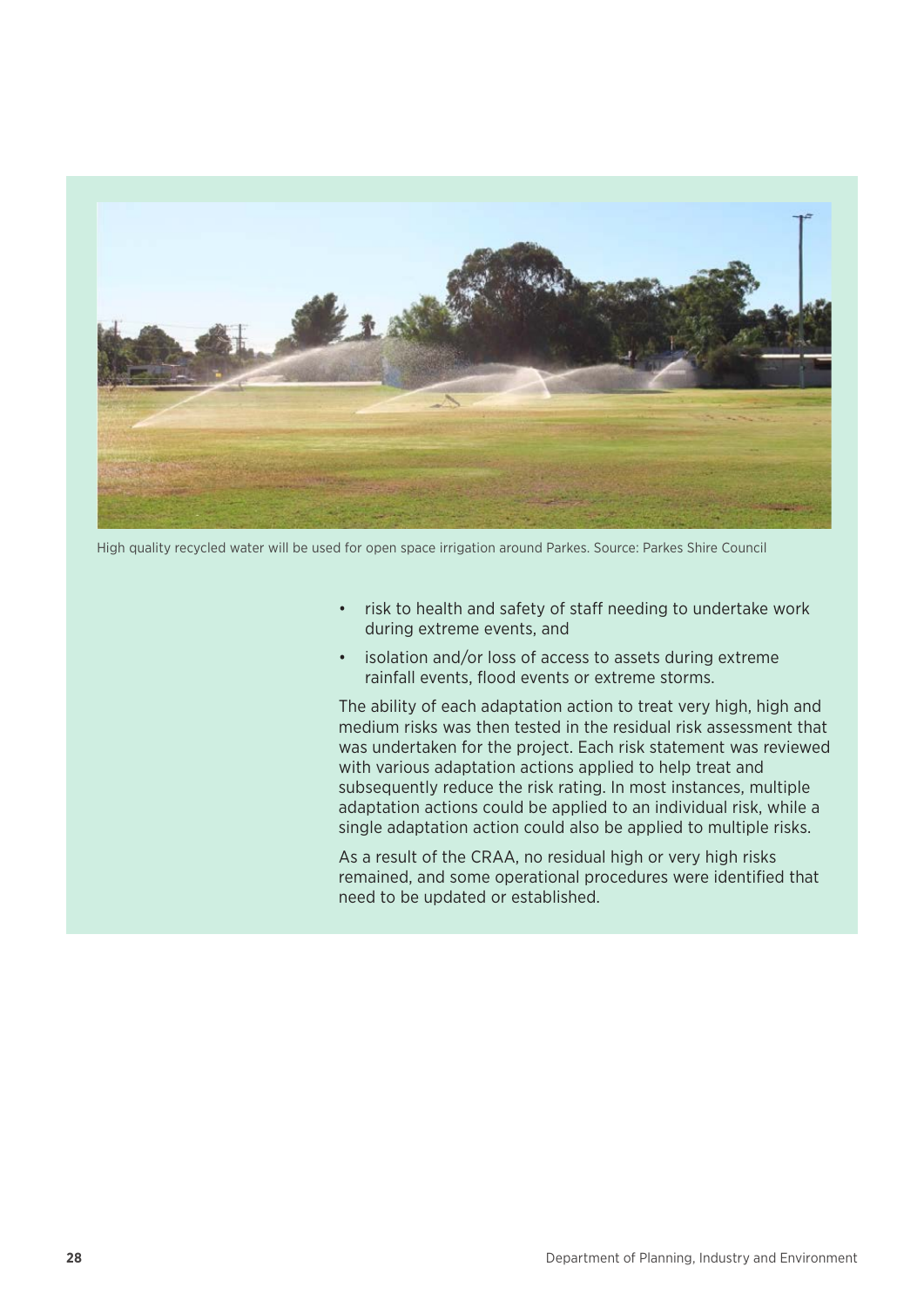

High quality recycled water will be used for open space irrigation around Parkes. Source: [Parkes Shire Council](https://www.parkes.nsw.gov.au/environment/water/recycled-water-scheme/)

- risk to health and safety of staff needing to undertake work during extreme events, and
- isolation and/or loss of access to assets during extreme rainfall events, flood events or extreme storms.

The ability of each adaptation action to treat very high, high and medium risks was then tested in the residual risk assessment that was undertaken for the project. Each risk statement was reviewed with various adaptation actions applied to help treat and subsequently reduce the risk rating. In most instances, multiple adaptation actions could be applied to an individual risk, while a single adaptation action could also be applied to multiple risks.

As a result of the CRAA, no residual high or very high risks remained, and some operational procedures were identified that need to be updated or established.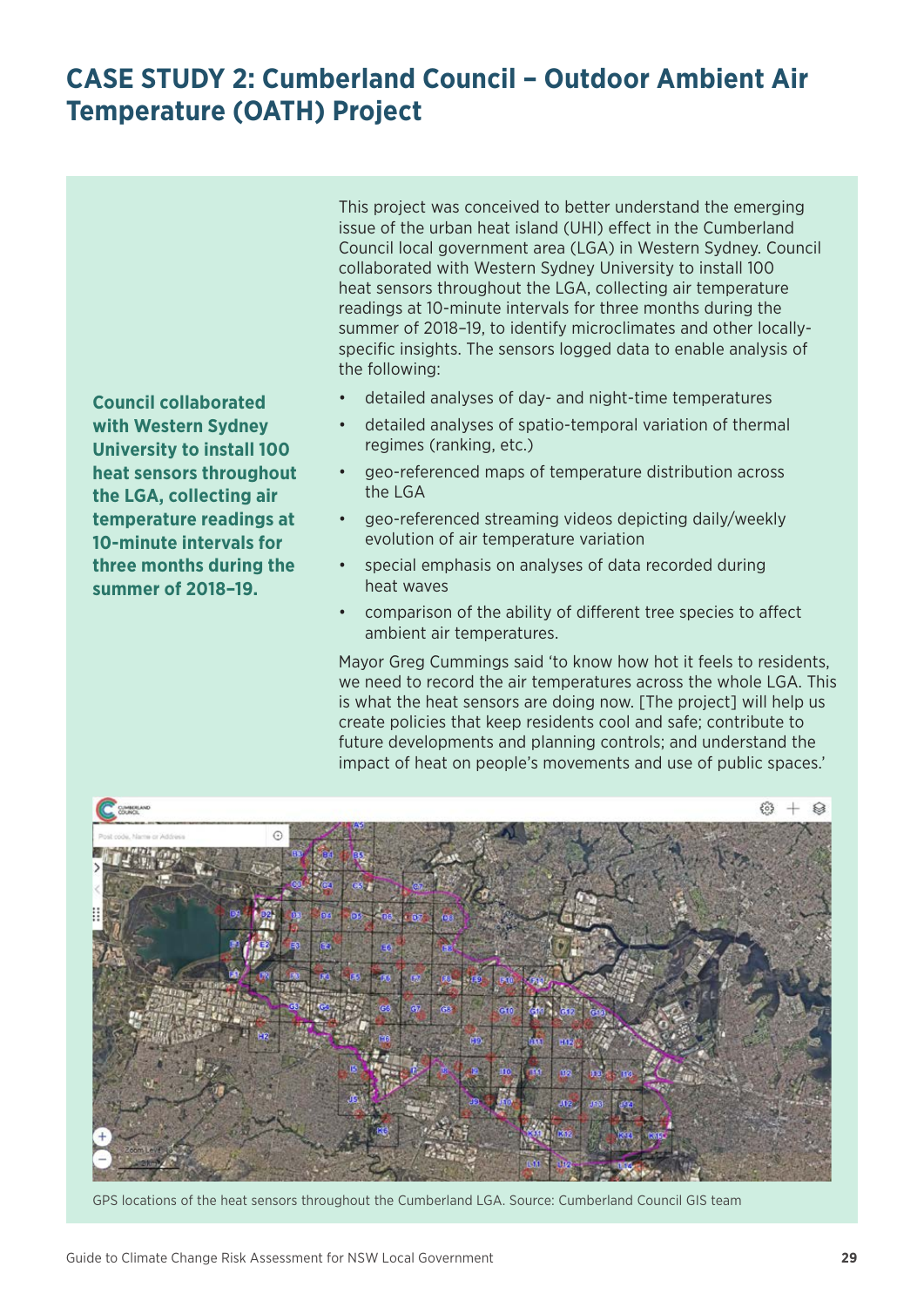## <span id="page-32-0"></span>**CASE STUDY 2: Cumberland Council – Outdoor Ambient Air Temperature (OATH) Project**

**Council collaborated with Western Sydney University to install 100 heat sensors throughout the LGA, collecting air temperature readings at 10-minute intervals for three months during the summer of 2018–19.**

This project was conceived to better understand the emerging issue of the urban heat island (UHI) effect in the Cumberland Council local government area (LGA) in Western Sydney. Council collaborated with Western Sydney University to install 100 heat sensors throughout the LGA, collecting air temperature readings at 10-minute intervals for three months during the summer of 2018–19, to identify microclimates and other locallyspecific insights. The sensors logged data to enable analysis of the following:

- detailed analyses of day- and night-time temperatures
- detailed analyses of spatio-temporal variation of thermal regimes (ranking, etc.)
- geo-referenced maps of temperature distribution across the LGA
- geo-referenced streaming videos depicting daily/weekly evolution of air temperature variation
- special emphasis on analyses of data recorded during heat waves
- comparison of the ability of different tree species to affect ambient air temperatures.

Mayor Greg Cummings said 'to know how hot it feels to residents, we need to record the air temperatures across the whole LGA. This is what the heat sensors are doing now. [The project] will help us create policies that keep residents cool and safe; contribute to future developments and planning controls; and understand the impact of heat on people's movements and use of public spaces.'



GPS locations of the heat sensors throughout the Cumberland LGA. Source: Cumberland Council GIS team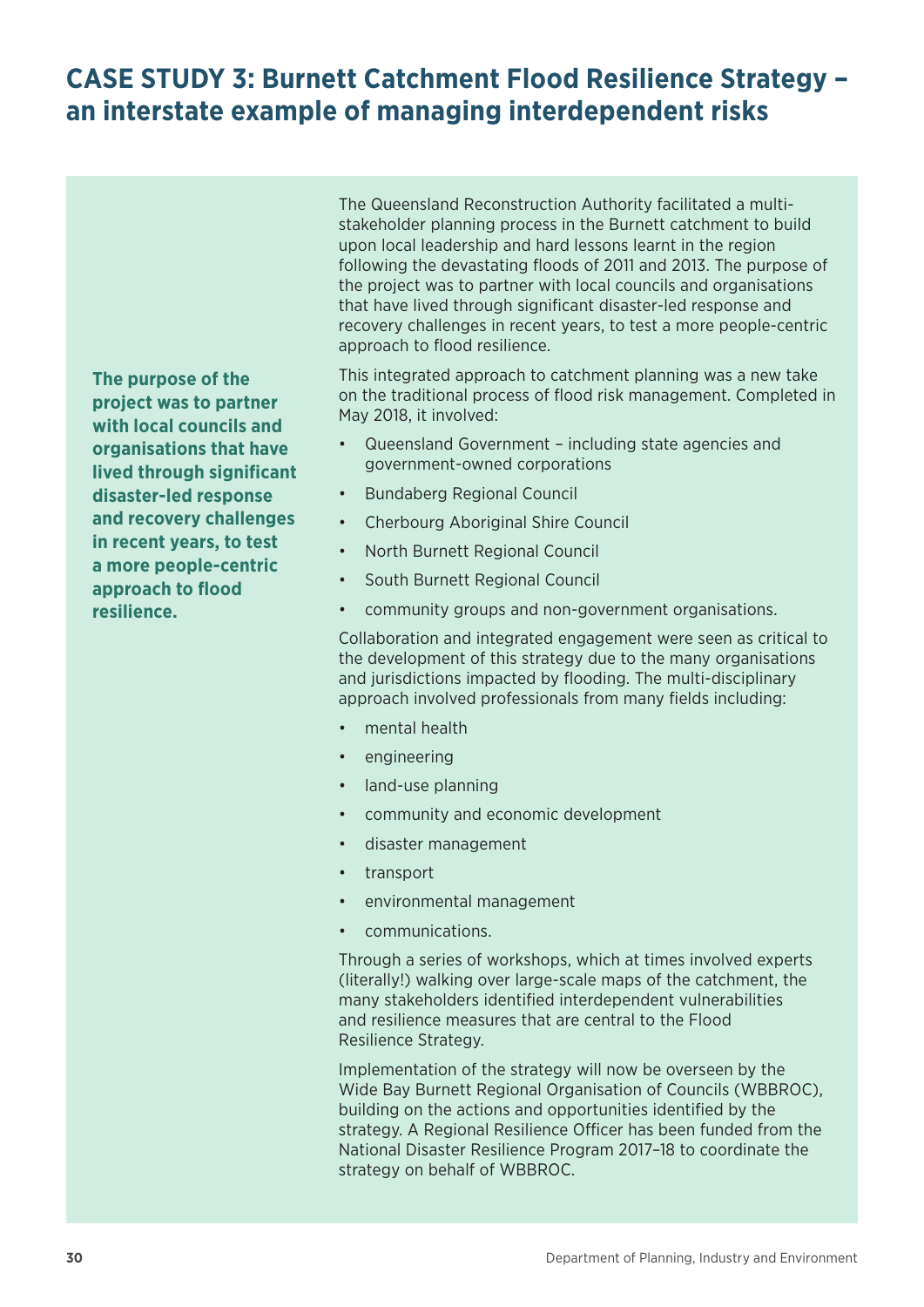## <span id="page-33-0"></span>**CASE STUDY 3: Burnett Catchment Flood Resilience Strategy – an interstate example of managing interdependent risks**

**The purpose of the project was to partner with local councils and organisations that have lived through significant disaster-led response and recovery challenges in recent years, to test a more people-centric approach to flood resilience.**

The Queensland Reconstruction Authority facilitated a multistakeholder planning process in the Burnett catchment to build upon local leadership and hard lessons learnt in the region following the devastating floods of 2011 and 2013. The purpose of the project was to partner with local councils and organisations that have lived through significant disaster-led response and recovery challenges in recent years, to test a more people-centric approach to flood resilience.

This integrated approach to catchment planning was a new take on the traditional process of flood risk management. Completed in May 2018, it involved:

- Queensland Government including state agencies and government-owned corporations
- Bundaberg Regional Council
- Cherbourg Aboriginal Shire Council
- North Burnett Regional Council
- South Burnett Regional Council
- community groups and non-government organisations.

Collaboration and integrated engagement were seen as critical to the development of this strategy due to the many organisations and jurisdictions impacted by flooding. The multi-disciplinary approach involved professionals from many fields including:

- mental health
- engineering
- land-use planning
- community and economic development
- disaster management
- transport
- environmental management
- communications.

Through a series of workshops, which at times involved experts (literally!) walking over large-scale maps of the catchment, the many stakeholders identified interdependent vulnerabilities and resilience measures that are central to the Flood Resilience Strategy.

Implementation of the strategy will now be overseen by the Wide Bay Burnett Regional Organisation of Councils (WBBROC), building on the actions and opportunities identified by the strategy. A Regional Resilience Officer has been funded from the National Disaster Resilience Program 2017–18 to coordinate the strategy on behalf of WBBROC.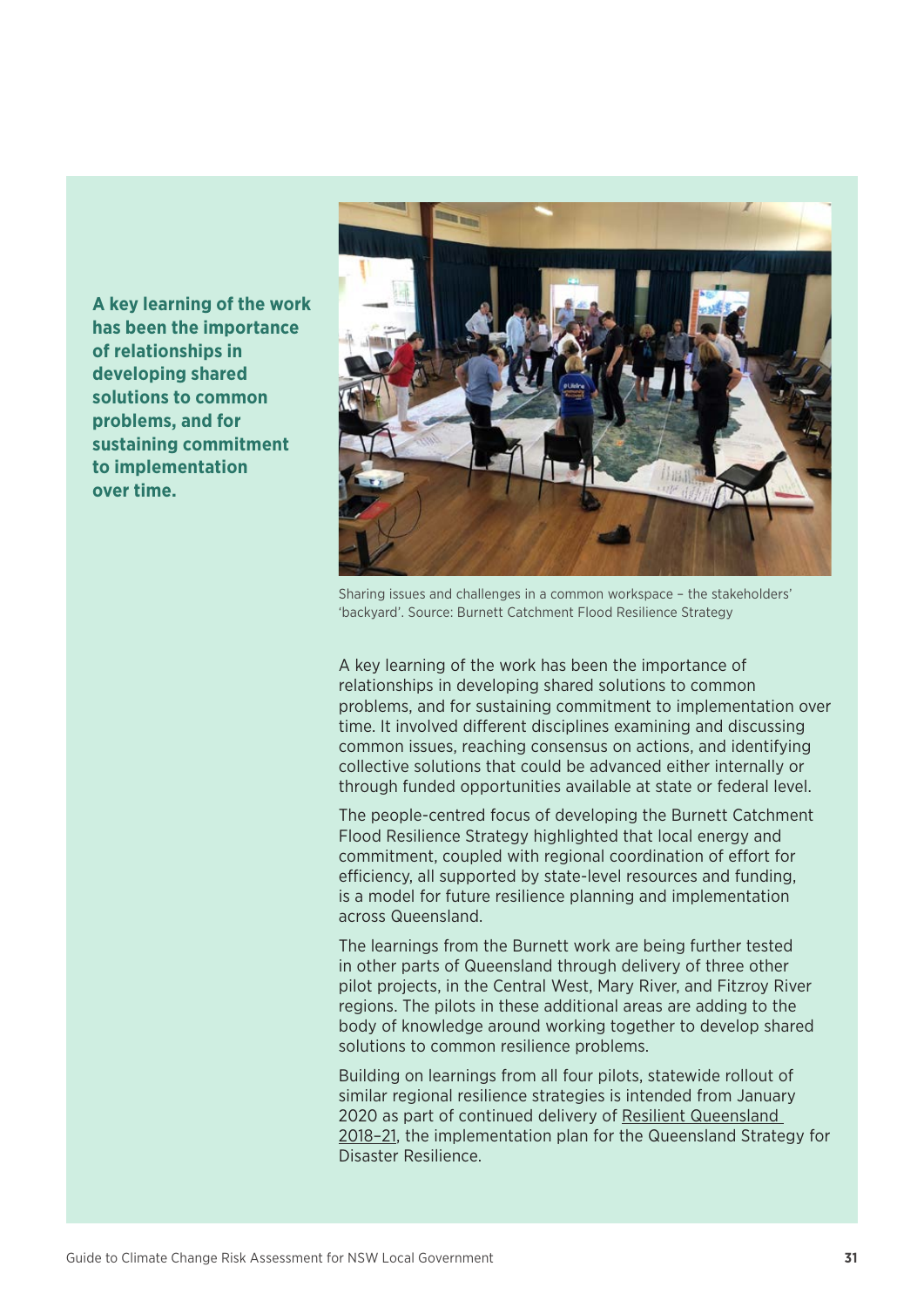**A key learning of the work has been the importance of relationships in developing shared solutions to common problems, and for sustaining commitment to implementation over time.**



Sharing issues and challenges in a common workspace – the stakeholders' 'backyard'. Source: Burnett Catchment Flood Resilience Strategy

A key learning of the work has been the importance of relationships in developing shared solutions to common problems, and for sustaining commitment to implementation over time. It involved different disciplines examining and discussing common issues, reaching consensus on actions, and identifying collective solutions that could be advanced either internally or through funded opportunities available at state or federal level.

The people-centred focus of developing the Burnett Catchment Flood Resilience Strategy highlighted that local energy and commitment, coupled with regional coordination of effort for efficiency, all supported by state-level resources and funding, is a model for future resilience planning and implementation across Queensland.

The learnings from the Burnett work are being further tested in other parts of Queensland through delivery of three other pilot projects, in the Central West, Mary River, and Fitzroy River regions. The pilots in these additional areas are adding to the body of knowledge around working together to develop shared solutions to common resilience problems.

Building on learnings from all four pilots, statewide rollout of similar regional resilience strategies is intended from January 2020 as part of continued delivery of [Resilient Queensland](https://www.qra.qld.gov.au/sites/default/files/2018-10/resilient-queensland-2018-21-summary_0.pdf)  [2018–21,](https://www.qra.qld.gov.au/sites/default/files/2018-10/resilient-queensland-2018-21-summary_0.pdf) the implementation plan for the Queensland Strategy for Disaster Resilience.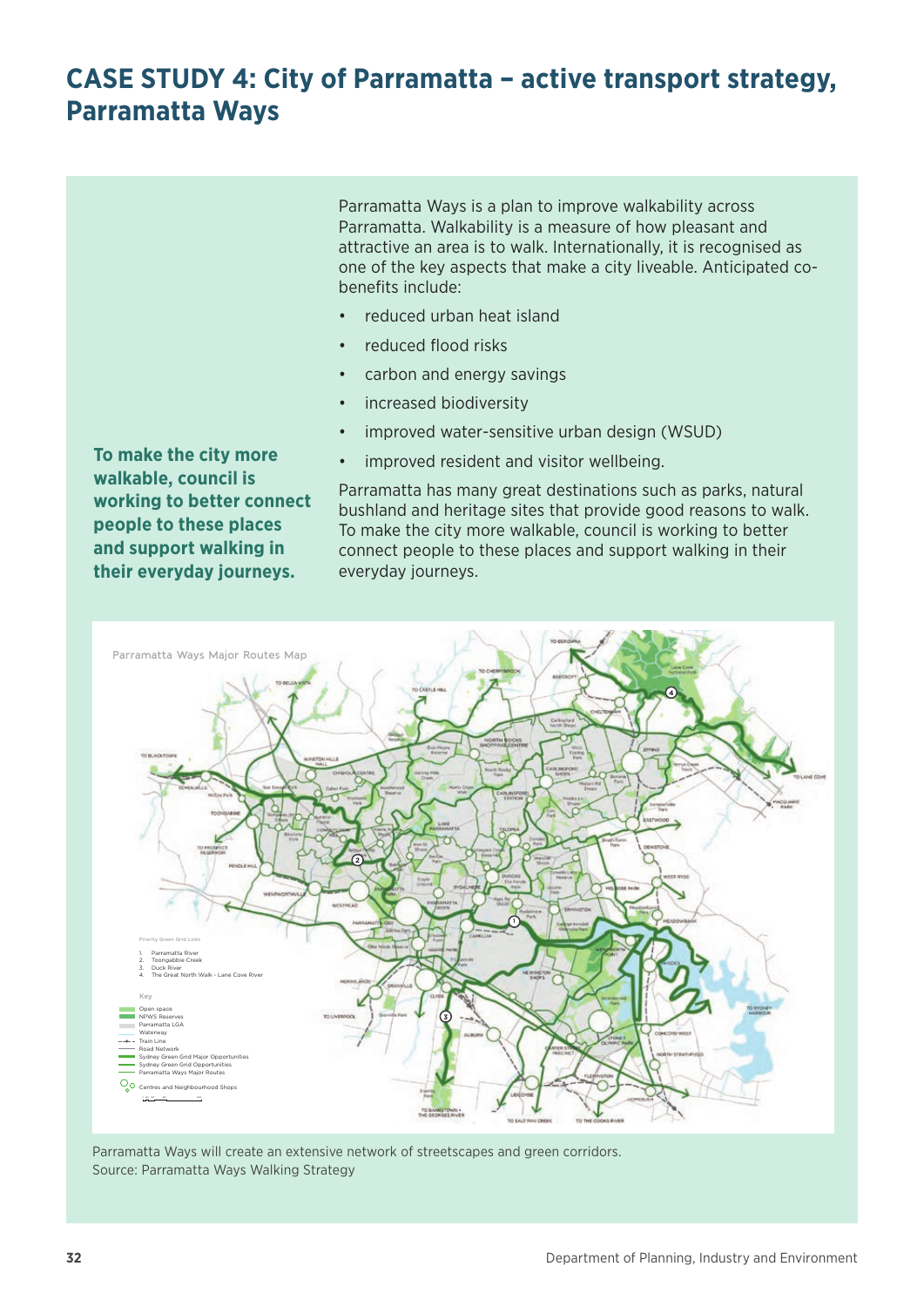## <span id="page-35-0"></span>**CASE STUDY 4: City of Parramatta – active transport strategy, Parramatta Ways**

Parramatta Ways is a plan to improve walkability across Parramatta. Walkability is a measure of how pleasant and attractive an area is to walk. Internationally, it is recognised as one of the key aspects that make a city liveable. Anticipated cobenefits include:

- reduced urban heat island
- reduced flood risks
- carbon and energy savings
- increased biodiversity
- improved water-sensitive urban design (WSUD)
- improved resident and visitor wellbeing.

Parramatta has many great destinations such as parks, natural bushland and heritage sites that provide good reasons to walk. To make the city more walkable, council is working to better connect people to these places and support walking in their everyday journeys.



Parramatta Ways will create an extensive network of streetscapes and green corridors. Source: [Parramatta Ways Walking Strategy](https://www.cityofparramatta.nsw.gov.au/sites/council/files/2017-06/Parramatta%20Ways%20Walking%20Strategy.pdf)

**To make the city more walkable, council is working to better connect people to these places and support walking in their everyday journeys.**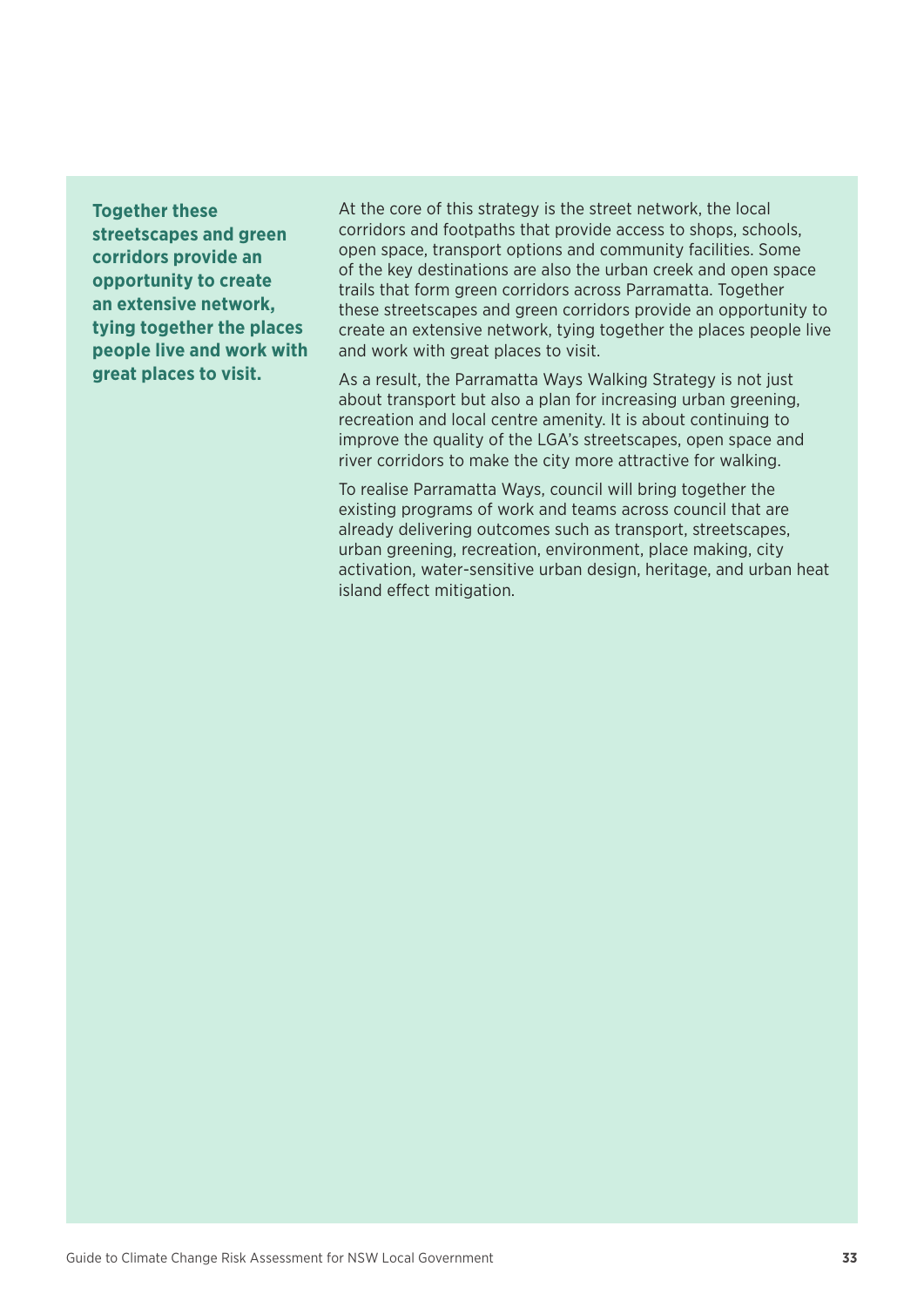**Together these streetscapes and green corridors provide an opportunity to create an extensive network, tying together the places people live and work with great places to visit.**

At the core of this strategy is the street network, the local corridors and footpaths that provide access to shops, schools, open space, transport options and community facilities. Some of the key destinations are also the urban creek and open space trails that form green corridors across Parramatta. Together these streetscapes and green corridors provide an opportunity to create an extensive network, tying together the places people live and work with great places to visit.

As a result, the Parramatta Ways Walking Strategy is not just about transport but also a plan for increasing urban greening, recreation and local centre amenity. It is about continuing to improve the quality of the LGA's streetscapes, open space and river corridors to make the city more attractive for walking.

To realise Parramatta Ways, council will bring together the existing programs of work and teams across council that are already delivering outcomes such as transport, streetscapes, urban greening, recreation, environment, place making, city activation, water-sensitive urban design, heritage, and urban heat island effect mitigation.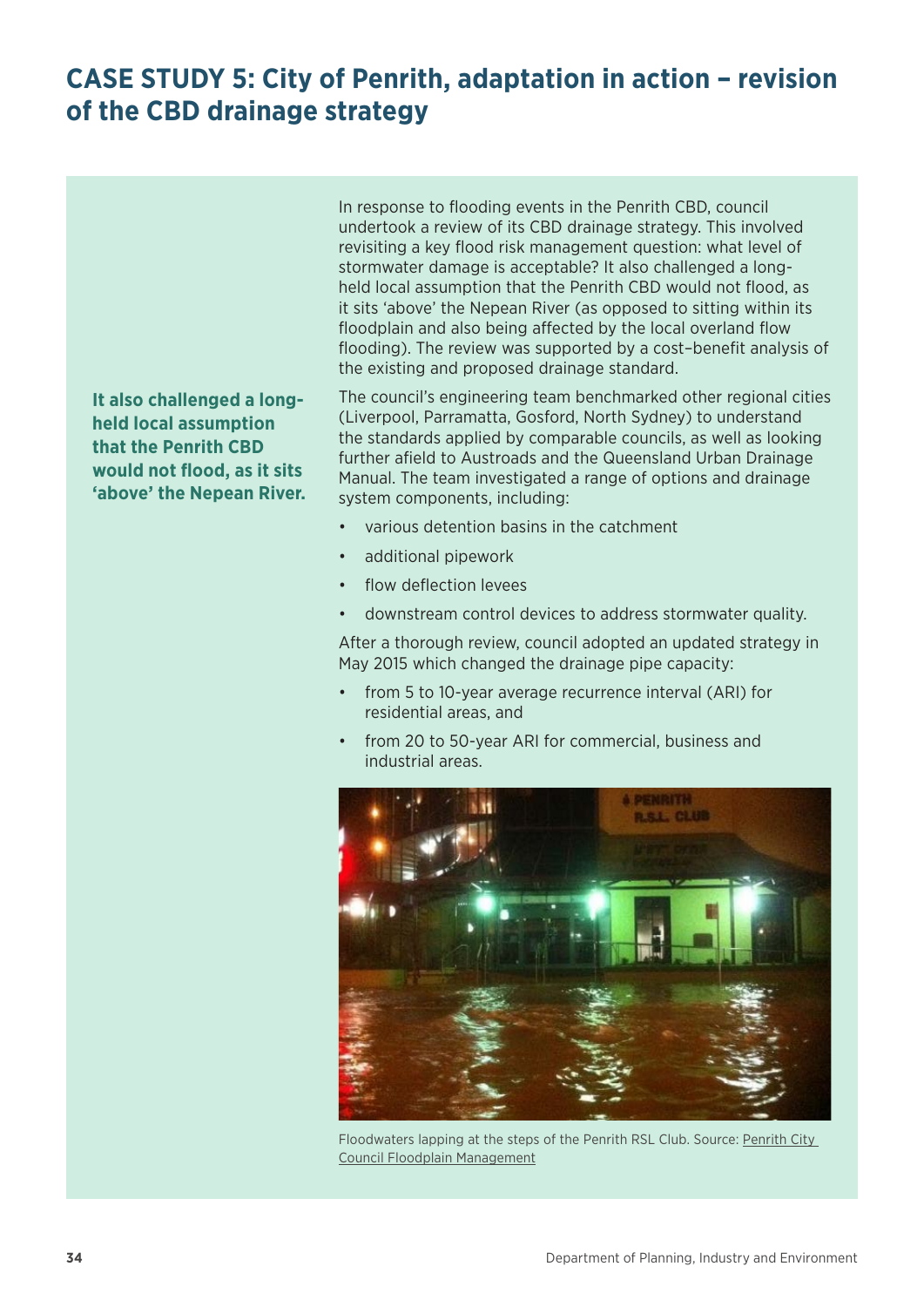## <span id="page-37-0"></span>**CASE STUDY 5: City of Penrith, adaptation in action – revision of the CBD drainage strategy**

**It also challenged a longheld local assumption that the Penrith CBD would not flood, as it sits 'above' the Nepean River.** In response to flooding events in the Penrith CBD, council undertook a review of its CBD drainage strategy. This involved revisiting a key flood risk management question: what level of stormwater damage is acceptable? It also challenged a longheld local assumption that the Penrith CBD would not flood, as it sits 'above' the Nepean River (as opposed to sitting within its floodplain and also being affected by the local overland flow flooding). The review was supported by a cost–benefit analysis of the existing and proposed drainage standard.

The council's engineering team benchmarked other regional cities (Liverpool, Parramatta, Gosford, North Sydney) to understand the standards applied by comparable councils, as well as looking further afield to Austroads and the Queensland Urban Drainage Manual. The team investigated a range of options and drainage system components, including:

- various detention basins in the catchment
- additional pipework
- flow deflection levees
- downstream control devices to address stormwater quality.

After a thorough review, council adopted an updated strategy in May 2015 which changed the drainage pipe capacity:

- from 5 to 10-year average recurrence interval (ARI) for residential areas, and
- from 20 to 50-year ARI for commercial, business and industrial areas.



Floodwaters lapping at the steps of the Penrith RSL Club. Source: Penrith City [Council Floodplain Management](https://www.penrithcity.nsw.gov.au/services/other-services/floodplain-management)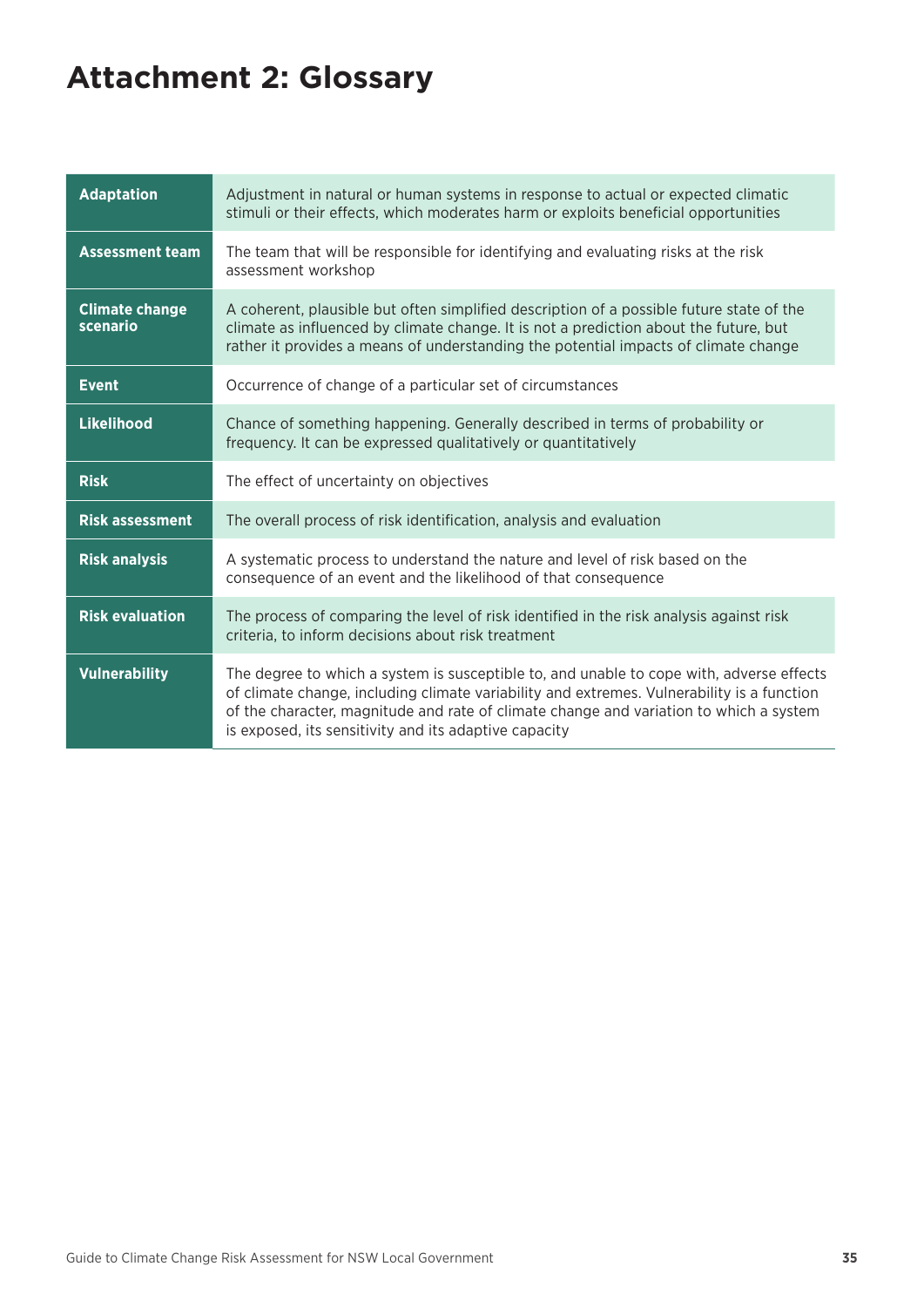## <span id="page-38-0"></span>**Attachment 2: Glossary**

| <b>Adaptation</b>                 | Adjustment in natural or human systems in response to actual or expected climatic<br>stimuli or their effects, which moderates harm or exploits beneficial opportunities                                                                                                                                                                  |
|-----------------------------------|-------------------------------------------------------------------------------------------------------------------------------------------------------------------------------------------------------------------------------------------------------------------------------------------------------------------------------------------|
| <b>Assessment team</b>            | The team that will be responsible for identifying and evaluating risks at the risk<br>assessment workshop                                                                                                                                                                                                                                 |
| <b>Climate change</b><br>scenario | A coherent, plausible but often simplified description of a possible future state of the<br>climate as influenced by climate change. It is not a prediction about the future, but<br>rather it provides a means of understanding the potential impacts of climate change                                                                  |
| <b>Event</b>                      | Occurrence of change of a particular set of circumstances                                                                                                                                                                                                                                                                                 |
| <b>Likelihood</b>                 | Chance of something happening. Generally described in terms of probability or<br>frequency. It can be expressed qualitatively or quantitatively                                                                                                                                                                                           |
| <b>Risk</b>                       | The effect of uncertainty on objectives                                                                                                                                                                                                                                                                                                   |
| <b>Risk assessment</b>            | The overall process of risk identification, analysis and evaluation                                                                                                                                                                                                                                                                       |
| <b>Risk analysis</b>              | A systematic process to understand the nature and level of risk based on the<br>consequence of an event and the likelihood of that consequence                                                                                                                                                                                            |
| <b>Risk evaluation</b>            | The process of comparing the level of risk identified in the risk analysis against risk<br>criteria, to inform decisions about risk treatment                                                                                                                                                                                             |
| <b>Vulnerability</b>              | The degree to which a system is susceptible to, and unable to cope with, adverse effects<br>of climate change, including climate variability and extremes. Vulnerability is a function<br>of the character, magnitude and rate of climate change and variation to which a system<br>is exposed, its sensitivity and its adaptive capacity |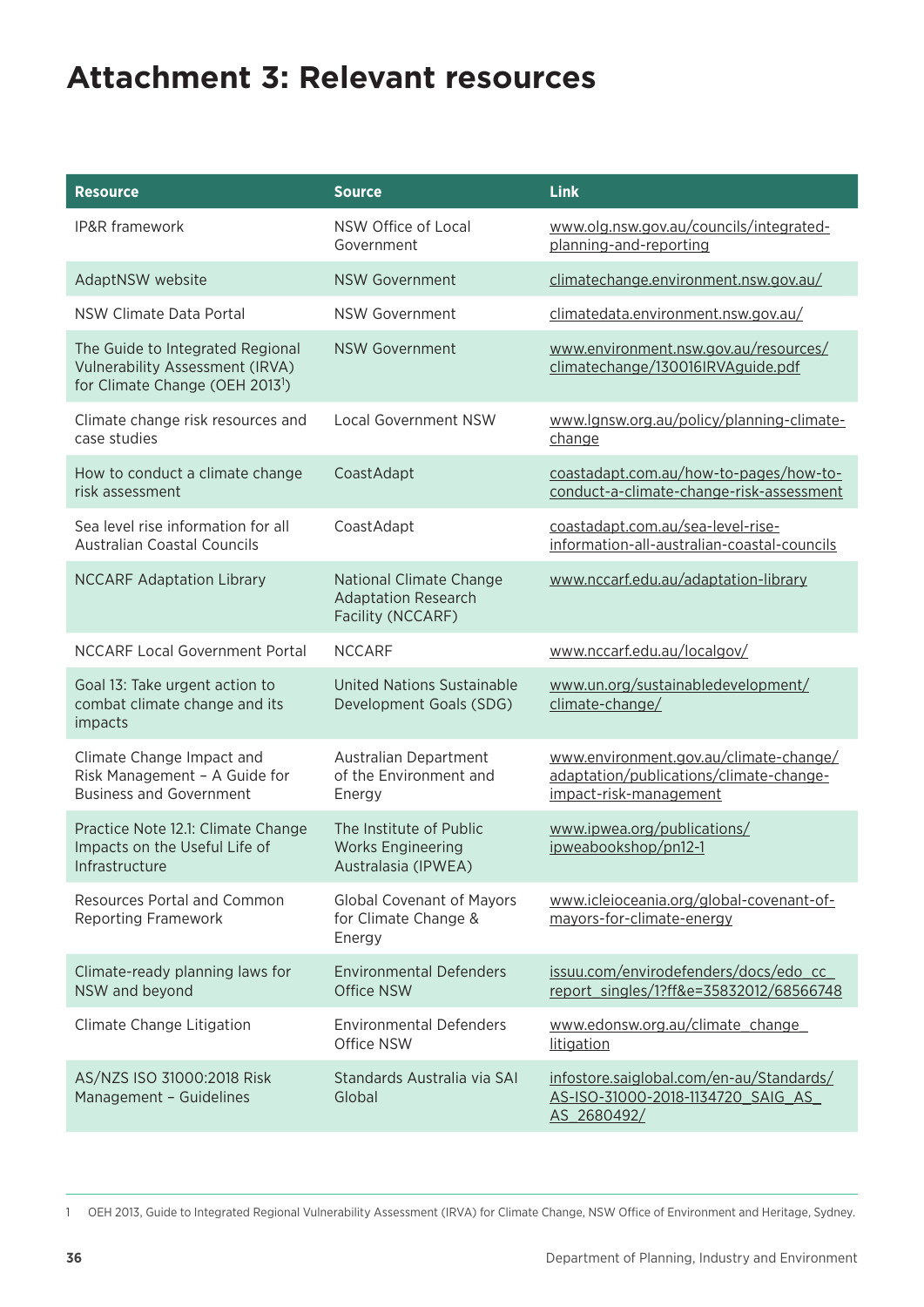## <span id="page-39-0"></span>**Attachment 3: Relevant resources**

| <b>Resource</b>                                                                                                           | <b>Source</b>                                                              | <b>Link</b>                                                                                                 |
|---------------------------------------------------------------------------------------------------------------------------|----------------------------------------------------------------------------|-------------------------------------------------------------------------------------------------------------|
| IP&R framework                                                                                                            | NSW Office of Local<br>Government                                          | www.olg.nsw.gov.au/councils/integrated-<br>planning-and-reporting                                           |
| AdaptNSW website                                                                                                          | <b>NSW Government</b>                                                      | climatechange.environment.nsw.gov.au/                                                                       |
| NSW Climate Data Portal                                                                                                   | <b>NSW Government</b>                                                      | climatedata.environment.nsw.gov.au/                                                                         |
| The Guide to Integrated Regional<br><b>Vulnerability Assessment (IRVA)</b><br>for Climate Change (OEH 2013 <sup>1</sup> ) | <b>NSW Government</b>                                                      | www.environment.nsw.gov.au/resources/<br>climatechange/130016IRVAguide.pdf                                  |
| Climate change risk resources and<br>case studies                                                                         | <b>Local Government NSW</b>                                                | www.lgnsw.org.au/policy/planning-climate-<br>change                                                         |
| How to conduct a climate change<br>risk assessment                                                                        | CoastAdapt                                                                 | coastadapt.com.au/how-to-pages/how-to-<br>conduct-a-climate-change-risk-assessment                          |
| Sea level rise information for all<br><b>Australian Coastal Councils</b>                                                  | CoastAdapt                                                                 | coastadapt.com.au/sea-level-rise-<br>information-all-australian-coastal-councils                            |
| <b>NCCARF Adaptation Library</b>                                                                                          | National Climate Change<br><b>Adaptation Research</b><br>Facility (NCCARF) | www.nccarf.edu.au/adaptation-library                                                                        |
| <b>NCCARF Local Government Portal</b>                                                                                     | <b>NCCARF</b>                                                              | www.nccarf.edu.au/localgov/                                                                                 |
| Goal 13: Take urgent action to<br>combat climate change and its<br>impacts                                                | <b>United Nations Sustainable</b><br>Development Goals (SDG)               | www.un.org/sustainabledevelopment/<br>climate-change/                                                       |
| Climate Change Impact and<br>Risk Management - A Guide for<br><b>Business and Government</b>                              | Australian Department<br>of the Environment and<br>Energy                  | www.environment.gov.au/climate-change/<br>adaptation/publications/climate-change-<br>impact-risk-management |
| Practice Note 12.1: Climate Change<br>Impacts on the Useful Life of<br>Infrastructure                                     | The Institute of Public<br><b>Works Engineering</b><br>Australasia (IPWEA) | www.ipwea.org/publications/<br>ipweabookshop/pn12-1                                                         |
| Resources Portal and Common<br><b>Reporting Framework</b>                                                                 | Global Covenant of Mayors<br>for Climate Change &<br>Energy                | www.icleioceania.org/global-covenant-of-<br>mayors-for-climate-energy                                       |
| Climate-ready planning laws for<br>NSW and beyond                                                                         | <b>Environmental Defenders</b><br><b>Office NSW</b>                        | issuu.com/envirodefenders/docs/edo cc<br>report singles/1?ff&e=35832012/68566748                            |
| Climate Change Litigation                                                                                                 | <b>Environmental Defenders</b><br>Office NSW                               | www.edonsw.org.au/climate_change_<br>litigation                                                             |
| AS/NZS ISO 31000:2018 Risk<br>Management - Guidelines                                                                     | Standards Australia via SAI<br>Global                                      | infostore.saiglobal.com/en-au/Standards/<br>AS-ISO-31000-2018-1134720 SAIG AS<br>AS 2680492/                |

1 OEH 2013, Guide to Integrated Regional Vulnerability Assessment (IRVA) for Climate Change, NSW Office of Environment and Heritage, Sydney.